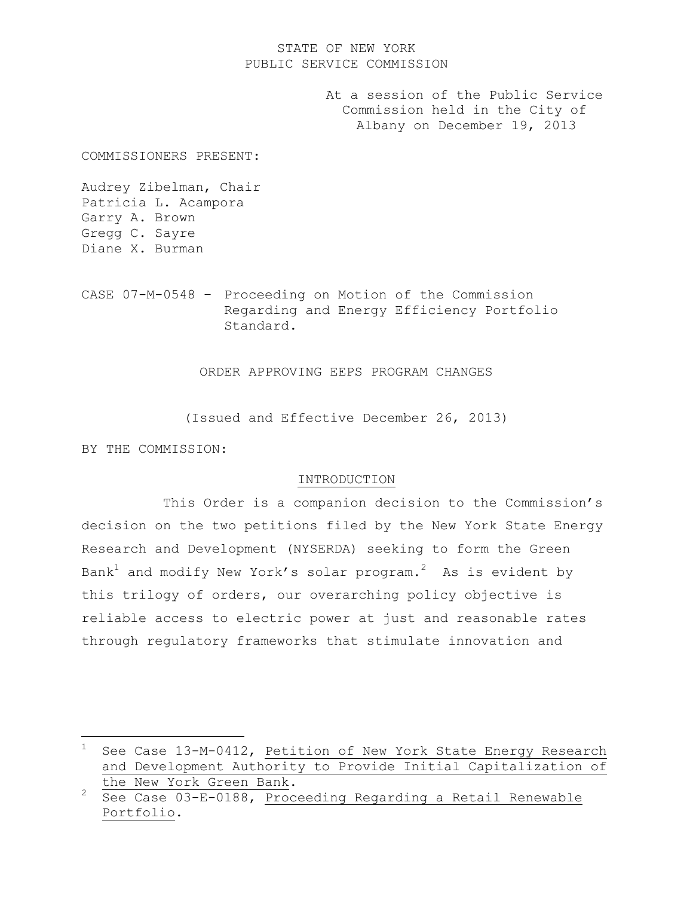# STATE OF NEW YORK PUBLIC SERVICE COMMISSION

At a session of the Public Service Commission held in the City of Albany on December 19, 2013

COMMISSIONERS PRESENT:

Audrey Zibelman, Chair Patricia L. Acampora Garry A. Brown Gregg C. Sayre Diane X. Burman

CASE 07-M-0548 – Proceeding on Motion of the Commission Regarding and Energy Efficiency Portfolio Standard.

ORDER APPROVING EEPS PROGRAM CHANGES

(Issued and Effective December 26, 2013)

BY THE COMMISSION:

L,

# INTRODUCTION

This Order is a companion decision to the Commission"s decision on the two petitions filed by the New York State Energy Research and Development (NYSERDA) seeking to form the Green Bank $^1$  and modify New York's solar program. $^2$  As is evident by this trilogy of orders, our overarching policy objective is reliable access to electric power at just and reasonable rates through regulatory frameworks that stimulate innovation and

See Case 13-M-0412, Petition of New York State Energy Research and Development Authority to Provide Initial Capitalization of the New York Green Bank.

<sup>2</sup> See Case 03-E-0188, Proceeding Regarding a Retail Renewable Portfolio.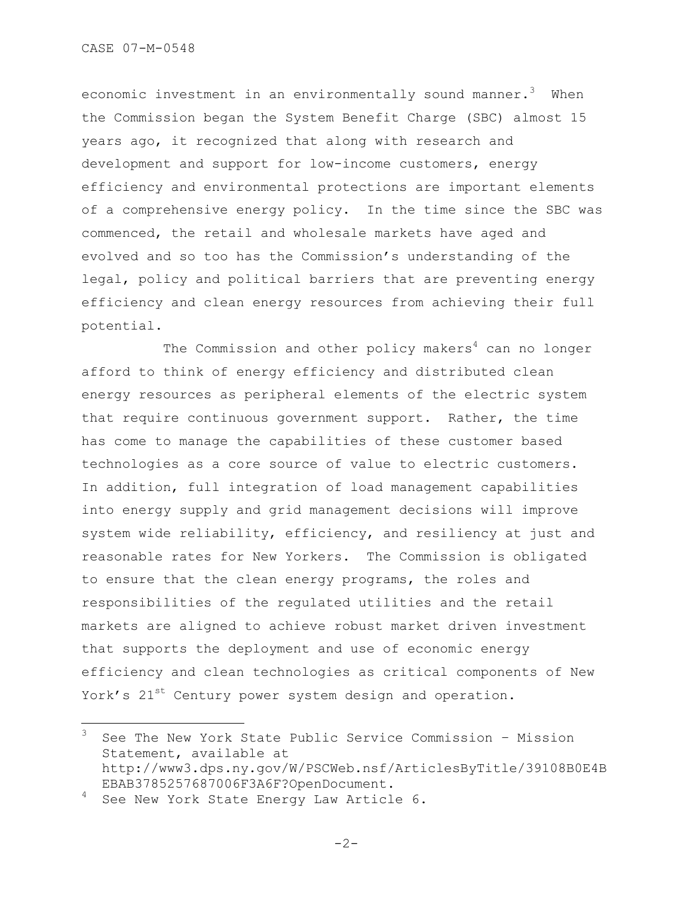economic investment in an environmentally sound manner. $^3$  When the Commission began the System Benefit Charge (SBC) almost 15 years ago, it recognized that along with research and development and support for low-income customers, energy efficiency and environmental protections are important elements of a comprehensive energy policy. In the time since the SBC was commenced, the retail and wholesale markets have aged and evolved and so too has the Commission"s understanding of the legal, policy and political barriers that are preventing energy efficiency and clean energy resources from achieving their full potential.

The Commission and other policy makers $4$  can no longer afford to think of energy efficiency and distributed clean energy resources as peripheral elements of the electric system that require continuous government support. Rather, the time has come to manage the capabilities of these customer based technologies as a core source of value to electric customers. In addition, full integration of load management capabilities into energy supply and grid management decisions will improve system wide reliability, efficiency, and resiliency at just and reasonable rates for New Yorkers. The Commission is obligated to ensure that the clean energy programs, the roles and responsibilities of the regulated utilities and the retail markets are aligned to achieve robust market driven investment that supports the deployment and use of economic energy efficiency and clean technologies as critical components of New York's 21<sup>st</sup> Century power system design and operation.

L,

<sup>3</sup> See The New York State Public Service Commission – Mission Statement, available at http://www3.dps.ny.gov/W/PSCWeb.nsf/ArticlesByTitle/39108B0E4B EBAB3785257687006F3A6F?OpenDocument.

See New York State Energy Law Article 6.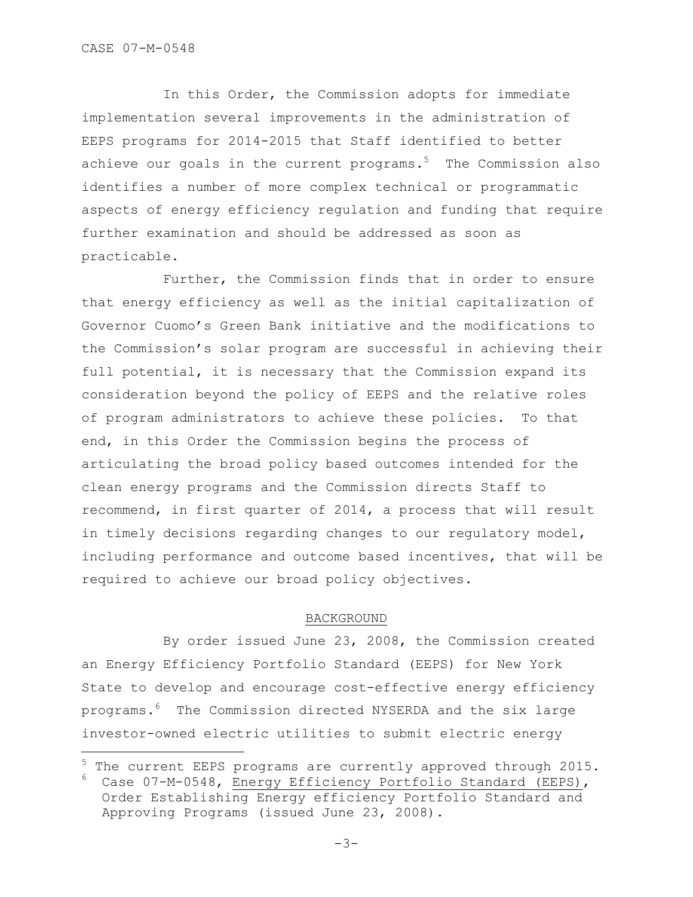÷.

In this Order, the Commission adopts for immediate implementation several improvements in the administration of EEPS programs for 2014-2015 that Staff identified to better achieve our goals in the current programs.<sup>5</sup> The Commission also identifies a number of more complex technical or programmatic aspects of energy efficiency regulation and funding that require further examination and should be addressed as soon as practicable.

Further, the Commission finds that in order to ensure that energy efficiency as well as the initial capitalization of Governor Cuomo"s Green Bank initiative and the modifications to the Commission"s solar program are successful in achieving their full potential, it is necessary that the Commission expand its consideration beyond the policy of EEPS and the relative roles of program administrators to achieve these policies. To that end, in this Order the Commission begins the process of articulating the broad policy based outcomes intended for the clean energy programs and the Commission directs Staff to recommend, in first quarter of 2014, a process that will result in timely decisions regarding changes to our regulatory model, including performance and outcome based incentives, that will be required to achieve our broad policy objectives.

#### BACKGROUND

By order issued June 23, 2008, the Commission created an Energy Efficiency Portfolio Standard (EEPS) for New York State to develop and encourage cost-effective energy efficiency programs.<sup>6</sup> The Commission directed NYSERDA and the six large investor-owned electric utilities to submit electric energy

The current EEPS programs are currently approved through 2015.  $6$  Case 07-M-0548, Energy Efficiency Portfolio Standard (EEPS), Order Establishing Energy efficiency Portfolio Standard and Approving Programs (issued June 23, 2008).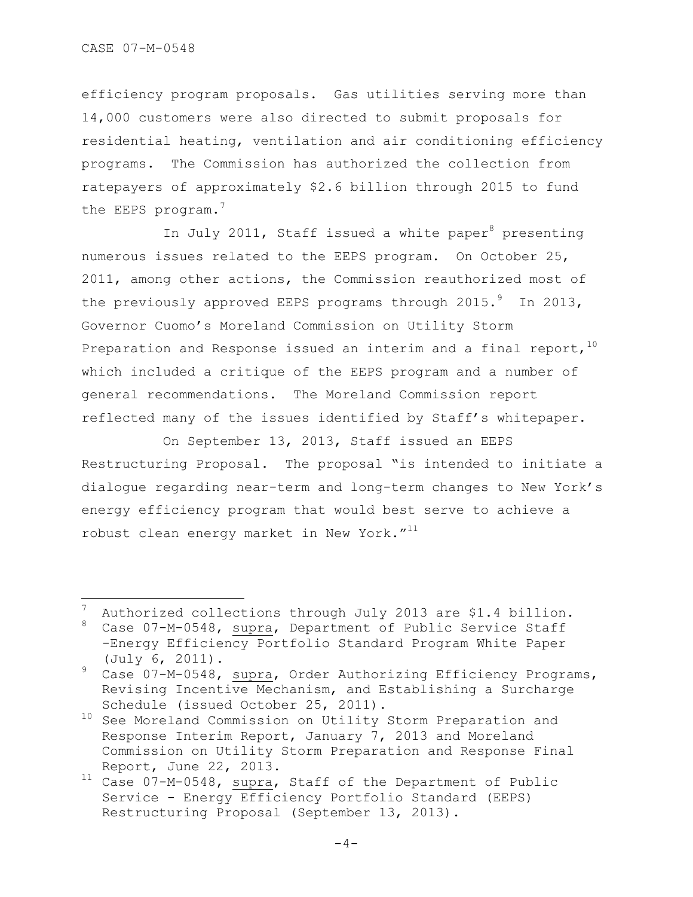÷.

efficiency program proposals. Gas utilities serving more than 14,000 customers were also directed to submit proposals for residential heating, ventilation and air conditioning efficiency programs. The Commission has authorized the collection from ratepayers of approximately \$2.6 billion through 2015 to fund the EEPS program.<sup>7</sup>

In July 2011, Staff issued a white paper<sup>8</sup> presenting numerous issues related to the EEPS program. On October 25, 2011, among other actions, the Commission reauthorized most of the previously approved EEPS programs through  $2015.^9$  In 2013, Governor Cuomo"s Moreland Commission on Utility Storm Preparation and Response issued an interim and a final report,  $10$ which included a critique of the EEPS program and a number of general recommendations. The Moreland Commission report reflected many of the issues identified by Staff"s whitepaper.

On September 13, 2013, Staff issued an EEPS Restructuring Proposal. The proposal "is intended to initiate a dialogue regarding near-term and long-term changes to New York"s energy efficiency program that would best serve to achieve a robust clean energy market in New York. $''^{11}$ 

Authorized collections through July 2013 are \$1.4 billion.

<sup>8</sup> Case 07-M-0548, supra, Department of Public Service Staff -Energy Efficiency Portfolio Standard Program White Paper (July 6, 2011).

<sup>9</sup> Case 07-M-0548, supra, Order Authorizing Efficiency Programs, Revising Incentive Mechanism, and Establishing a Surcharge Schedule (issued October 25, 2011).

 $^{10}$  See Moreland Commission on Utility Storm Preparation and Response Interim Report, January 7, 2013 and Moreland Commission on Utility Storm Preparation and Response Final Report, June 22, 2013.

<sup>11</sup> Case 07-M-0548, supra, Staff of the Department of Public Service - Energy Efficiency Portfolio Standard (EEPS) Restructuring Proposal (September 13, 2013).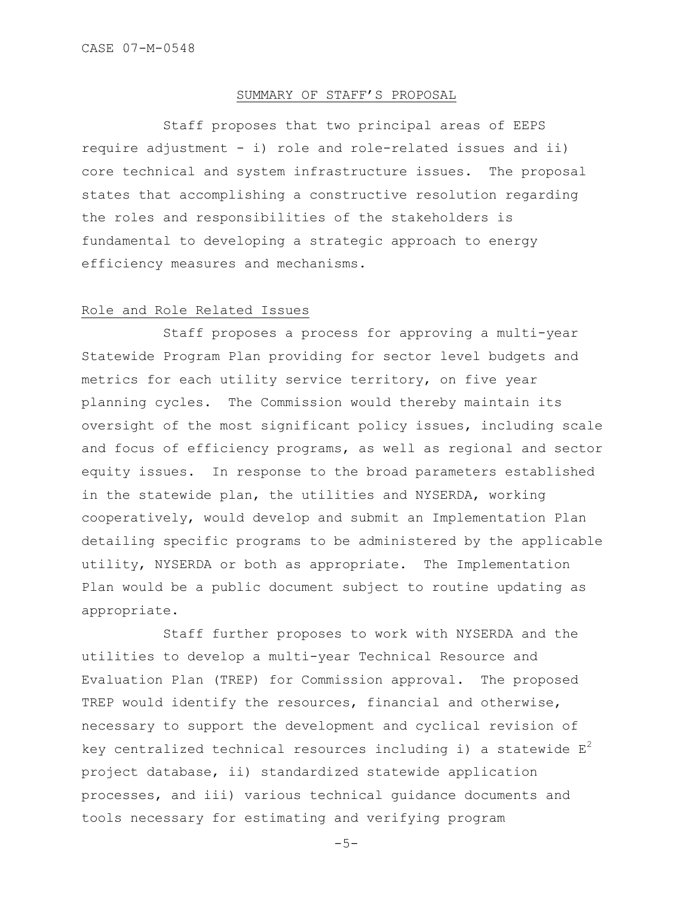## SUMMARY OF STAFF"S PROPOSAL

Staff proposes that two principal areas of EEPS require adjustment - i) role and role-related issues and ii) core technical and system infrastructure issues. The proposal states that accomplishing a constructive resolution regarding the roles and responsibilities of the stakeholders is fundamental to developing a strategic approach to energy efficiency measures and mechanisms.

#### Role and Role Related Issues

Staff proposes a process for approving a multi-year Statewide Program Plan providing for sector level budgets and metrics for each utility service territory, on five year planning cycles. The Commission would thereby maintain its oversight of the most significant policy issues, including scale and focus of efficiency programs, as well as regional and sector equity issues. In response to the broad parameters established in the statewide plan, the utilities and NYSERDA, working cooperatively, would develop and submit an Implementation Plan detailing specific programs to be administered by the applicable utility, NYSERDA or both as appropriate. The Implementation Plan would be a public document subject to routine updating as appropriate.

Staff further proposes to work with NYSERDA and the utilities to develop a multi-year Technical Resource and Evaluation Plan (TREP) for Commission approval. The proposed TREP would identify the resources, financial and otherwise, necessary to support the development and cyclical revision of key centralized technical resources including i) a statewide  $E^2$ project database, ii) standardized statewide application processes, and iii) various technical guidance documents and tools necessary for estimating and verifying program

 $-5-$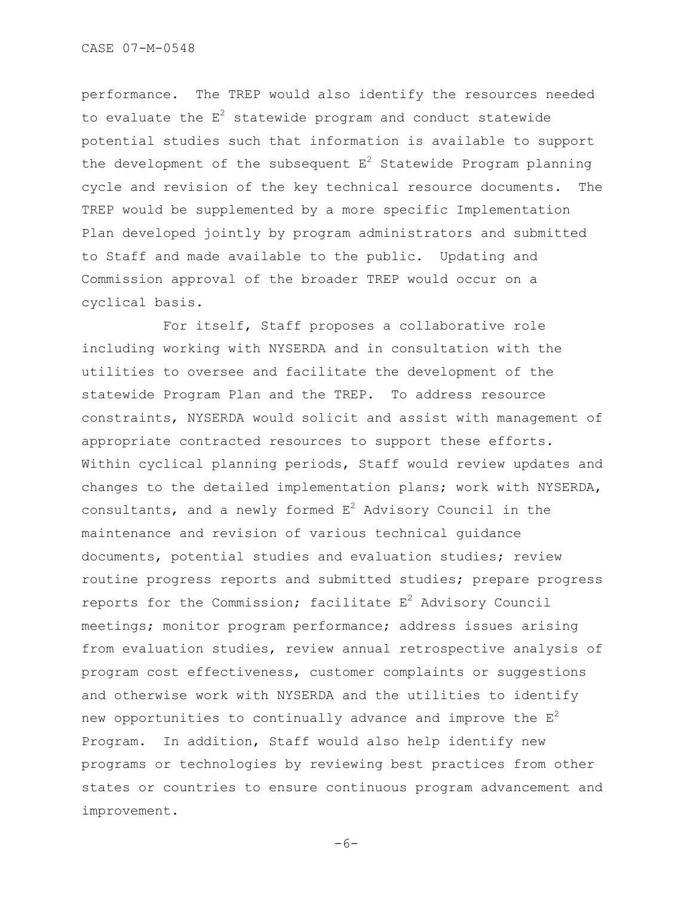performance. The TREP would also identify the resources needed to evaluate the  $E^2$  statewide program and conduct statewide potential studies such that information is available to support the development of the subsequent  $E^2$  Statewide Program planning cycle and revision of the key technical resource documents. The TREP would be supplemented by a more specific Implementation Plan developed jointly by program administrators and submitted to Staff and made available to the public. Updating and Commission approval of the broader TREP would occur on a cyclical basis.

For itself, Staff proposes a collaborative role including working with NYSERDA and in consultation with the utilities to oversee and facilitate the development of the statewide Program Plan and the TREP. To address resource constraints, NYSERDA would solicit and assist with management of appropriate contracted resources to support these efforts. Within cyclical planning periods, Staff would review updates and changes to the detailed implementation plans; work with NYSERDA, consultants, and a newly formed  $E^2$  Advisory Council in the maintenance and revision of various technical guidance documents, potential studies and evaluation studies; review routine progress reports and submitted studies; prepare progress reports for the Commission; facilitate  $E^2$  Advisory Council meetings; monitor program performance; address issues arising from evaluation studies, review annual retrospective analysis of program cost effectiveness, customer complaints or suggestions and otherwise work with NYSERDA and the utilities to identify new opportunities to continually advance and improve the  $E^2$ Program. In addition, Staff would also help identify new programs or technologies by reviewing best practices from other states or countries to ensure continuous program advancement and improvement.

 $-6-$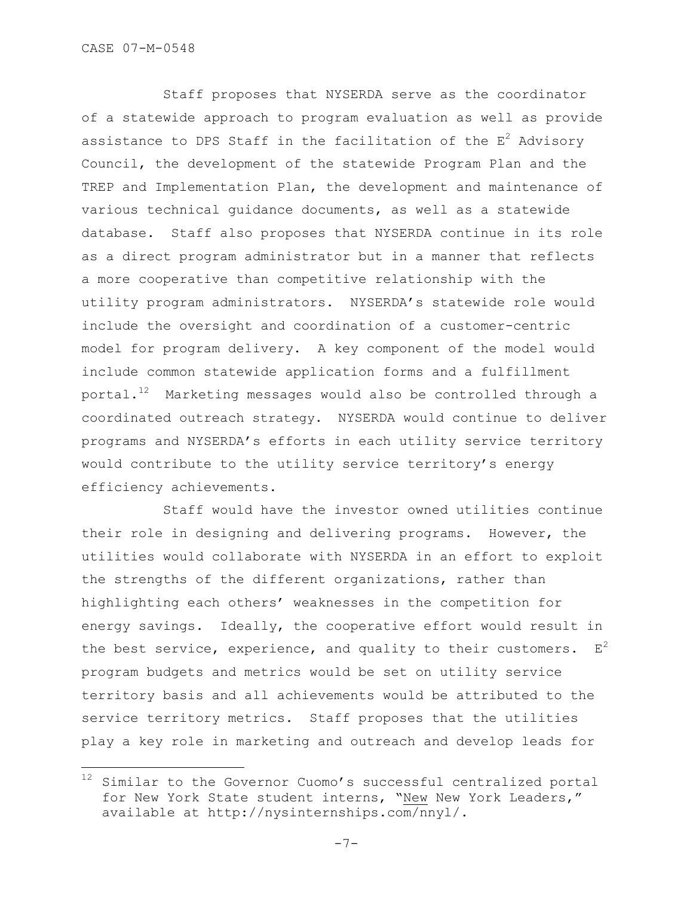÷.

Staff proposes that NYSERDA serve as the coordinator of a statewide approach to program evaluation as well as provide assistance to DPS Staff in the facilitation of the  $E^2$  Advisory Council, the development of the statewide Program Plan and the TREP and Implementation Plan, the development and maintenance of various technical guidance documents, as well as a statewide database. Staff also proposes that NYSERDA continue in its role as a direct program administrator but in a manner that reflects a more cooperative than competitive relationship with the utility program administrators. NYSERDA"s statewide role would include the oversight and coordination of a customer-centric model for program delivery. A key component of the model would include common statewide application forms and a fulfillment portal.<sup>12</sup> Marketing messages would also be controlled through a coordinated outreach strategy. NYSERDA would continue to deliver programs and NYSERDA"s efforts in each utility service territory would contribute to the utility service territory"s energy efficiency achievements.

Staff would have the investor owned utilities continue their role in designing and delivering programs. However, the utilities would collaborate with NYSERDA in an effort to exploit the strengths of the different organizations, rather than highlighting each others" weaknesses in the competition for energy savings. Ideally, the cooperative effort would result in the best service, experience, and quality to their customers.  $E^2$ program budgets and metrics would be set on utility service territory basis and all achievements would be attributed to the service territory metrics. Staff proposes that the utilities play a key role in marketing and outreach and develop leads for

<sup>12</sup> Similar to the Governor Cuomo's successful centralized portal for New York State student interns, "New New York Leaders," available at http://nysinternships.com/nnyl/.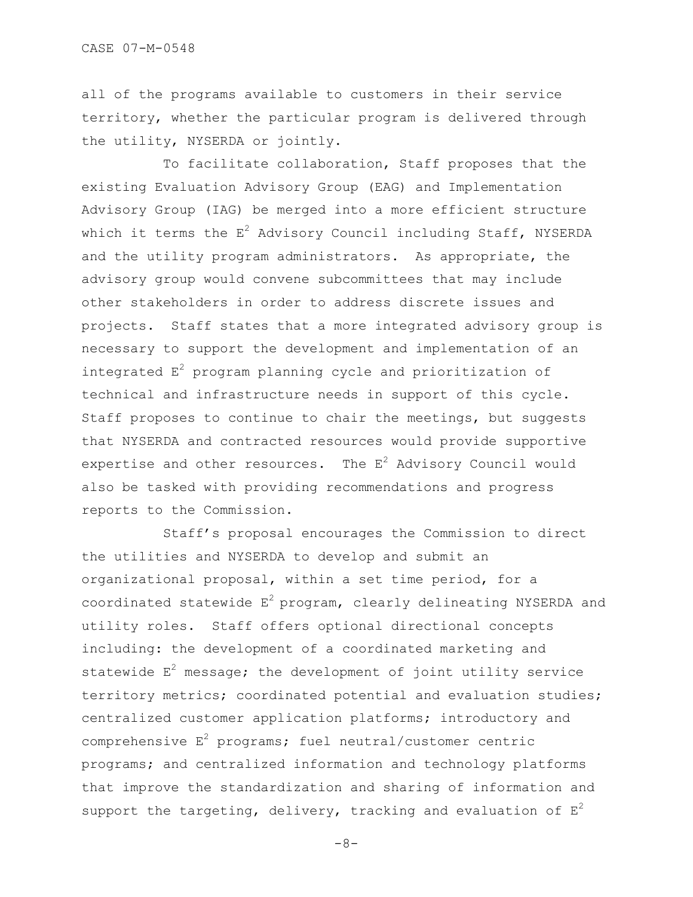all of the programs available to customers in their service territory, whether the particular program is delivered through the utility, NYSERDA or jointly.

To facilitate collaboration, Staff proposes that the existing Evaluation Advisory Group (EAG) and Implementation Advisory Group (IAG) be merged into a more efficient structure which it terms the  $E^2$  Advisory Council including Staff, NYSERDA and the utility program administrators. As appropriate, the advisory group would convene subcommittees that may include other stakeholders in order to address discrete issues and projects. Staff states that a more integrated advisory group is necessary to support the development and implementation of an integrated  $E^2$  program planning cycle and prioritization of technical and infrastructure needs in support of this cycle. Staff proposes to continue to chair the meetings, but suggests that NYSERDA and contracted resources would provide supportive expertise and other resources. The  $E^2$  Advisory Council would also be tasked with providing recommendations and progress reports to the Commission.

Staff"s proposal encourages the Commission to direct the utilities and NYSERDA to develop and submit an organizational proposal, within a set time period, for a coordinated statewide  $E^2$  program, clearly delineating NYSERDA and utility roles. Staff offers optional directional concepts including: the development of a coordinated marketing and statewide  $E^2$  message; the development of joint utility service territory metrics; coordinated potential and evaluation studies; centralized customer application platforms; introductory and comprehensive  $E^2$  programs; fuel neutral/customer centric programs; and centralized information and technology platforms that improve the standardization and sharing of information and support the targeting, delivery, tracking and evaluation of  $E^2$ 

 $-8-$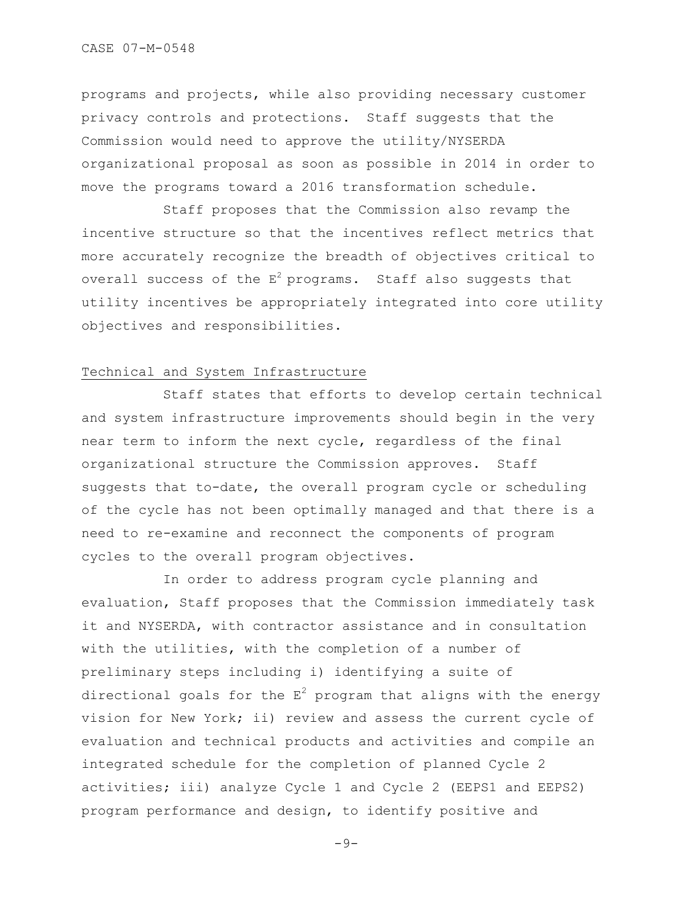programs and projects, while also providing necessary customer privacy controls and protections. Staff suggests that the Commission would need to approve the utility/NYSERDA organizational proposal as soon as possible in 2014 in order to move the programs toward a 2016 transformation schedule.

Staff proposes that the Commission also revamp the incentive structure so that the incentives reflect metrics that more accurately recognize the breadth of objectives critical to overall success of the  $E^2$  programs. Staff also suggests that utility incentives be appropriately integrated into core utility objectives and responsibilities.

# Technical and System Infrastructure

Staff states that efforts to develop certain technical and system infrastructure improvements should begin in the very near term to inform the next cycle, regardless of the final organizational structure the Commission approves. Staff suggests that to-date, the overall program cycle or scheduling of the cycle has not been optimally managed and that there is a need to re-examine and reconnect the components of program cycles to the overall program objectives.

In order to address program cycle planning and evaluation, Staff proposes that the Commission immediately task it and NYSERDA, with contractor assistance and in consultation with the utilities, with the completion of a number of preliminary steps including i) identifying a suite of directional goals for the  $E^2$  program that aligns with the energy vision for New York; ii) review and assess the current cycle of evaluation and technical products and activities and compile an integrated schedule for the completion of planned Cycle 2 activities; iii) analyze Cycle 1 and Cycle 2 (EEPS1 and EEPS2) program performance and design, to identify positive and

 $-9-$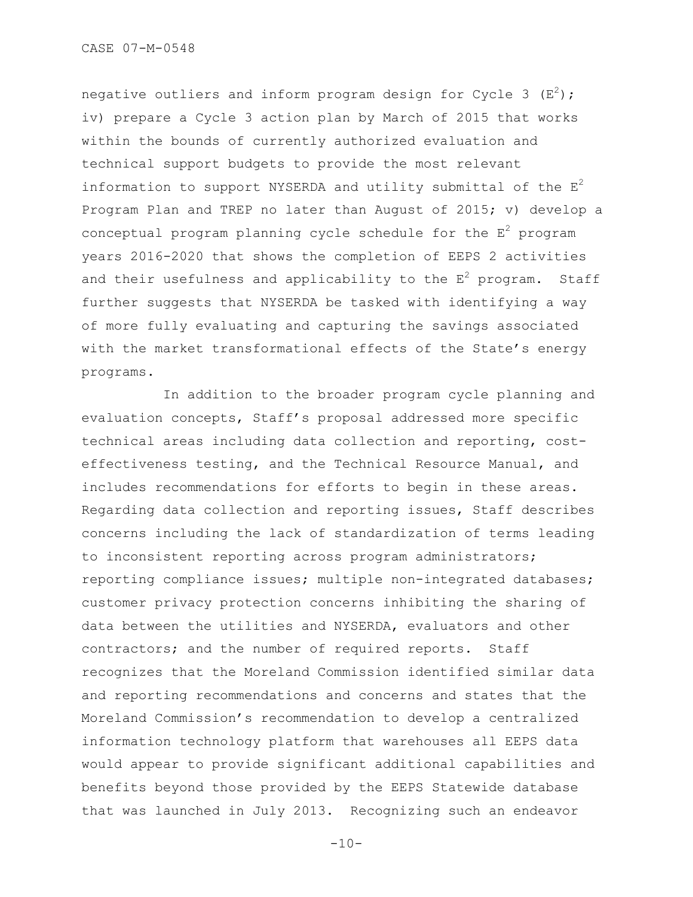negative outliers and inform program design for Cycle 3  $(E^2)$ ; iv) prepare a Cycle 3 action plan by March of 2015 that works within the bounds of currently authorized evaluation and technical support budgets to provide the most relevant information to support NYSERDA and utility submittal of the  $E^2$ Program Plan and TREP no later than August of 2015; v) develop a conceptual program planning cycle schedule for the  $E^2$  program years 2016-2020 that shows the completion of EEPS 2 activities and their usefulness and applicability to the  $E^2$  program. Staff further suggests that NYSERDA be tasked with identifying a way of more fully evaluating and capturing the savings associated with the market transformational effects of the State's energy programs.

In addition to the broader program cycle planning and evaluation concepts, Staff"s proposal addressed more specific technical areas including data collection and reporting, costeffectiveness testing, and the Technical Resource Manual, and includes recommendations for efforts to begin in these areas. Regarding data collection and reporting issues, Staff describes concerns including the lack of standardization of terms leading to inconsistent reporting across program administrators; reporting compliance issues; multiple non-integrated databases; customer privacy protection concerns inhibiting the sharing of data between the utilities and NYSERDA, evaluators and other contractors; and the number of required reports. Staff recognizes that the Moreland Commission identified similar data and reporting recommendations and concerns and states that the Moreland Commission"s recommendation to develop a centralized information technology platform that warehouses all EEPS data would appear to provide significant additional capabilities and benefits beyond those provided by the EEPS Statewide database that was launched in July 2013. Recognizing such an endeavor

 $-10-$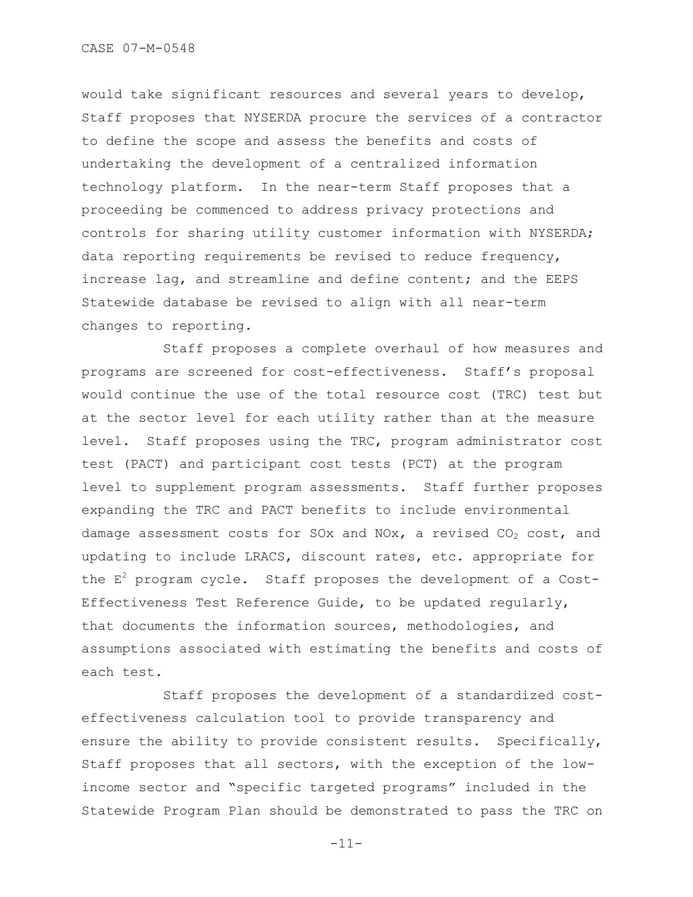would take significant resources and several years to develop, Staff proposes that NYSERDA procure the services of a contractor to define the scope and assess the benefits and costs of undertaking the development of a centralized information technology platform. In the near-term Staff proposes that a proceeding be commenced to address privacy protections and controls for sharing utility customer information with NYSERDA; data reporting requirements be revised to reduce frequency, increase lag, and streamline and define content; and the EEPS Statewide database be revised to align with all near-term changes to reporting.

Staff proposes a complete overhaul of how measures and programs are screened for cost-effectiveness. Staff"s proposal would continue the use of the total resource cost (TRC) test but at the sector level for each utility rather than at the measure level. Staff proposes using the TRC, program administrator cost test (PACT) and participant cost tests (PCT) at the program level to supplement program assessments. Staff further proposes expanding the TRC and PACT benefits to include environmental damage assessment costs for SOx and NOx, a revised  $CO<sub>2</sub>$  cost, and updating to include LRACS, discount rates, etc. appropriate for the  $E^2$  program cycle. Staff proposes the development of a Cost-Effectiveness Test Reference Guide, to be updated regularly, that documents the information sources, methodologies, and assumptions associated with estimating the benefits and costs of each test.

Staff proposes the development of a standardized costeffectiveness calculation tool to provide transparency and ensure the ability to provide consistent results. Specifically, Staff proposes that all sectors, with the exception of the lowincome sector and "specific targeted programs" included in the Statewide Program Plan should be demonstrated to pass the TRC on

-11-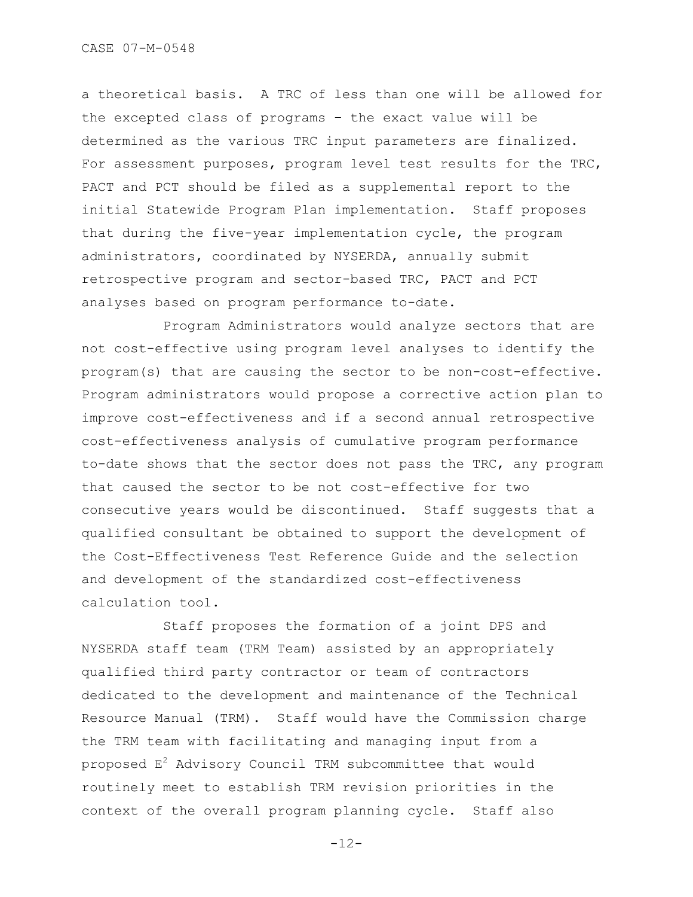a theoretical basis. A TRC of less than one will be allowed for the excepted class of programs – the exact value will be determined as the various TRC input parameters are finalized. For assessment purposes, program level test results for the TRC, PACT and PCT should be filed as a supplemental report to the initial Statewide Program Plan implementation. Staff proposes that during the five-year implementation cycle, the program administrators, coordinated by NYSERDA, annually submit retrospective program and sector-based TRC, PACT and PCT analyses based on program performance to-date.

Program Administrators would analyze sectors that are not cost-effective using program level analyses to identify the program(s) that are causing the sector to be non-cost-effective. Program administrators would propose a corrective action plan to improve cost-effectiveness and if a second annual retrospective cost-effectiveness analysis of cumulative program performance to-date shows that the sector does not pass the TRC, any program that caused the sector to be not cost-effective for two consecutive years would be discontinued. Staff suggests that a qualified consultant be obtained to support the development of the Cost-Effectiveness Test Reference Guide and the selection and development of the standardized cost-effectiveness calculation tool.

Staff proposes the formation of a joint DPS and NYSERDA staff team (TRM Team) assisted by an appropriately qualified third party contractor or team of contractors dedicated to the development and maintenance of the Technical Resource Manual (TRM). Staff would have the Commission charge the TRM team with facilitating and managing input from a proposed  $E^2$  Advisory Council TRM subcommittee that would routinely meet to establish TRM revision priorities in the context of the overall program planning cycle. Staff also

 $-12-$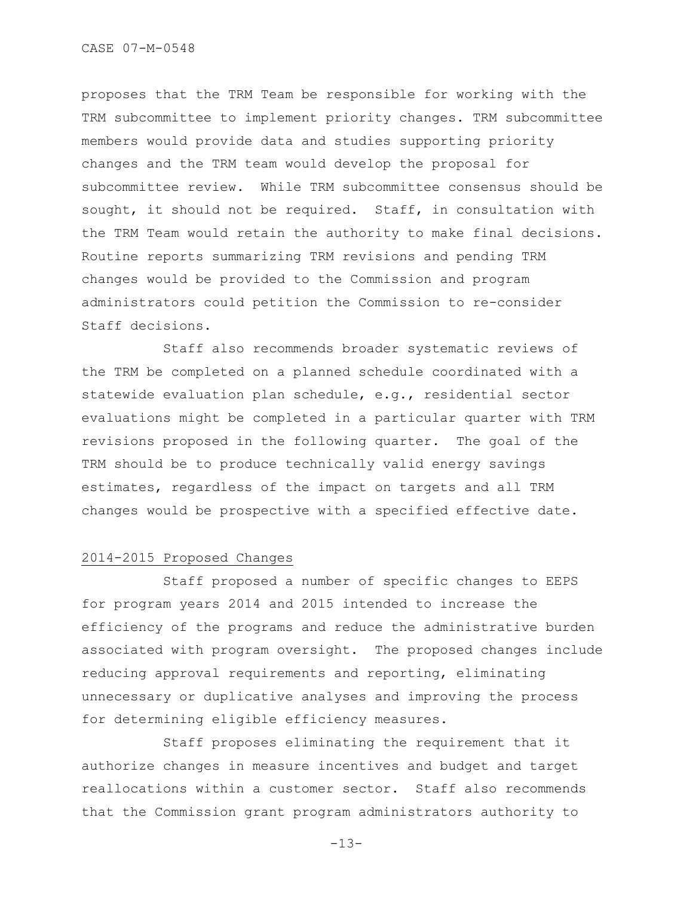proposes that the TRM Team be responsible for working with the TRM subcommittee to implement priority changes. TRM subcommittee members would provide data and studies supporting priority changes and the TRM team would develop the proposal for subcommittee review. While TRM subcommittee consensus should be sought, it should not be required. Staff, in consultation with the TRM Team would retain the authority to make final decisions. Routine reports summarizing TRM revisions and pending TRM changes would be provided to the Commission and program administrators could petition the Commission to re-consider Staff decisions.

Staff also recommends broader systematic reviews of the TRM be completed on a planned schedule coordinated with a statewide evaluation plan schedule, e.g., residential sector evaluations might be completed in a particular quarter with TRM revisions proposed in the following quarter. The goal of the TRM should be to produce technically valid energy savings estimates, regardless of the impact on targets and all TRM changes would be prospective with a specified effective date.

### 2014-2015 Proposed Changes

Staff proposed a number of specific changes to EEPS for program years 2014 and 2015 intended to increase the efficiency of the programs and reduce the administrative burden associated with program oversight. The proposed changes include reducing approval requirements and reporting, eliminating unnecessary or duplicative analyses and improving the process for determining eligible efficiency measures.

Staff proposes eliminating the requirement that it authorize changes in measure incentives and budget and target reallocations within a customer sector. Staff also recommends that the Commission grant program administrators authority to

-13-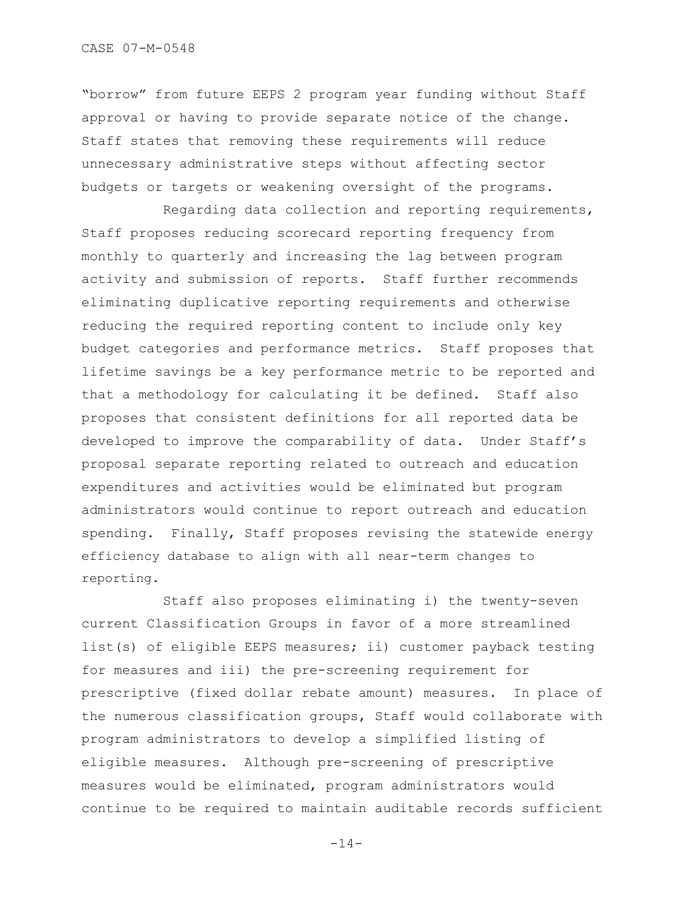"borrow" from future EEPS 2 program year funding without Staff approval or having to provide separate notice of the change. Staff states that removing these requirements will reduce unnecessary administrative steps without affecting sector budgets or targets or weakening oversight of the programs.

Regarding data collection and reporting requirements, Staff proposes reducing scorecard reporting frequency from monthly to quarterly and increasing the lag between program activity and submission of reports. Staff further recommends eliminating duplicative reporting requirements and otherwise reducing the required reporting content to include only key budget categories and performance metrics. Staff proposes that lifetime savings be a key performance metric to be reported and that a methodology for calculating it be defined. Staff also proposes that consistent definitions for all reported data be developed to improve the comparability of data. Under Staff"s proposal separate reporting related to outreach and education expenditures and activities would be eliminated but program administrators would continue to report outreach and education spending. Finally, Staff proposes revising the statewide energy efficiency database to align with all near-term changes to reporting.

Staff also proposes eliminating i) the twenty-seven current Classification Groups in favor of a more streamlined list(s) of eligible EEPS measures; ii) customer payback testing for measures and iii) the pre-screening requirement for prescriptive (fixed dollar rebate amount) measures. In place of the numerous classification groups, Staff would collaborate with program administrators to develop a simplified listing of eligible measures. Although pre-screening of prescriptive measures would be eliminated, program administrators would continue to be required to maintain auditable records sufficient

 $-14-$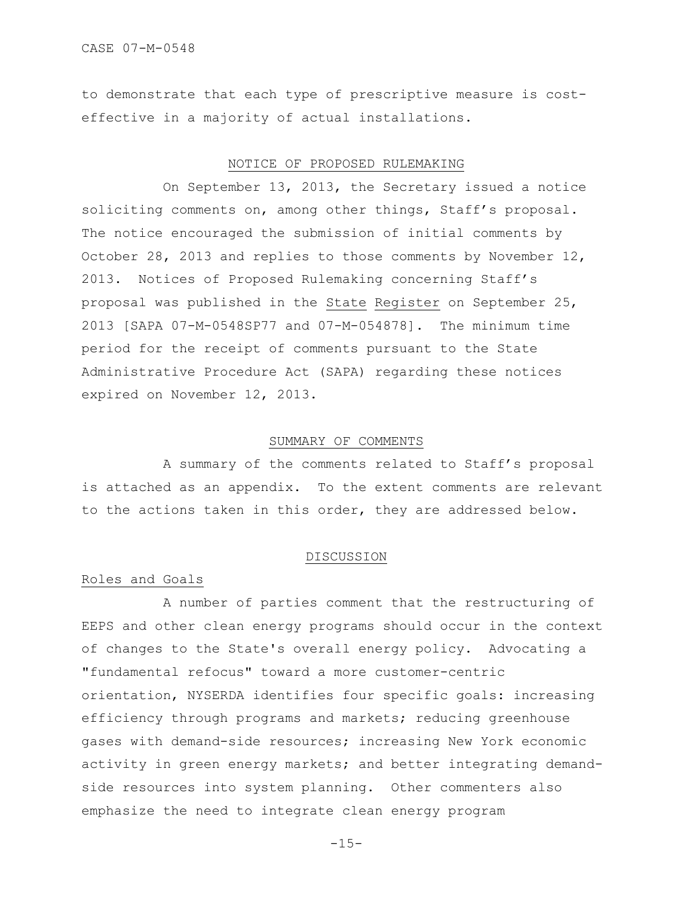to demonstrate that each type of prescriptive measure is costeffective in a majority of actual installations.

## NOTICE OF PROPOSED RULEMAKING

On September 13, 2013, the Secretary issued a notice soliciting comments on, among other things, Staff's proposal. The notice encouraged the submission of initial comments by October 28, 2013 and replies to those comments by November 12, 2013. Notices of Proposed Rulemaking concerning Staff"s proposal was published in the State Register on September 25, 2013 [SAPA 07-M-0548SP77 and 07-M-054878]. The minimum time period for the receipt of comments pursuant to the State Administrative Procedure Act (SAPA) regarding these notices expired on November 12, 2013.

### SUMMARY OF COMMENTS

A summary of the comments related to Staff"s proposal is attached as an appendix. To the extent comments are relevant to the actions taken in this order, they are addressed below.

#### DISCUSSION

## Roles and Goals

A number of parties comment that the restructuring of EEPS and other clean energy programs should occur in the context of changes to the State's overall energy policy. Advocating a "fundamental refocus" toward a more customer-centric orientation, NYSERDA identifies four specific goals: increasing efficiency through programs and markets; reducing greenhouse gases with demand-side resources; increasing New York economic activity in green energy markets; and better integrating demandside resources into system planning. Other commenters also emphasize the need to integrate clean energy program

 $-1.5-$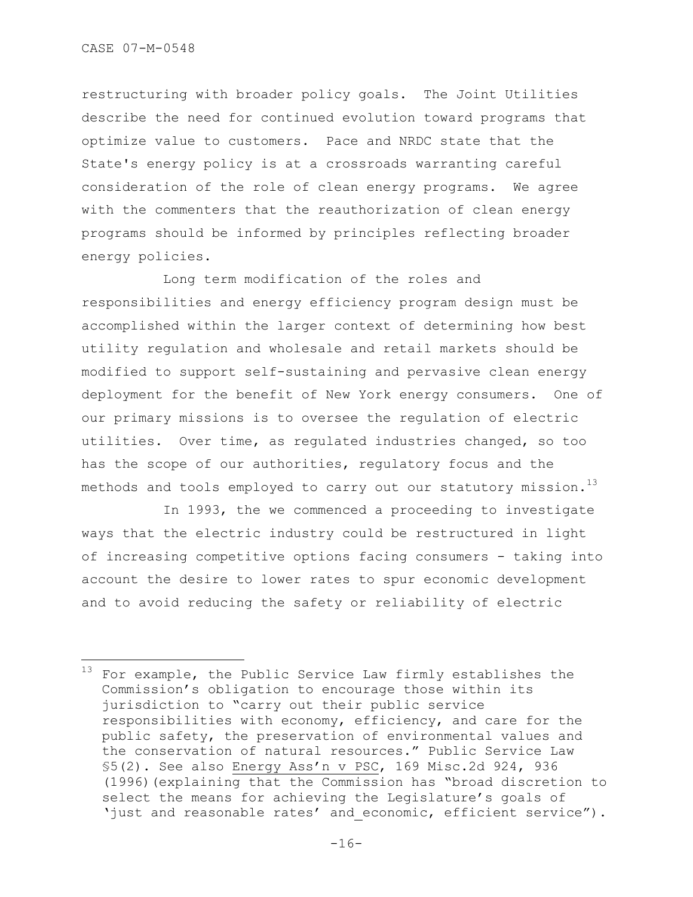÷.

restructuring with broader policy goals. The Joint Utilities describe the need for continued evolution toward programs that optimize value to customers. Pace and NRDC state that the State's energy policy is at a crossroads warranting careful consideration of the role of clean energy programs. We agree with the commenters that the reauthorization of clean energy programs should be informed by principles reflecting broader energy policies.

Long term modification of the roles and responsibilities and energy efficiency program design must be accomplished within the larger context of determining how best utility regulation and wholesale and retail markets should be modified to support self-sustaining and pervasive clean energy deployment for the benefit of New York energy consumers. One of our primary missions is to oversee the regulation of electric utilities. Over time, as regulated industries changed, so too has the scope of our authorities, regulatory focus and the methods and tools employed to carry out our statutory mission. $^{13}$ 

In 1993, the we commenced a proceeding to investigate ways that the electric industry could be restructured in light of increasing competitive options facing consumers - taking into account the desire to lower rates to spur economic development and to avoid reducing the safety or reliability of electric

 $13$  For example, the Public Service Law firmly establishes the Commission"s obligation to encourage those within its jurisdiction to "carry out their public service responsibilities with economy, efficiency, and care for the public safety, the preservation of environmental values and the conservation of natural resources." Public Service Law §5(2). See also Energy Ass"n v PSC, 169 Misc.2d 924, 936 (1996)(explaining that the Commission has "broad discretion to select the means for achieving the Legislature's goals of 'just and reasonable rates' and economic, efficient service").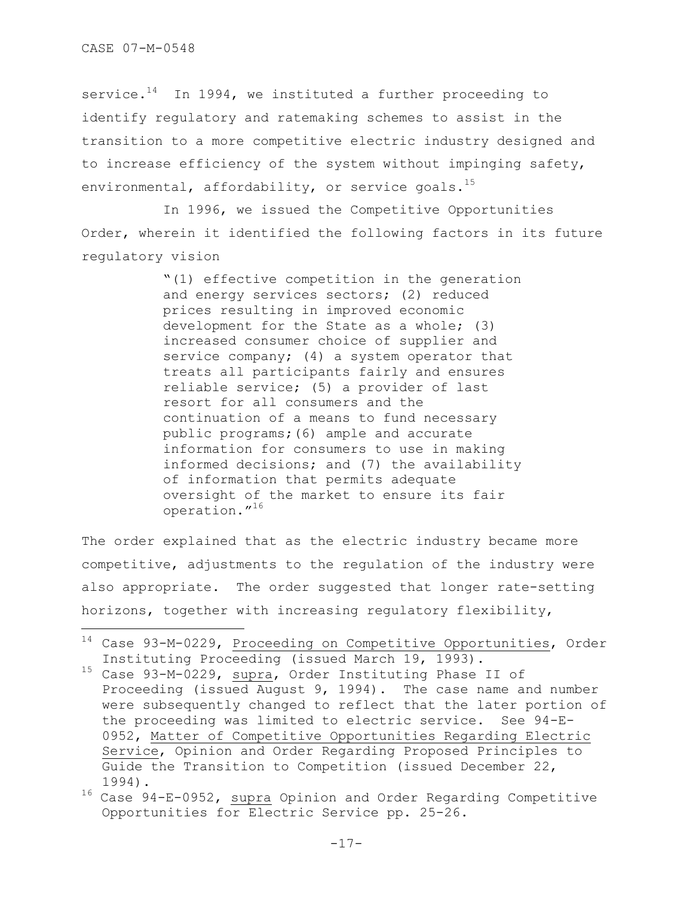÷.

service. $14$  In 1994, we instituted a further proceeding to identify regulatory and ratemaking schemes to assist in the transition to a more competitive electric industry designed and to increase efficiency of the system without impinging safety, environmental, affordability, or service goals.<sup>15</sup>

In 1996, we issued the Competitive Opportunities Order, wherein it identified the following factors in its future regulatory vision

> "(1) effective competition in the generation and energy services sectors; (2) reduced prices resulting in improved economic development for the State as a whole; (3) increased consumer choice of supplier and service company; (4) a system operator that treats all participants fairly and ensures reliable service; (5) a provider of last resort for all consumers and the continuation of a means to fund necessary public programs;(6) ample and accurate information for consumers to use in making informed decisions; and (7) the availability of information that permits adequate oversight of the market to ensure its fair operation."<sup>16</sup>

The order explained that as the electric industry became more competitive, adjustments to the regulation of the industry were also appropriate. The order suggested that longer rate-setting horizons, together with increasing regulatory flexibility,

<sup>14</sup> Case 93-M-0229, Proceeding on Competitive Opportunities, Order Instituting Proceeding (issued March 19, 1993).

<sup>15</sup> Case 93-M-0229, supra, Order Instituting Phase II of Proceeding (issued August 9, 1994). The case name and number were subsequently changed to reflect that the later portion of the proceeding was limited to electric service. See 94-E-0952, Matter of Competitive Opportunities Regarding Electric Service, Opinion and Order Regarding Proposed Principles to Guide the Transition to Competition (issued December 22, 1994).

<sup>16</sup> Case 94-E-0952, supra Opinion and Order Regarding Competitive Opportunities for Electric Service pp. 25-26.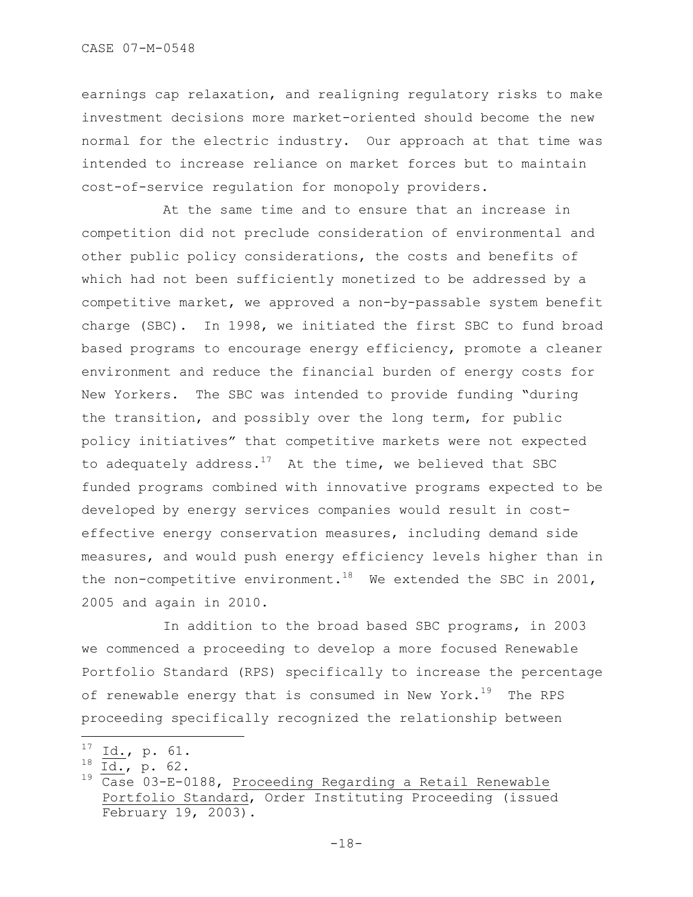earnings cap relaxation, and realigning regulatory risks to make investment decisions more market-oriented should become the new normal for the electric industry. Our approach at that time was intended to increase reliance on market forces but to maintain cost-of-service regulation for monopoly providers.

At the same time and to ensure that an increase in competition did not preclude consideration of environmental and other public policy considerations, the costs and benefits of which had not been sufficiently monetized to be addressed by a competitive market, we approved a non-by-passable system benefit charge (SBC). In 1998, we initiated the first SBC to fund broad based programs to encourage energy efficiency, promote a cleaner environment and reduce the financial burden of energy costs for New Yorkers. The SBC was intended to provide funding "during the transition, and possibly over the long term, for public policy initiatives" that competitive markets were not expected to adequately address.<sup>17</sup> At the time, we believed that SBC funded programs combined with innovative programs expected to be developed by energy services companies would result in costeffective energy conservation measures, including demand side measures, and would push energy efficiency levels higher than in the non-competitive environment.<sup>18</sup> We extended the SBC in 2001, 2005 and again in 2010.

In addition to the broad based SBC programs, in 2003 we commenced a proceeding to develop a more focused Renewable Portfolio Standard (RPS) specifically to increase the percentage of renewable energy that is consumed in New York.<sup>19</sup> The RPS proceeding specifically recognized the relationship between

 $17$ Id., p. 61.

 $^{18}$  Id., p. 62.

<sup>19</sup> Case 03-E-0188, Proceeding Regarding a Retail Renewable Portfolio Standard, Order Instituting Proceeding (issued February 19, 2003).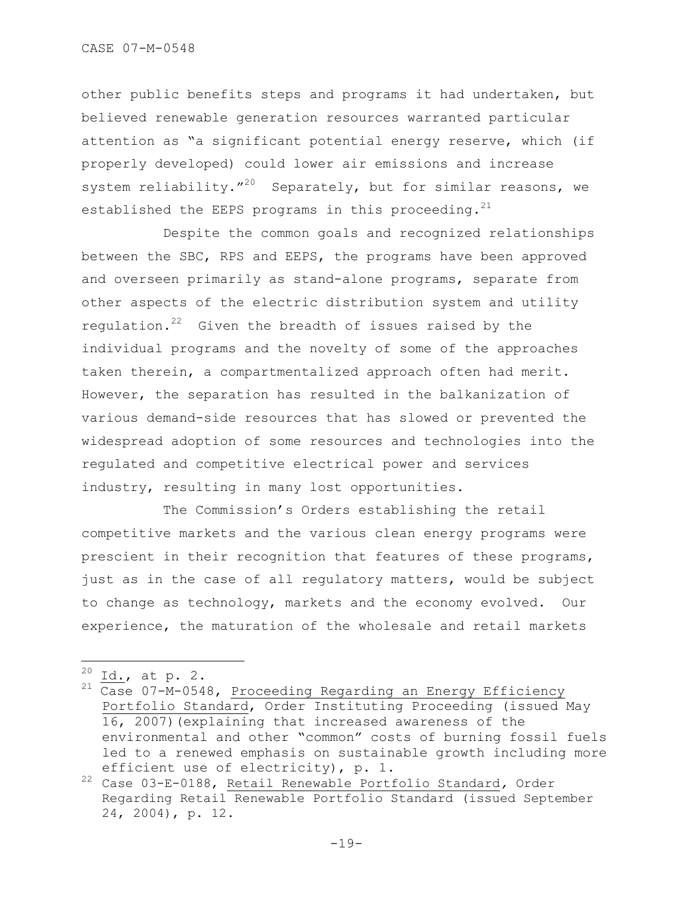other public benefits steps and programs it had undertaken, but believed renewable generation resources warranted particular attention as "a significant potential energy reserve, which (if properly developed) could lower air emissions and increase system reliability."<sup>20</sup> Separately, but for similar reasons, we established the EEPS programs in this proceeding. $^{21}$ 

Despite the common goals and recognized relationships between the SBC, RPS and EEPS, the programs have been approved and overseen primarily as stand-alone programs, separate from other aspects of the electric distribution system and utility requlation. $22$  Given the breadth of issues raised by the individual programs and the novelty of some of the approaches taken therein, a compartmentalized approach often had merit. However, the separation has resulted in the balkanization of various demand-side resources that has slowed or prevented the widespread adoption of some resources and technologies into the regulated and competitive electrical power and services industry, resulting in many lost opportunities.

The Commission's Orders establishing the retail competitive markets and the various clean energy programs were prescient in their recognition that features of these programs, just as in the case of all regulatory matters, would be subject to change as technology, markets and the economy evolved. Our experience, the maturation of the wholesale and retail markets

<sup>20</sup>  $\frac{20}{21}$   $\frac{Id.}{C}$ , at p. 2.

Case 07-M-0548, Proceeding Regarding an Energy Efficiency Portfolio Standard, Order Instituting Proceeding (issued May 16, 2007)(explaining that increased awareness of the environmental and other "common" costs of burning fossil fuels led to a renewed emphasis on sustainable growth including more efficient use of electricity), p. 1.

<sup>22</sup> Case 03-E-0188, Retail Renewable Portfolio Standard*,* Order Regarding Retail Renewable Portfolio Standard (issued September 24, 2004), p. 12.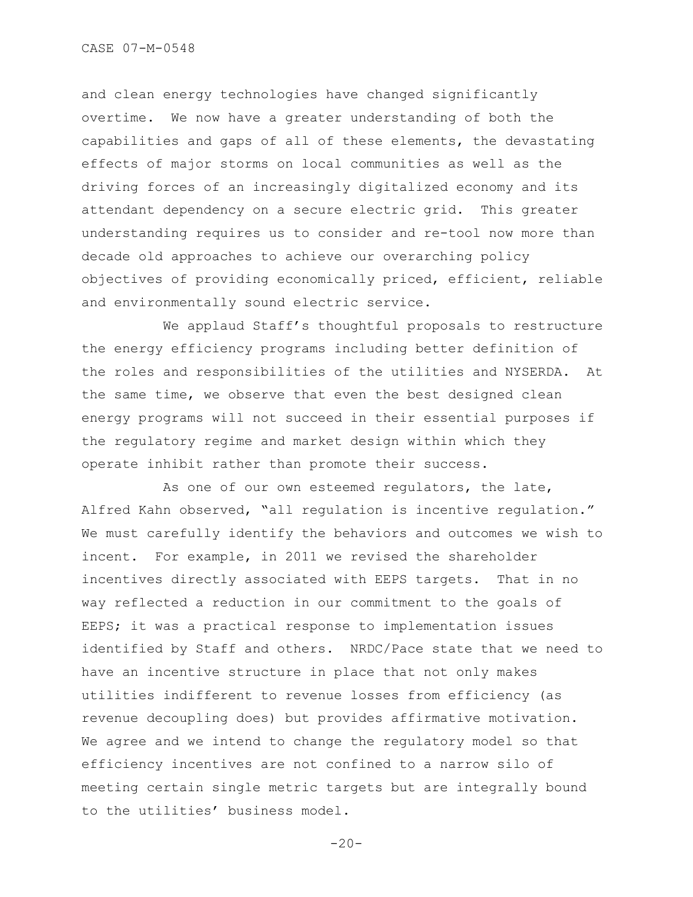and clean energy technologies have changed significantly overtime. We now have a greater understanding of both the capabilities and gaps of all of these elements, the devastating effects of major storms on local communities as well as the driving forces of an increasingly digitalized economy and its attendant dependency on a secure electric grid. This greater understanding requires us to consider and re-tool now more than decade old approaches to achieve our overarching policy objectives of providing economically priced, efficient, reliable and environmentally sound electric service.

We applaud Staff"s thoughtful proposals to restructure the energy efficiency programs including better definition of the roles and responsibilities of the utilities and NYSERDA. At the same time, we observe that even the best designed clean energy programs will not succeed in their essential purposes if the regulatory regime and market design within which they operate inhibit rather than promote their success.

As one of our own esteemed regulators, the late, Alfred Kahn observed, "all regulation is incentive regulation." We must carefully identify the behaviors and outcomes we wish to incent. For example, in 2011 we revised the shareholder incentives directly associated with EEPS targets. That in no way reflected a reduction in our commitment to the goals of EEPS; it was a practical response to implementation issues identified by Staff and others. NRDC/Pace state that we need to have an incentive structure in place that not only makes utilities indifferent to revenue losses from efficiency (as revenue decoupling does) but provides affirmative motivation. We agree and we intend to change the regulatory model so that efficiency incentives are not confined to a narrow silo of meeting certain single metric targets but are integrally bound to the utilities' business model.

 $-20-$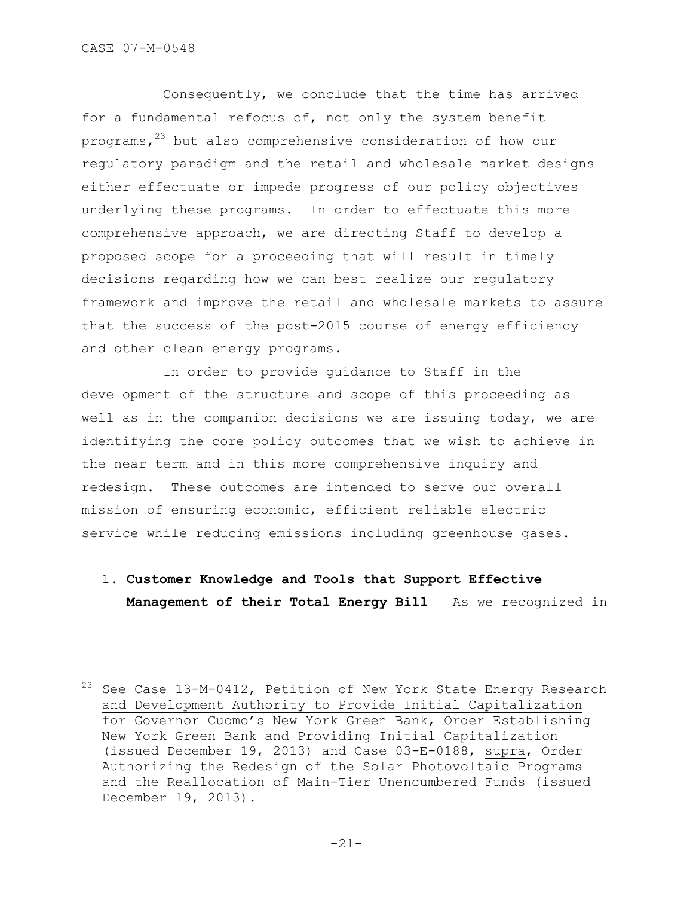÷.

Consequently, we conclude that the time has arrived for a fundamental refocus of, not only the system benefit programs, $23$  but also comprehensive consideration of how our regulatory paradigm and the retail and wholesale market designs either effectuate or impede progress of our policy objectives underlying these programs. In order to effectuate this more comprehensive approach, we are directing Staff to develop a proposed scope for a proceeding that will result in timely decisions regarding how we can best realize our regulatory framework and improve the retail and wholesale markets to assure that the success of the post-2015 course of energy efficiency and other clean energy programs.

In order to provide guidance to Staff in the development of the structure and scope of this proceeding as well as in the companion decisions we are issuing today, we are identifying the core policy outcomes that we wish to achieve in the near term and in this more comprehensive inquiry and redesign. These outcomes are intended to serve our overall mission of ensuring economic, efficient reliable electric service while reducing emissions including greenhouse gases.

1. **Customer Knowledge and Tools that Support Effective Management of their Total Energy Bill** – As we recognized in

 $^{23}$  See Case 13-M-0412, Petition of New York State Energy Research and Development Authority to Provide Initial Capitalization for Governor Cuomo"s New York Green Bank, Order Establishing New York Green Bank and Providing Initial Capitalization (issued December 19, 2013) and Case 03-E-0188, supra, Order Authorizing the Redesign of the Solar Photovoltaic Programs and the Reallocation of Main-Tier Unencumbered Funds (issued December 19, 2013).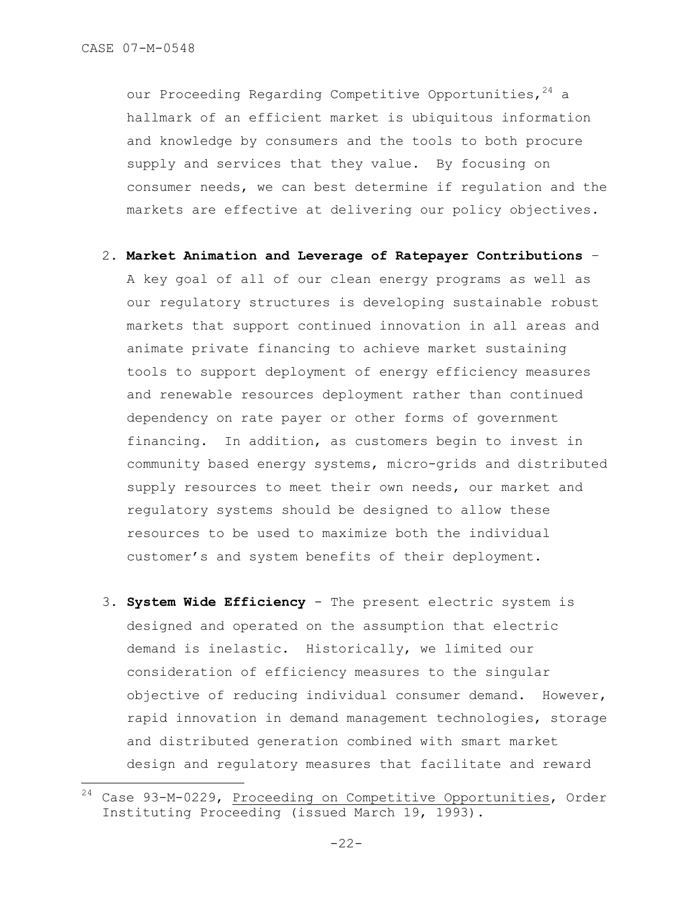÷.

our Proceeding Regarding Competitive Opportunities, 24 a hallmark of an efficient market is ubiquitous information and knowledge by consumers and the tools to both procure supply and services that they value. By focusing on consumer needs, we can best determine if regulation and the markets are effective at delivering our policy objectives.

- 2. **Market Animation and Leverage of Ratepayer Contributions**  A key goal of all of our clean energy programs as well as our regulatory structures is developing sustainable robust markets that support continued innovation in all areas and animate private financing to achieve market sustaining tools to support deployment of energy efficiency measures and renewable resources deployment rather than continued dependency on rate payer or other forms of government financing. In addition, as customers begin to invest in community based energy systems, micro-grids and distributed supply resources to meet their own needs, our market and regulatory systems should be designed to allow these resources to be used to maximize both the individual customer"s and system benefits of their deployment.
- 3. **System Wide Efficiency**  The present electric system is designed and operated on the assumption that electric demand is inelastic. Historically, we limited our consideration of efficiency measures to the singular objective of reducing individual consumer demand. However, rapid innovation in demand management technologies, storage and distributed generation combined with smart market design and regulatory measures that facilitate and reward

<sup>24</sup> Case 93-M-0229, Proceeding on Competitive Opportunities, Order Instituting Proceeding (issued March 19, 1993).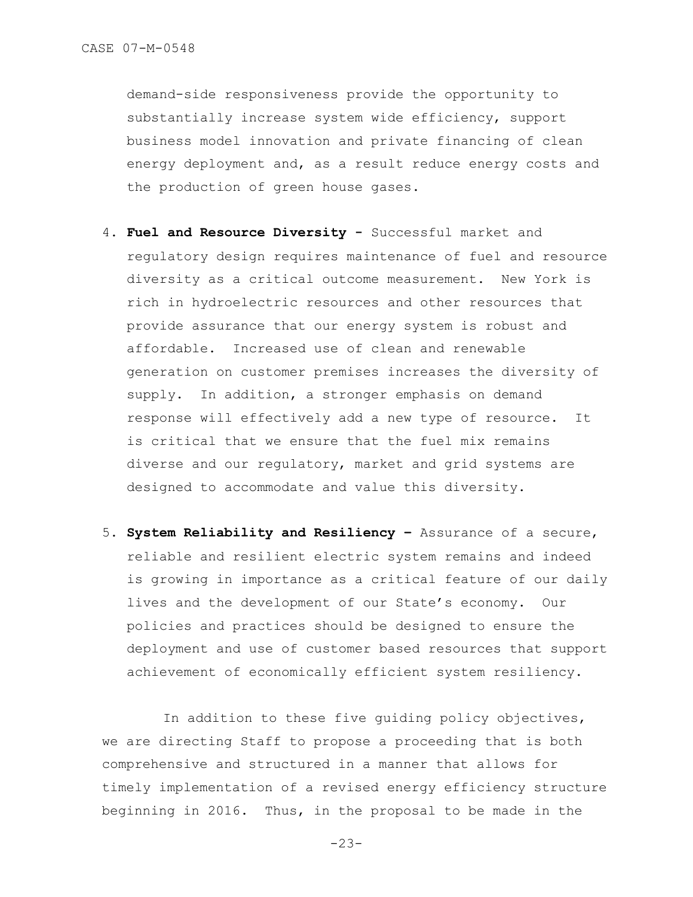demand-side responsiveness provide the opportunity to substantially increase system wide efficiency, support business model innovation and private financing of clean energy deployment and, as a result reduce energy costs and the production of green house gases.

- 4. **Fuel and Resource Diversity -** Successful market and regulatory design requires maintenance of fuel and resource diversity as a critical outcome measurement. New York is rich in hydroelectric resources and other resources that provide assurance that our energy system is robust and affordable. Increased use of clean and renewable generation on customer premises increases the diversity of supply. In addition, a stronger emphasis on demand response will effectively add a new type of resource. It is critical that we ensure that the fuel mix remains diverse and our regulatory, market and grid systems are designed to accommodate and value this diversity.
- 5. **System Reliability and Resiliency –** Assurance of a secure, reliable and resilient electric system remains and indeed is growing in importance as a critical feature of our daily lives and the development of our State"s economy. Our policies and practices should be designed to ensure the deployment and use of customer based resources that support achievement of economically efficient system resiliency.

In addition to these five quiding policy objectives, we are directing Staff to propose a proceeding that is both comprehensive and structured in a manner that allows for timely implementation of a revised energy efficiency structure beginning in 2016. Thus, in the proposal to be made in the

-23-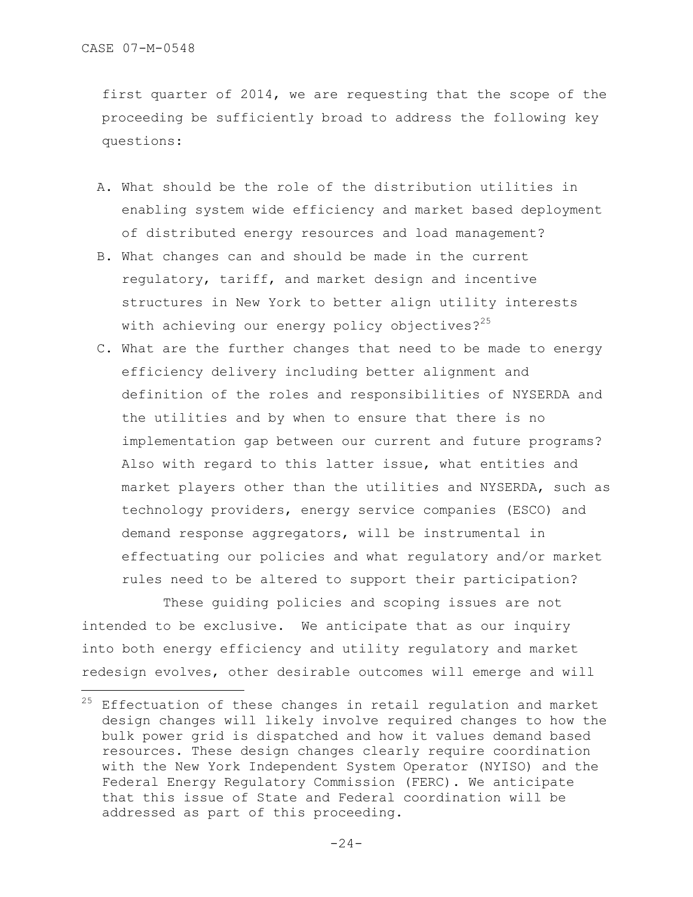÷.

first quarter of 2014, we are requesting that the scope of the proceeding be sufficiently broad to address the following key questions:

- A. What should be the role of the distribution utilities in enabling system wide efficiency and market based deployment of distributed energy resources and load management?
- B. What changes can and should be made in the current regulatory, tariff, and market design and incentive structures in New York to better align utility interests with achieving our energy policy objectives? $25$
- C. What are the further changes that need to be made to energy efficiency delivery including better alignment and definition of the roles and responsibilities of NYSERDA and the utilities and by when to ensure that there is no implementation gap between our current and future programs? Also with regard to this latter issue, what entities and market players other than the utilities and NYSERDA, such as technology providers, energy service companies (ESCO) and demand response aggregators, will be instrumental in effectuating our policies and what regulatory and/or market rules need to be altered to support their participation?

These guiding policies and scoping issues are not intended to be exclusive. We anticipate that as our inquiry into both energy efficiency and utility regulatory and market redesign evolves, other desirable outcomes will emerge and will

 $^{25}$  Effectuation of these changes in retail regulation and market design changes will likely involve required changes to how the bulk power grid is dispatched and how it values demand based resources. These design changes clearly require coordination with the New York Independent System Operator (NYISO) and the Federal Energy Regulatory Commission (FERC). We anticipate that this issue of State and Federal coordination will be addressed as part of this proceeding.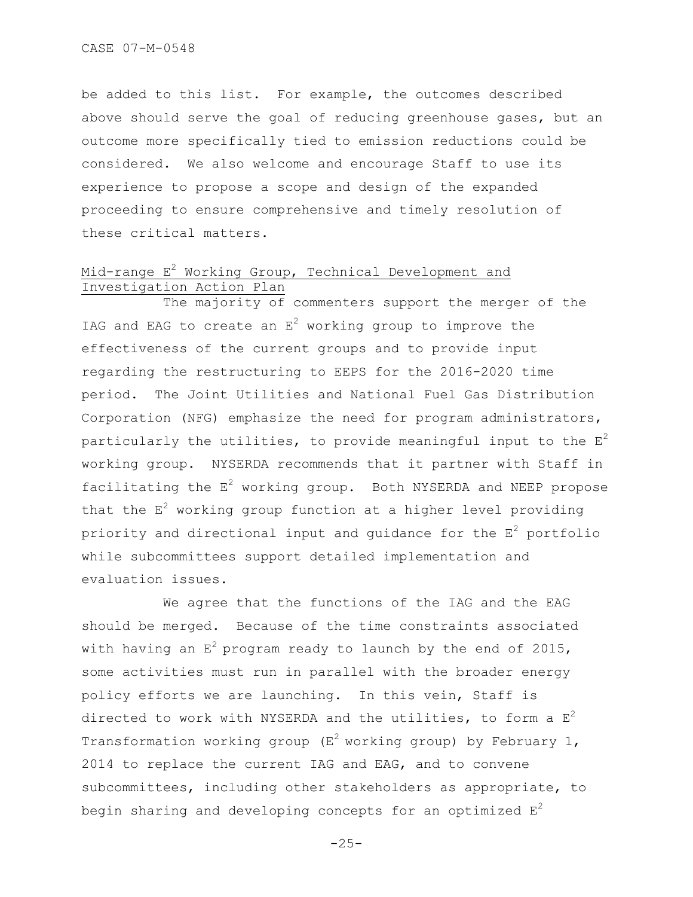be added to this list. For example, the outcomes described above should serve the goal of reducing greenhouse gases, but an outcome more specifically tied to emission reductions could be considered. We also welcome and encourage Staff to use its experience to propose a scope and design of the expanded proceeding to ensure comprehensive and timely resolution of these critical matters.

# Mid-range  $E^2$  Working Group, Technical Development and Investigation Action Plan

The majority of commenters support the merger of the IAG and EAG to create an  $E^2$  working group to improve the effectiveness of the current groups and to provide input regarding the restructuring to EEPS for the 2016-2020 time period. The Joint Utilities and National Fuel Gas Distribution Corporation (NFG) emphasize the need for program administrators, particularly the utilities, to provide meaningful input to the  $E^2$ working group. NYSERDA recommends that it partner with Staff in facilitating the  $E^2$  working group. Both NYSERDA and NEEP propose that the  $E<sup>2</sup>$  working group function at a higher level providing priority and directional input and guidance for the  $E^2$  portfolio while subcommittees support detailed implementation and evaluation issues.

We agree that the functions of the IAG and the EAG should be merged. Because of the time constraints associated with having an  $E^2$  program ready to launch by the end of 2015, some activities must run in parallel with the broader energy policy efforts we are launching. In this vein, Staff is directed to work with NYSERDA and the utilities, to form a  $E^2$ Transformation working group ( $E^2$  working group) by February 1, 2014 to replace the current IAG and EAG, and to convene subcommittees, including other stakeholders as appropriate, to begin sharing and developing concepts for an optimized  $E^2$ 

```
-25-
```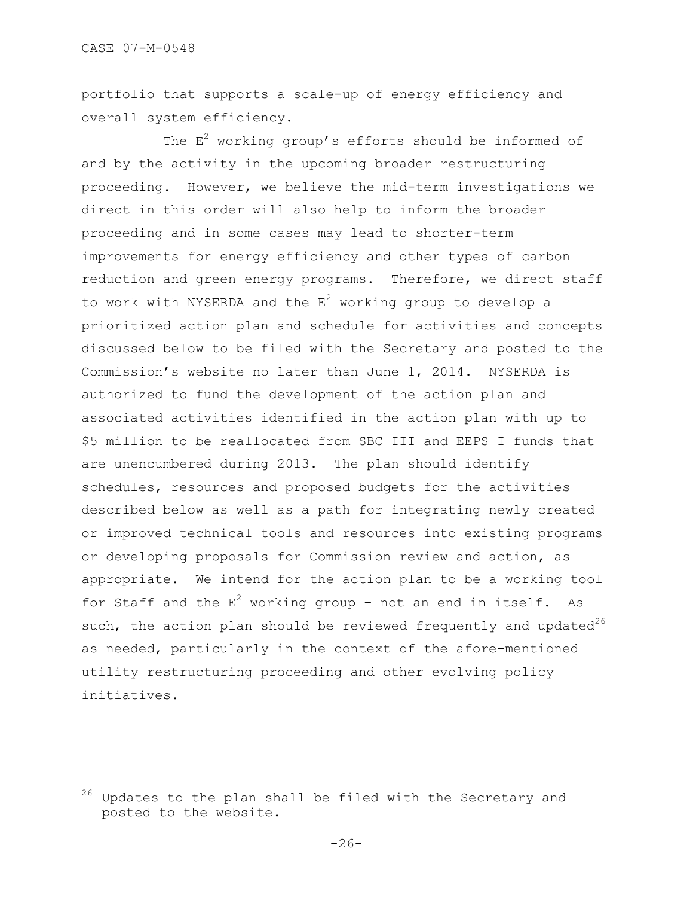i<br>L

portfolio that supports a scale-up of energy efficiency and overall system efficiency.

The  $E^2$  working group's efforts should be informed of and by the activity in the upcoming broader restructuring proceeding. However, we believe the mid-term investigations we direct in this order will also help to inform the broader proceeding and in some cases may lead to shorter-term improvements for energy efficiency and other types of carbon reduction and green energy programs. Therefore, we direct staff to work with NYSERDA and the  $E^2$  working group to develop a prioritized action plan and schedule for activities and concepts discussed below to be filed with the Secretary and posted to the Commission"s website no later than June 1, 2014. NYSERDA is authorized to fund the development of the action plan and associated activities identified in the action plan with up to \$5 million to be reallocated from SBC III and EEPS I funds that are unencumbered during 2013. The plan should identify schedules, resources and proposed budgets for the activities described below as well as a path for integrating newly created or improved technical tools and resources into existing programs or developing proposals for Commission review and action, as appropriate. We intend for the action plan to be a working tool for Staff and the  $E^2$  working group - not an end in itself. As such, the action plan should be reviewed frequently and updated $26$ as needed, particularly in the context of the afore-mentioned utility restructuring proceeding and other evolving policy initiatives.

<sup>&</sup>lt;sup>26</sup> Updates to the plan shall be filed with the Secretary and posted to the website.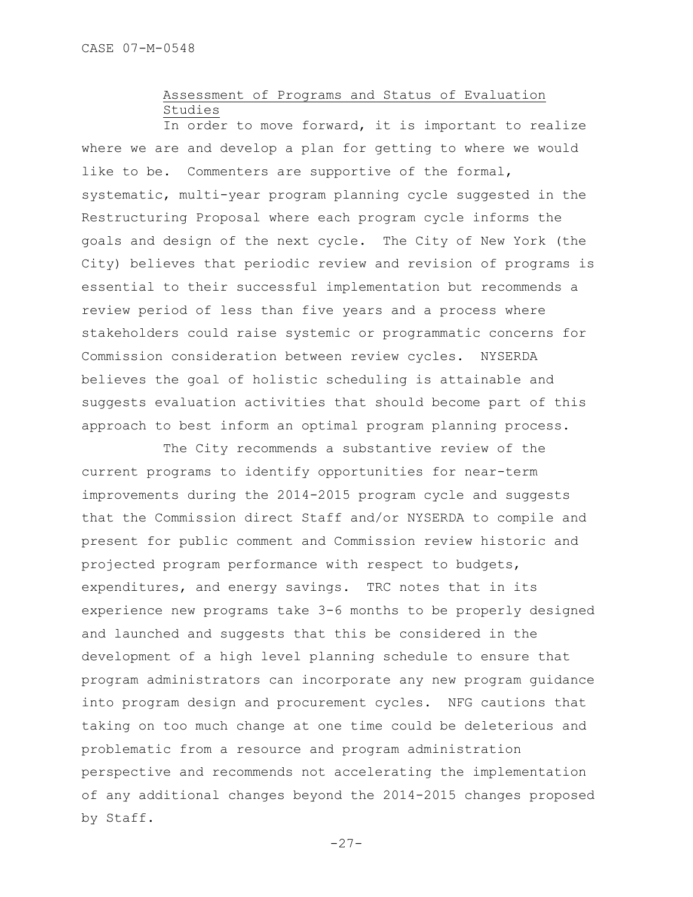# Assessment of Programs and Status of Evaluation Studies

In order to move forward, it is important to realize where we are and develop a plan for getting to where we would like to be. Commenters are supportive of the formal, systematic, multi-year program planning cycle suggested in the Restructuring Proposal where each program cycle informs the goals and design of the next cycle. The City of New York (the City) believes that periodic review and revision of programs is essential to their successful implementation but recommends a review period of less than five years and a process where stakeholders could raise systemic or programmatic concerns for Commission consideration between review cycles. NYSERDA believes the goal of holistic scheduling is attainable and suggests evaluation activities that should become part of this approach to best inform an optimal program planning process.

The City recommends a substantive review of the current programs to identify opportunities for near-term improvements during the 2014-2015 program cycle and suggests that the Commission direct Staff and/or NYSERDA to compile and present for public comment and Commission review historic and projected program performance with respect to budgets, expenditures, and energy savings. TRC notes that in its experience new programs take 3-6 months to be properly designed and launched and suggests that this be considered in the development of a high level planning schedule to ensure that program administrators can incorporate any new program guidance into program design and procurement cycles. NFG cautions that taking on too much change at one time could be deleterious and problematic from a resource and program administration perspective and recommends not accelerating the implementation of any additional changes beyond the 2014-2015 changes proposed by Staff.

 $-27-$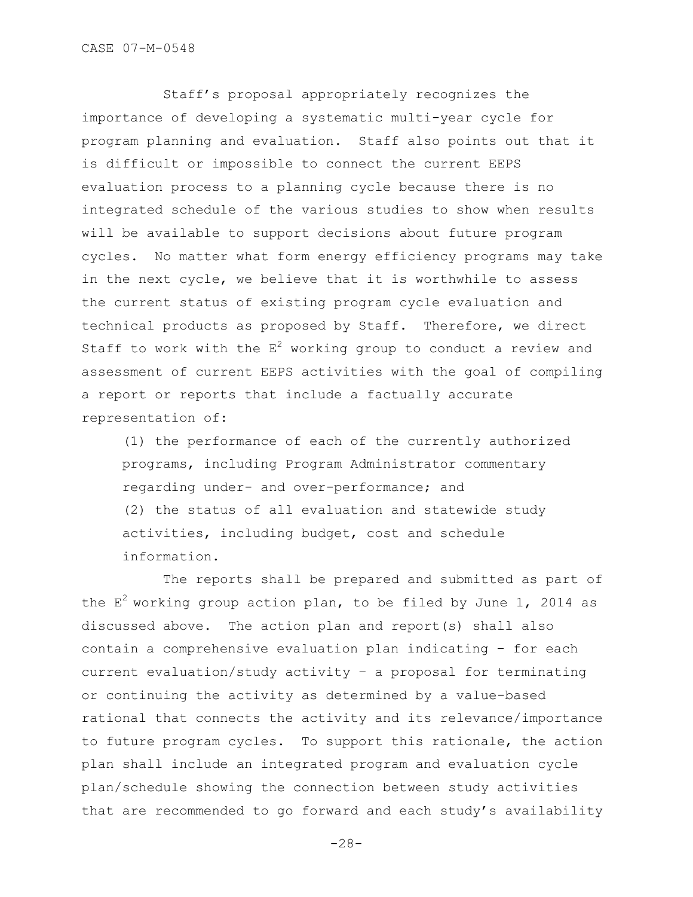Staff"s proposal appropriately recognizes the importance of developing a systematic multi-year cycle for program planning and evaluation. Staff also points out that it is difficult or impossible to connect the current EEPS evaluation process to a planning cycle because there is no integrated schedule of the various studies to show when results will be available to support decisions about future program cycles. No matter what form energy efficiency programs may take in the next cycle, we believe that it is worthwhile to assess the current status of existing program cycle evaluation and technical products as proposed by Staff. Therefore, we direct Staff to work with the  $E^2$  working group to conduct a review and assessment of current EEPS activities with the goal of compiling a report or reports that include a factually accurate representation of:

(1) the performance of each of the currently authorized programs, including Program Administrator commentary regarding under- and over-performance; and (2) the status of all evaluation and statewide study activities, including budget, cost and schedule information.

The reports shall be prepared and submitted as part of the  $E^2$  working group action plan, to be filed by June 1, 2014 as discussed above. The action plan and report(s) shall also contain a comprehensive evaluation plan indicating – for each current evaluation/study activity – a proposal for terminating or continuing the activity as determined by a value-based rational that connects the activity and its relevance/importance to future program cycles. To support this rationale, the action plan shall include an integrated program and evaluation cycle plan/schedule showing the connection between study activities that are recommended to go forward and each study"s availability

-28-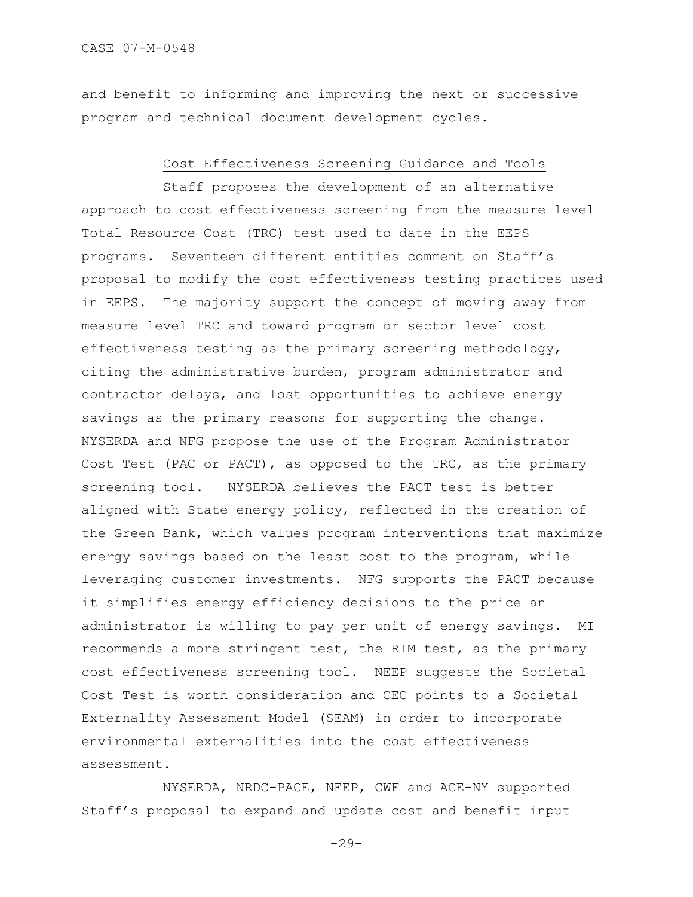and benefit to informing and improving the next or successive program and technical document development cycles.

#### Cost Effectiveness Screening Guidance and Tools

Staff proposes the development of an alternative approach to cost effectiveness screening from the measure level Total Resource Cost (TRC) test used to date in the EEPS programs. Seventeen different entities comment on Staff"s proposal to modify the cost effectiveness testing practices used in EEPS. The majority support the concept of moving away from measure level TRC and toward program or sector level cost effectiveness testing as the primary screening methodology, citing the administrative burden, program administrator and contractor delays, and lost opportunities to achieve energy savings as the primary reasons for supporting the change. NYSERDA and NFG propose the use of the Program Administrator Cost Test (PAC or PACT), as opposed to the TRC, as the primary screening tool. NYSERDA believes the PACT test is better aligned with State energy policy, reflected in the creation of the Green Bank, which values program interventions that maximize energy savings based on the least cost to the program, while leveraging customer investments. NFG supports the PACT because it simplifies energy efficiency decisions to the price an administrator is willing to pay per unit of energy savings. MI recommends a more stringent test, the RIM test, as the primary cost effectiveness screening tool. NEEP suggests the Societal Cost Test is worth consideration and CEC points to a Societal Externality Assessment Model (SEAM) in order to incorporate environmental externalities into the cost effectiveness assessment.

NYSERDA, NRDC-PACE, NEEP, CWF and ACE-NY supported Staff"s proposal to expand and update cost and benefit input

 $-29-$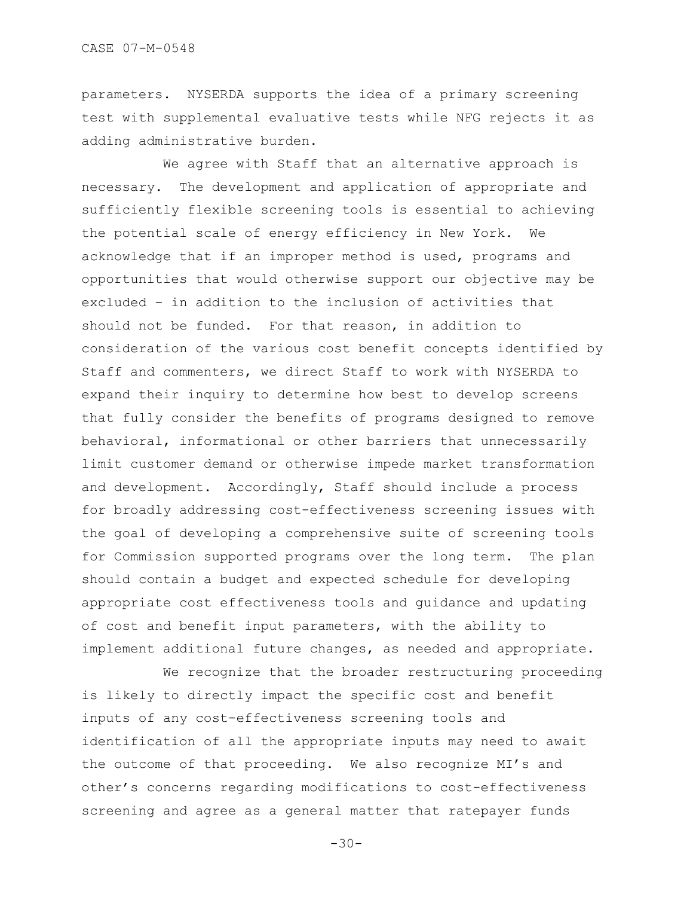parameters. NYSERDA supports the idea of a primary screening test with supplemental evaluative tests while NFG rejects it as adding administrative burden.

We agree with Staff that an alternative approach is necessary. The development and application of appropriate and sufficiently flexible screening tools is essential to achieving the potential scale of energy efficiency in New York. We acknowledge that if an improper method is used, programs and opportunities that would otherwise support our objective may be excluded – in addition to the inclusion of activities that should not be funded. For that reason, in addition to consideration of the various cost benefit concepts identified by Staff and commenters, we direct Staff to work with NYSERDA to expand their inquiry to determine how best to develop screens that fully consider the benefits of programs designed to remove behavioral, informational or other barriers that unnecessarily limit customer demand or otherwise impede market transformation and development. Accordingly, Staff should include a process for broadly addressing cost-effectiveness screening issues with the goal of developing a comprehensive suite of screening tools for Commission supported programs over the long term. The plan should contain a budget and expected schedule for developing appropriate cost effectiveness tools and guidance and updating of cost and benefit input parameters, with the ability to implement additional future changes, as needed and appropriate.

We recognize that the broader restructuring proceeding is likely to directly impact the specific cost and benefit inputs of any cost-effectiveness screening tools and identification of all the appropriate inputs may need to await the outcome of that proceeding. We also recognize MI's and other"s concerns regarding modifications to cost-effectiveness screening and agree as a general matter that ratepayer funds

 $-30-$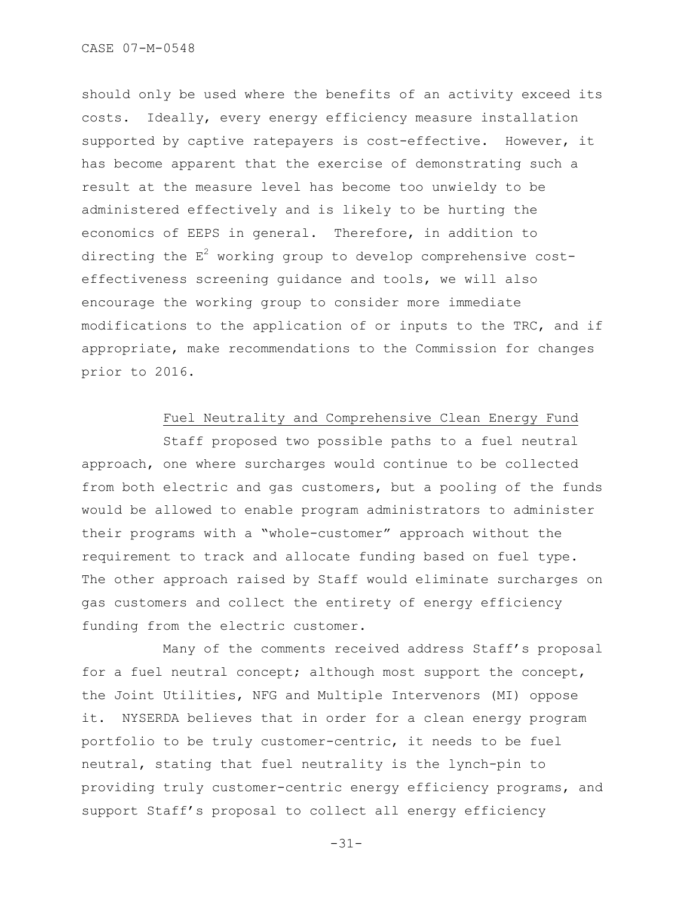should only be used where the benefits of an activity exceed its costs. Ideally, every energy efficiency measure installation supported by captive ratepayers is cost-effective. However, it has become apparent that the exercise of demonstrating such a result at the measure level has become too unwieldy to be administered effectively and is likely to be hurting the economics of EEPS in general. Therefore, in addition to directing the  $E^2$  working group to develop comprehensive costeffectiveness screening guidance and tools, we will also encourage the working group to consider more immediate modifications to the application of or inputs to the TRC, and if appropriate, make recommendations to the Commission for changes prior to 2016.

## Fuel Neutrality and Comprehensive Clean Energy Fund

Staff proposed two possible paths to a fuel neutral approach, one where surcharges would continue to be collected from both electric and gas customers, but a pooling of the funds would be allowed to enable program administrators to administer their programs with a "whole-customer" approach without the requirement to track and allocate funding based on fuel type. The other approach raised by Staff would eliminate surcharges on gas customers and collect the entirety of energy efficiency funding from the electric customer.

Many of the comments received address Staff"s proposal for a fuel neutral concept; although most support the concept, the Joint Utilities, NFG and Multiple Intervenors (MI) oppose it. NYSERDA believes that in order for a clean energy program portfolio to be truly customer-centric, it needs to be fuel neutral, stating that fuel neutrality is the lynch-pin to providing truly customer-centric energy efficiency programs, and support Staff"s proposal to collect all energy efficiency

-31-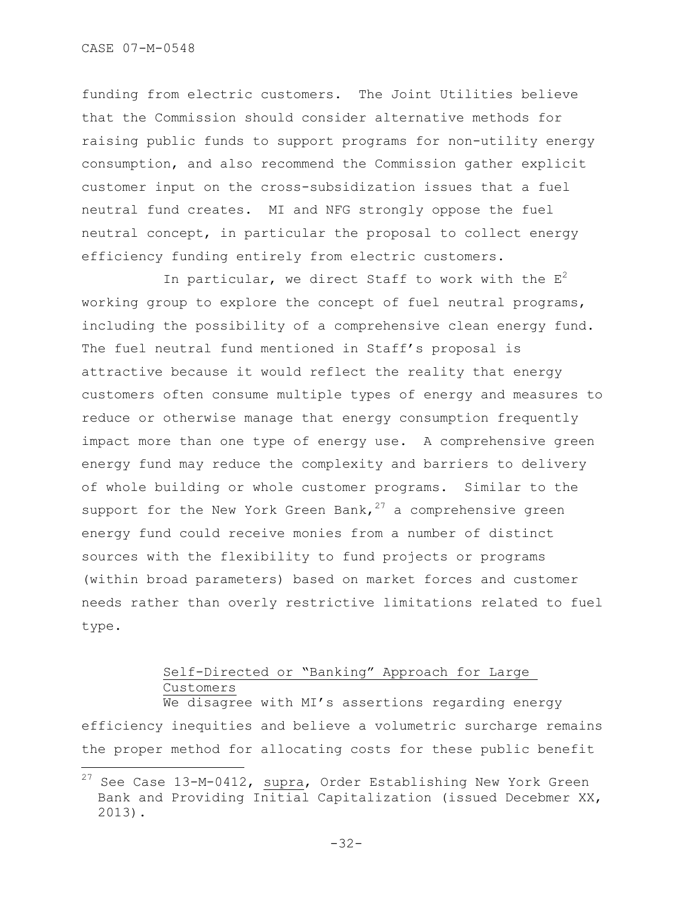i<br>L

funding from electric customers. The Joint Utilities believe that the Commission should consider alternative methods for raising public funds to support programs for non-utility energy consumption, and also recommend the Commission gather explicit customer input on the cross-subsidization issues that a fuel neutral fund creates. MI and NFG strongly oppose the fuel neutral concept, in particular the proposal to collect energy efficiency funding entirely from electric customers.

In particular, we direct Staff to work with the  $E^2$ working group to explore the concept of fuel neutral programs, including the possibility of a comprehensive clean energy fund. The fuel neutral fund mentioned in Staff's proposal is attractive because it would reflect the reality that energy customers often consume multiple types of energy and measures to reduce or otherwise manage that energy consumption frequently impact more than one type of energy use. A comprehensive green energy fund may reduce the complexity and barriers to delivery of whole building or whole customer programs. Similar to the support for the New York Green Bank,  $27$  a comprehensive green energy fund could receive monies from a number of distinct sources with the flexibility to fund projects or programs (within broad parameters) based on market forces and customer needs rather than overly restrictive limitations related to fuel type.

# Self-Directed or "Banking" Approach for Large Customers

We disagree with MI's assertions regarding energy efficiency inequities and believe a volumetric surcharge remains the proper method for allocating costs for these public benefit

 $27$  See Case 13-M-0412, supra, Order Establishing New York Green Bank and Providing Initial Capitalization (issued Decebmer XX, 2013).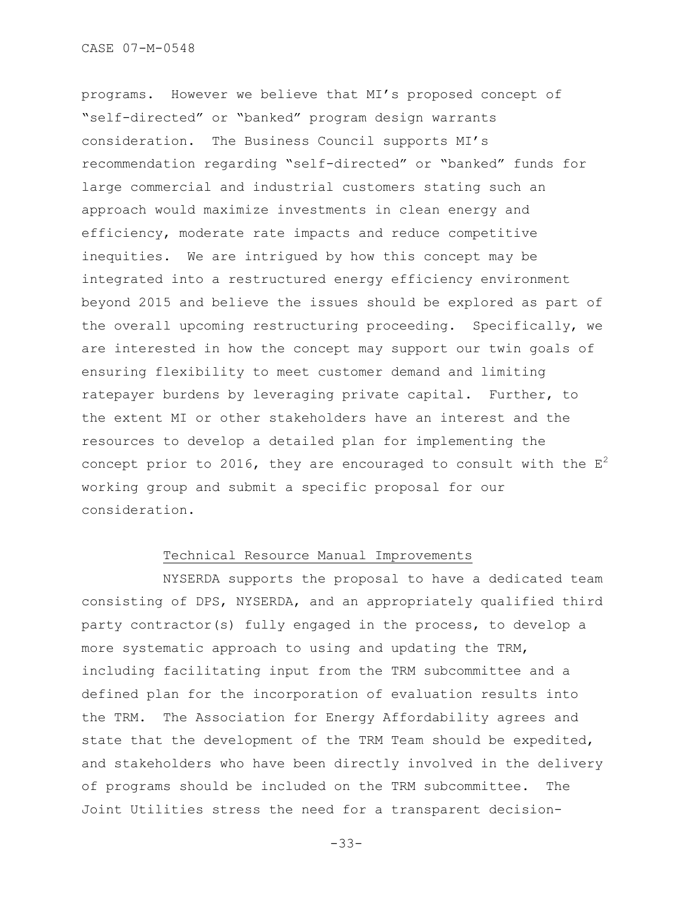programs. However we believe that MI"s proposed concept of "self-directed" or "banked" program design warrants consideration. The Business Council supports MI"s recommendation regarding "self-directed" or "banked" funds for large commercial and industrial customers stating such an approach would maximize investments in clean energy and efficiency, moderate rate impacts and reduce competitive inequities. We are intrigued by how this concept may be integrated into a restructured energy efficiency environment beyond 2015 and believe the issues should be explored as part of the overall upcoming restructuring proceeding. Specifically, we are interested in how the concept may support our twin goals of ensuring flexibility to meet customer demand and limiting ratepayer burdens by leveraging private capital. Further, to the extent MI or other stakeholders have an interest and the resources to develop a detailed plan for implementing the concept prior to 2016, they are encouraged to consult with the  $E^2$ working group and submit a specific proposal for our consideration.

## Technical Resource Manual Improvements

NYSERDA supports the proposal to have a dedicated team consisting of DPS, NYSERDA, and an appropriately qualified third party contractor(s) fully engaged in the process, to develop a more systematic approach to using and updating the TRM, including facilitating input from the TRM subcommittee and a defined plan for the incorporation of evaluation results into the TRM. The Association for Energy Affordability agrees and state that the development of the TRM Team should be expedited, and stakeholders who have been directly involved in the delivery of programs should be included on the TRM subcommittee. The Joint Utilities stress the need for a transparent decision-

-33-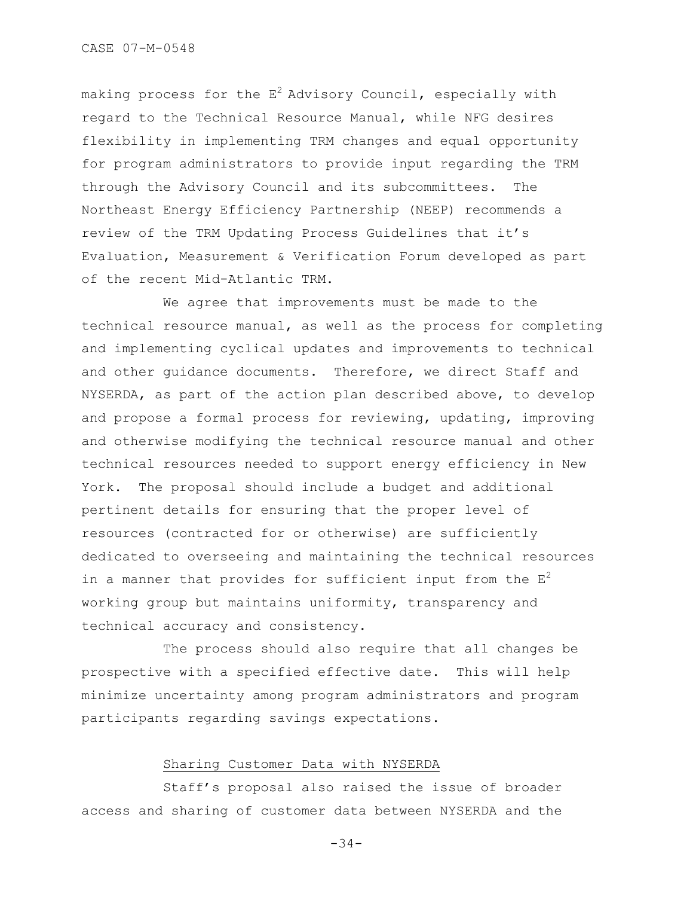making process for the  $E^2$  Advisory Council, especially with regard to the Technical Resource Manual, while NFG desires flexibility in implementing TRM changes and equal opportunity for program administrators to provide input regarding the TRM through the Advisory Council and its subcommittees. The Northeast Energy Efficiency Partnership (NEEP) recommends a review of the TRM Updating Process Guidelines that it"s Evaluation, Measurement & Verification Forum developed as part of the recent Mid-Atlantic TRM.

We agree that improvements must be made to the technical resource manual, as well as the process for completing and implementing cyclical updates and improvements to technical and other guidance documents. Therefore, we direct Staff and NYSERDA, as part of the action plan described above, to develop and propose a formal process for reviewing, updating, improving and otherwise modifying the technical resource manual and other technical resources needed to support energy efficiency in New York. The proposal should include a budget and additional pertinent details for ensuring that the proper level of resources (contracted for or otherwise) are sufficiently dedicated to overseeing and maintaining the technical resources in a manner that provides for sufficient input from the  $E^2$ working group but maintains uniformity, transparency and technical accuracy and consistency.

The process should also require that all changes be prospective with a specified effective date. This will help minimize uncertainty among program administrators and program participants regarding savings expectations.

## Sharing Customer Data with NYSERDA

Staff"s proposal also raised the issue of broader access and sharing of customer data between NYSERDA and the

-34-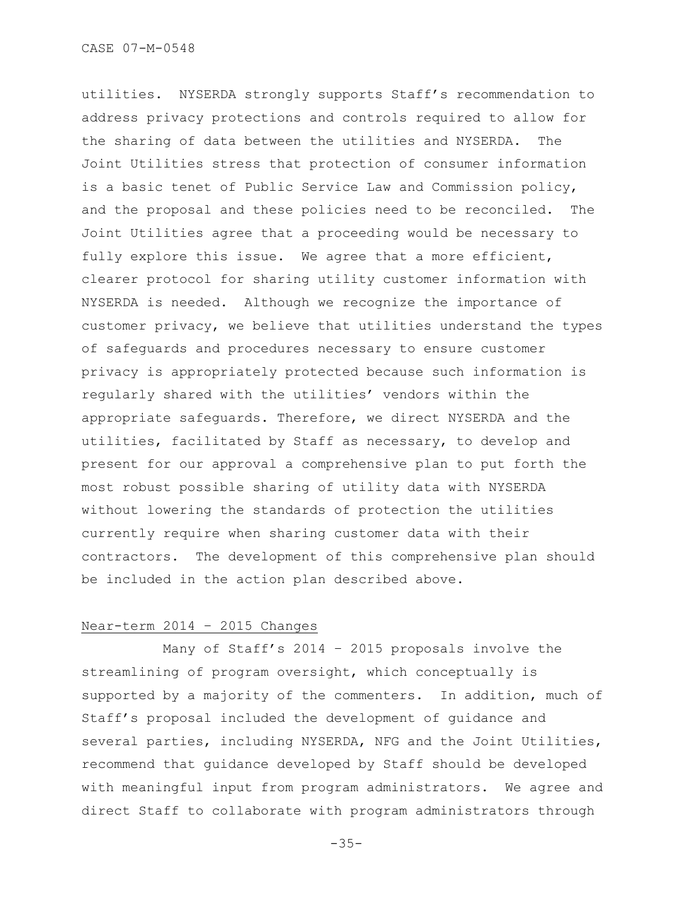utilities. NYSERDA strongly supports Staff"s recommendation to address privacy protections and controls required to allow for the sharing of data between the utilities and NYSERDA. Joint Utilities stress that protection of consumer information is a basic tenet of Public Service Law and Commission policy, and the proposal and these policies need to be reconciled. The Joint Utilities agree that a proceeding would be necessary to fully explore this issue. We agree that a more efficient, clearer protocol for sharing utility customer information with NYSERDA is needed. Although we recognize the importance of customer privacy, we believe that utilities understand the types of safeguards and procedures necessary to ensure customer privacy is appropriately protected because such information is regularly shared with the utilities' vendors within the appropriate safeguards. Therefore, we direct NYSERDA and the utilities, facilitated by Staff as necessary, to develop and present for our approval a comprehensive plan to put forth the most robust possible sharing of utility data with NYSERDA without lowering the standards of protection the utilities currently require when sharing customer data with their contractors. The development of this comprehensive plan should be included in the action plan described above.

## Near-term 2014 – 2015 Changes

Many of Staff"s 2014 – 2015 proposals involve the streamlining of program oversight, which conceptually is supported by a majority of the commenters. In addition, much of Staff"s proposal included the development of guidance and several parties, including NYSERDA, NFG and the Joint Utilities, recommend that guidance developed by Staff should be developed with meaningful input from program administrators. We agree and direct Staff to collaborate with program administrators through

-35-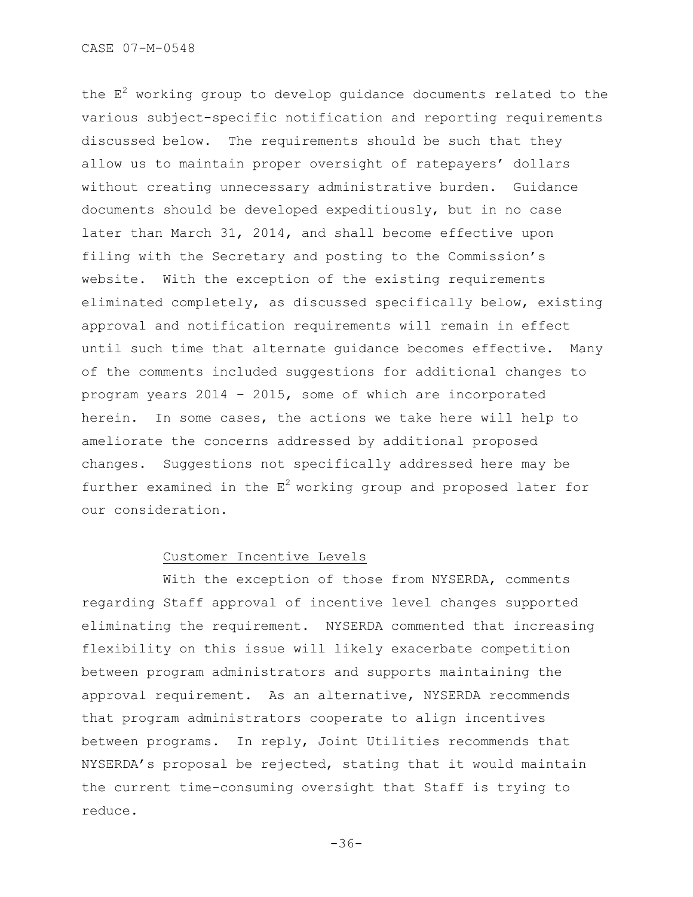the  $E<sup>2</sup>$  working group to develop guidance documents related to the various subject-specific notification and reporting requirements discussed below. The requirements should be such that they allow us to maintain proper oversight of ratepayers' dollars without creating unnecessary administrative burden. Guidance documents should be developed expeditiously, but in no case later than March 31, 2014, and shall become effective upon filing with the Secretary and posting to the Commission"s website. With the exception of the existing requirements eliminated completely, as discussed specifically below, existing approval and notification requirements will remain in effect until such time that alternate guidance becomes effective. Many of the comments included suggestions for additional changes to program years 2014 – 2015, some of which are incorporated herein. In some cases, the actions we take here will help to ameliorate the concerns addressed by additional proposed changes. Suggestions not specifically addressed here may be further examined in the  $E^2$  working group and proposed later for our consideration.

### Customer Incentive Levels

With the exception of those from NYSERDA, comments regarding Staff approval of incentive level changes supported eliminating the requirement. NYSERDA commented that increasing flexibility on this issue will likely exacerbate competition between program administrators and supports maintaining the approval requirement. As an alternative, NYSERDA recommends that program administrators cooperate to align incentives between programs. In reply, Joint Utilities recommends that NYSERDA's proposal be rejected, stating that it would maintain the current time-consuming oversight that Staff is trying to reduce.

```
-36-
```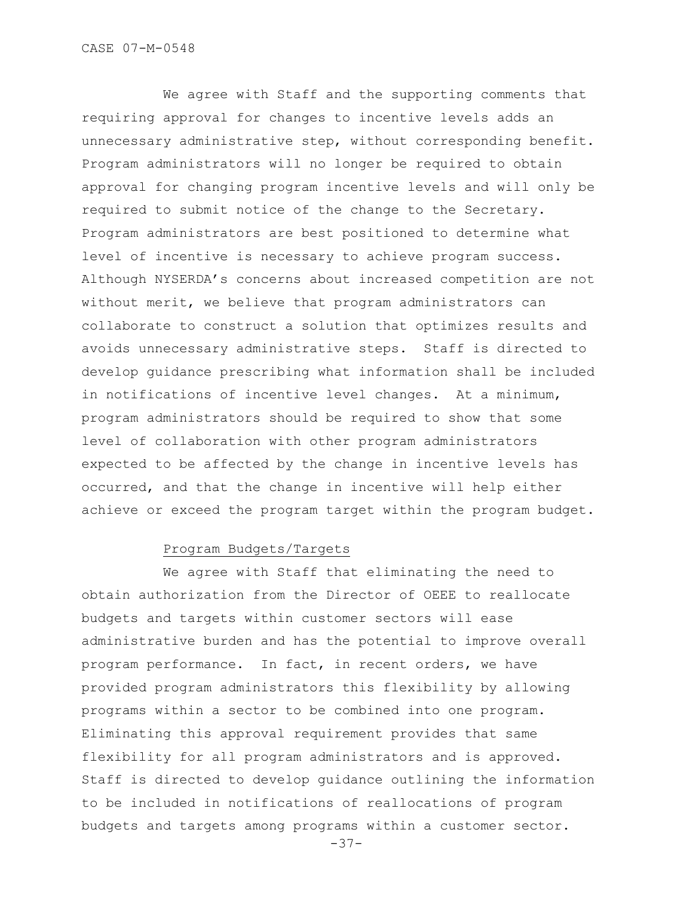We agree with Staff and the supporting comments that requiring approval for changes to incentive levels adds an unnecessary administrative step, without corresponding benefit. Program administrators will no longer be required to obtain approval for changing program incentive levels and will only be required to submit notice of the change to the Secretary. Program administrators are best positioned to determine what level of incentive is necessary to achieve program success. Although NYSERDA"s concerns about increased competition are not without merit, we believe that program administrators can collaborate to construct a solution that optimizes results and avoids unnecessary administrative steps. Staff is directed to develop guidance prescribing what information shall be included in notifications of incentive level changes. At a minimum, program administrators should be required to show that some level of collaboration with other program administrators expected to be affected by the change in incentive levels has occurred, and that the change in incentive will help either achieve or exceed the program target within the program budget.

# Program Budgets/Targets

We agree with Staff that eliminating the need to obtain authorization from the Director of OEEE to reallocate budgets and targets within customer sectors will ease administrative burden and has the potential to improve overall program performance. In fact, in recent orders, we have provided program administrators this flexibility by allowing programs within a sector to be combined into one program. Eliminating this approval requirement provides that same flexibility for all program administrators and is approved. Staff is directed to develop guidance outlining the information to be included in notifications of reallocations of program budgets and targets among programs within a customer sector.

-37-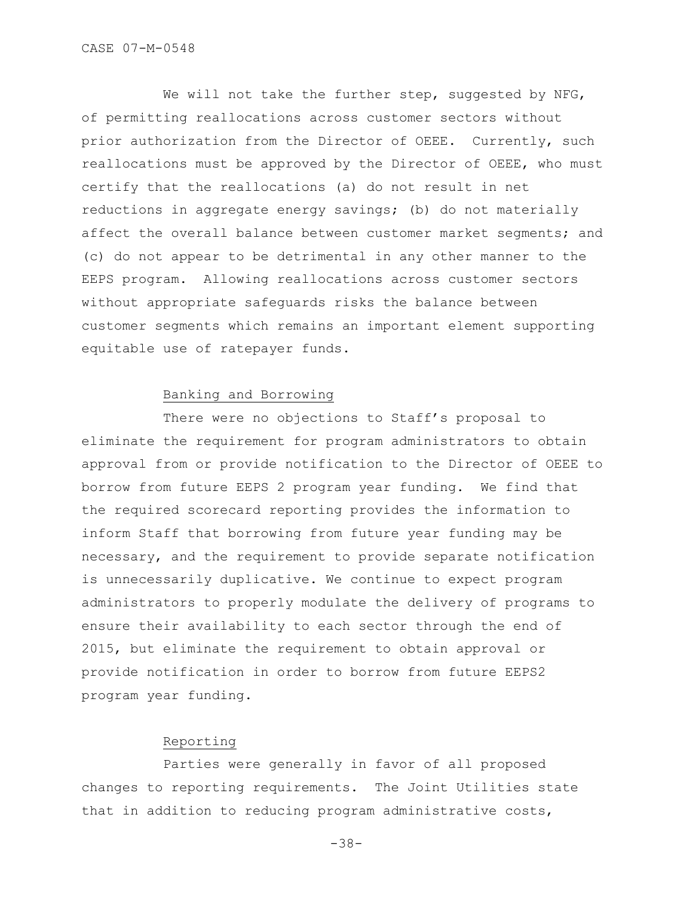We will not take the further step, suggested by NFG, of permitting reallocations across customer sectors without prior authorization from the Director of OEEE. Currently, such reallocations must be approved by the Director of OEEE, who must certify that the reallocations (a) do not result in net reductions in aggregate energy savings; (b) do not materially affect the overall balance between customer market segments; and (c) do not appear to be detrimental in any other manner to the EEPS program. Allowing reallocations across customer sectors without appropriate safeguards risks the balance between customer segments which remains an important element supporting equitable use of ratepayer funds.

# Banking and Borrowing

There were no objections to Staff's proposal to eliminate the requirement for program administrators to obtain approval from or provide notification to the Director of OEEE to borrow from future EEPS 2 program year funding. We find that the required scorecard reporting provides the information to inform Staff that borrowing from future year funding may be necessary, and the requirement to provide separate notification is unnecessarily duplicative. We continue to expect program administrators to properly modulate the delivery of programs to ensure their availability to each sector through the end of 2015, but eliminate the requirement to obtain approval or provide notification in order to borrow from future EEPS2 program year funding.

# Reporting

Parties were generally in favor of all proposed changes to reporting requirements. The Joint Utilities state that in addition to reducing program administrative costs,

-38-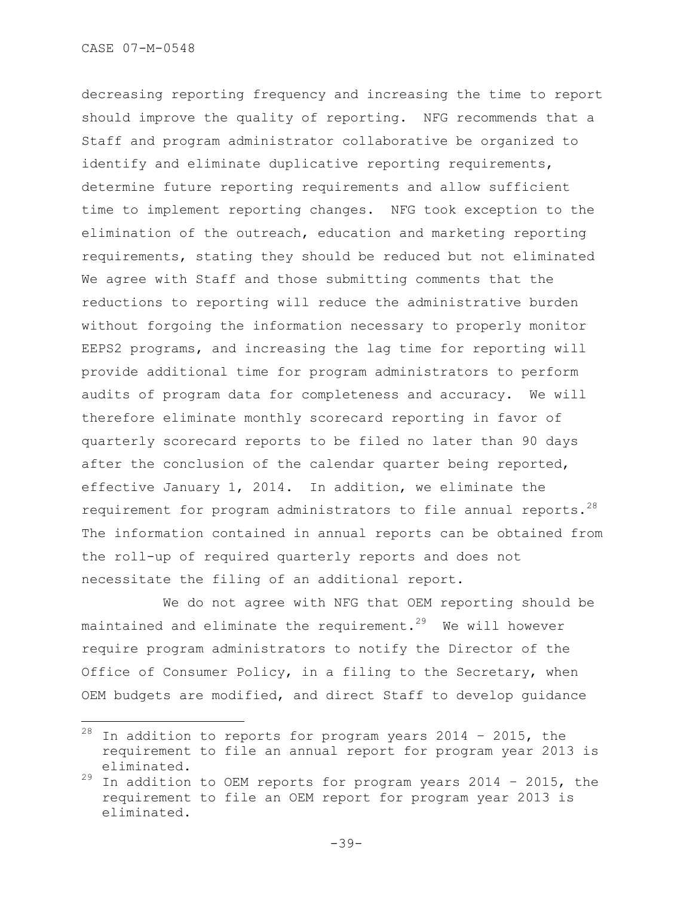i<br>L

decreasing reporting frequency and increasing the time to report should improve the quality of reporting. NFG recommends that a Staff and program administrator collaborative be organized to identify and eliminate duplicative reporting requirements, determine future reporting requirements and allow sufficient time to implement reporting changes. NFG took exception to the elimination of the outreach, education and marketing reporting requirements, stating they should be reduced but not eliminated We agree with Staff and those submitting comments that the reductions to reporting will reduce the administrative burden without forgoing the information necessary to properly monitor EEPS2 programs, and increasing the lag time for reporting will provide additional time for program administrators to perform audits of program data for completeness and accuracy. We will therefore eliminate monthly scorecard reporting in favor of quarterly scorecard reports to be filed no later than 90 days after the conclusion of the calendar quarter being reported, effective January 1, 2014. In addition, we eliminate the requirement for program administrators to file annual reports. $^{28}$ The information contained in annual reports can be obtained from the roll-up of required quarterly reports and does not necessitate the filing of an additional report.

We do not agree with NFG that OEM reporting should be maintained and eliminate the requirement. $29$  We will however require program administrators to notify the Director of the Office of Consumer Policy, in a filing to the Secretary, when OEM budgets are modified, and direct Staff to develop guidance

 $28$  In addition to reports for program years 2014 - 2015, the requirement to file an annual report for program year 2013 is eliminated.

 $29$  In addition to OEM reports for program years 2014 - 2015, the requirement to file an OEM report for program year 2013 is eliminated.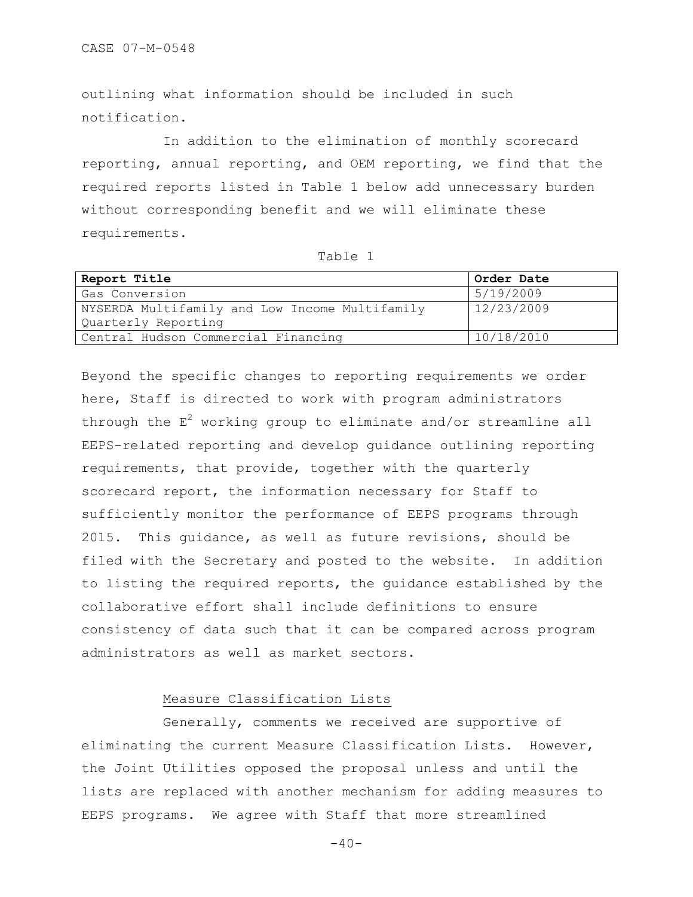outlining what information should be included in such notification.

In addition to the elimination of monthly scorecard reporting, annual reporting, and OEM reporting, we find that the required reports listed in Table 1 below add unnecessary burden without corresponding benefit and we will eliminate these requirements.

| Report Title                                   | Order Date |
|------------------------------------------------|------------|
| Gas Conversion                                 | 5/19/2009  |
| NYSERDA Multifamily and Low Income Multifamily | 12/23/2009 |
| Quarterly Reporting                            |            |
| Central Hudson Commercial Financing            | 10/18/2010 |

Beyond the specific changes to reporting requirements we order here, Staff is directed to work with program administrators through the  $E^2$  working group to eliminate and/or streamline all EEPS-related reporting and develop guidance outlining reporting requirements, that provide, together with the quarterly scorecard report, the information necessary for Staff to sufficiently monitor the performance of EEPS programs through 2015. This guidance, as well as future revisions, should be filed with the Secretary and posted to the website. In addition to listing the required reports, the guidance established by the collaborative effort shall include definitions to ensure consistency of data such that it can be compared across program administrators as well as market sectors.

# Measure Classification Lists

Generally, comments we received are supportive of eliminating the current Measure Classification Lists. However, the Joint Utilities opposed the proposal unless and until the lists are replaced with another mechanism for adding measures to EEPS programs. We agree with Staff that more streamlined

 $-40-$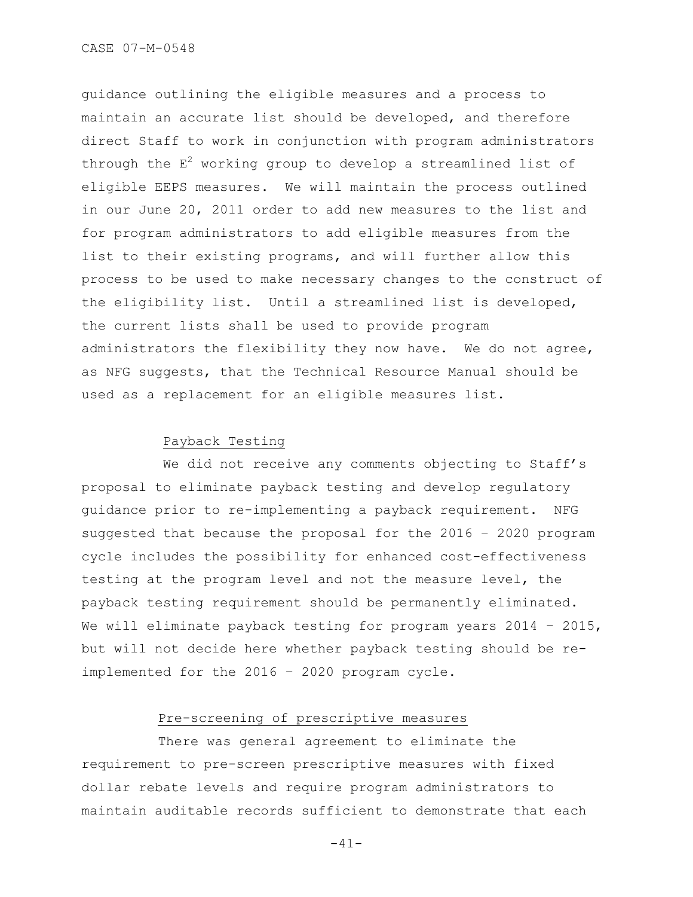guidance outlining the eligible measures and a process to maintain an accurate list should be developed, and therefore direct Staff to work in conjunction with program administrators through the  $E^2$  working group to develop a streamlined list of eligible EEPS measures. We will maintain the process outlined in our June 20, 2011 order to add new measures to the list and for program administrators to add eligible measures from the list to their existing programs, and will further allow this process to be used to make necessary changes to the construct of the eligibility list. Until a streamlined list is developed, the current lists shall be used to provide program administrators the flexibility they now have. We do not agree, as NFG suggests, that the Technical Resource Manual should be used as a replacement for an eligible measures list.

# Payback Testing

We did not receive any comments objecting to Staff's proposal to eliminate payback testing and develop regulatory guidance prior to re-implementing a payback requirement. NFG suggested that because the proposal for the 2016 – 2020 program cycle includes the possibility for enhanced cost-effectiveness testing at the program level and not the measure level, the payback testing requirement should be permanently eliminated. We will eliminate payback testing for program years 2014 - 2015, but will not decide here whether payback testing should be reimplemented for the 2016 – 2020 program cycle.

# Pre-screening of prescriptive measures

There was general agreement to eliminate the requirement to pre-screen prescriptive measures with fixed dollar rebate levels and require program administrators to maintain auditable records sufficient to demonstrate that each

 $-41-$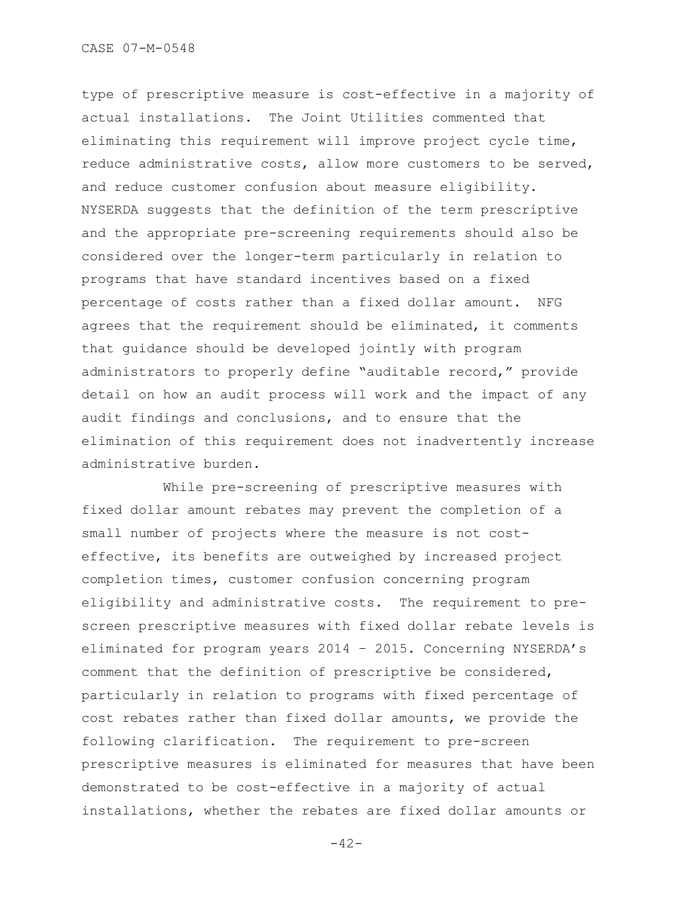type of prescriptive measure is cost-effective in a majority of actual installations. The Joint Utilities commented that eliminating this requirement will improve project cycle time, reduce administrative costs, allow more customers to be served, and reduce customer confusion about measure eligibility. NYSERDA suggests that the definition of the term prescriptive and the appropriate pre-screening requirements should also be considered over the longer-term particularly in relation to programs that have standard incentives based on a fixed percentage of costs rather than a fixed dollar amount. NFG agrees that the requirement should be eliminated, it comments that guidance should be developed jointly with program administrators to properly define "auditable record," provide detail on how an audit process will work and the impact of any audit findings and conclusions, and to ensure that the elimination of this requirement does not inadvertently increase administrative burden.

While pre-screening of prescriptive measures with fixed dollar amount rebates may prevent the completion of a small number of projects where the measure is not costeffective, its benefits are outweighed by increased project completion times, customer confusion concerning program eligibility and administrative costs. The requirement to prescreen prescriptive measures with fixed dollar rebate levels is eliminated for program years 2014 – 2015. Concerning NYSERDA"s comment that the definition of prescriptive be considered, particularly in relation to programs with fixed percentage of cost rebates rather than fixed dollar amounts, we provide the following clarification. The requirement to pre-screen prescriptive measures is eliminated for measures that have been demonstrated to be cost-effective in a majority of actual installations, whether the rebates are fixed dollar amounts or

 $-42-$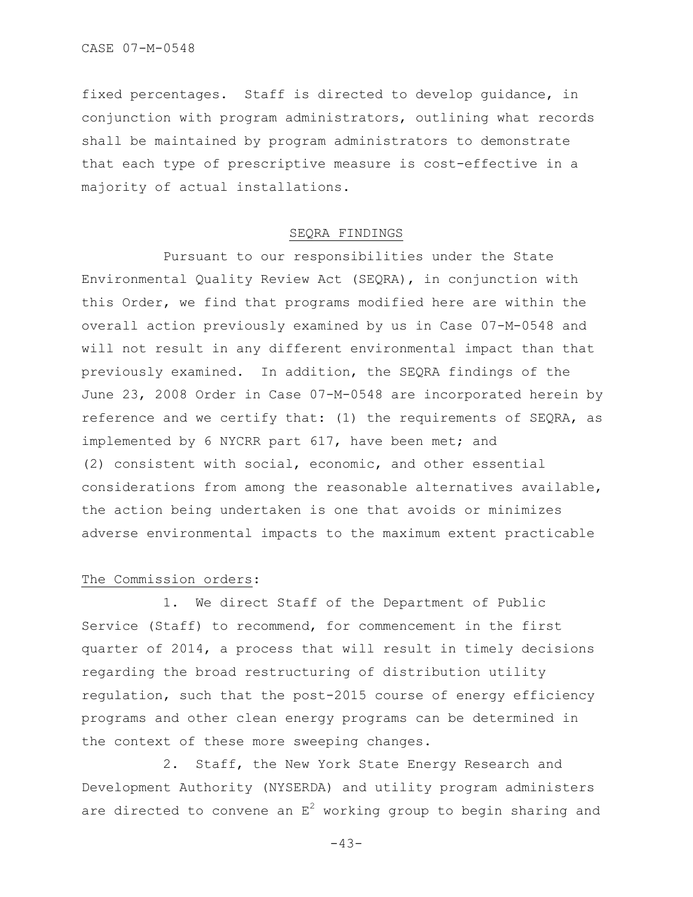fixed percentages. Staff is directed to develop guidance, in conjunction with program administrators, outlining what records shall be maintained by program administrators to demonstrate that each type of prescriptive measure is cost-effective in a majority of actual installations.

## SEQRA FINDINGS

Pursuant to our responsibilities under the State Environmental Quality Review Act (SEQRA), in conjunction with this Order, we find that programs modified here are within the overall action previously examined by us in Case 07-M-0548 and will not result in any different environmental impact than that previously examined. In addition, the SEQRA findings of the June 23, 2008 Order in Case 07-M-0548 are incorporated herein by reference and we certify that: (1) the requirements of SEQRA, as implemented by 6 NYCRR part 617, have been met; and (2) consistent with social, economic, and other essential considerations from among the reasonable alternatives available, the action being undertaken is one that avoids or minimizes adverse environmental impacts to the maximum extent practicable

# The Commission orders:

1. We direct Staff of the Department of Public Service (Staff) to recommend, for commencement in the first quarter of 2014, a process that will result in timely decisions regarding the broad restructuring of distribution utility regulation, such that the post-2015 course of energy efficiency programs and other clean energy programs can be determined in the context of these more sweeping changes.

2. Staff, the New York State Energy Research and Development Authority (NYSERDA) and utility program administers are directed to convene an  $E^2$  working group to begin sharing and

 $-43-$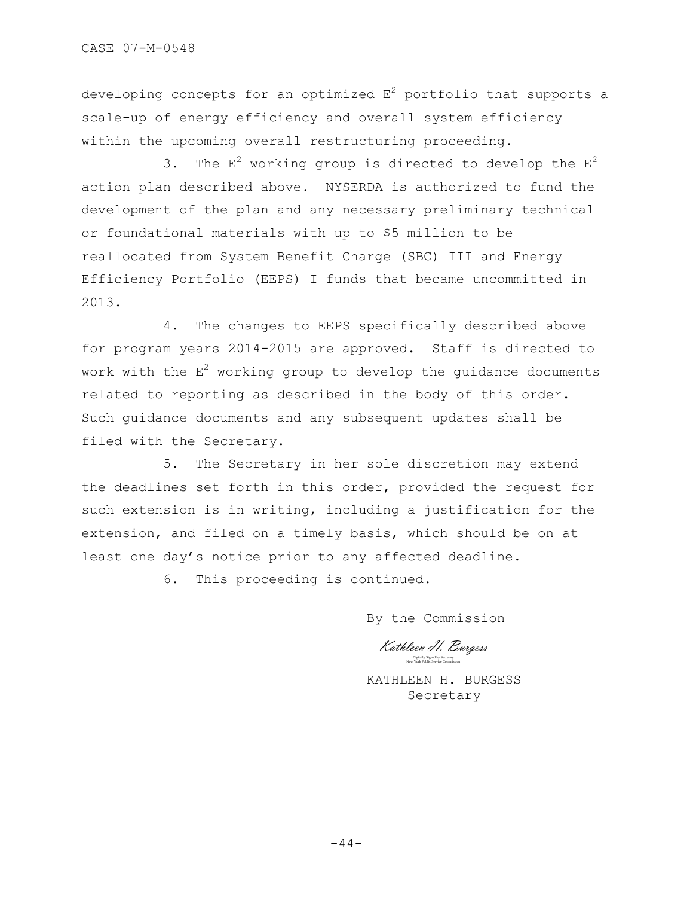CASE 07-M-0548

developing concepts for an optimized  $E^2$  portfolio that supports a scale-up of energy efficiency and overall system efficiency within the upcoming overall restructuring proceeding.

3. The  $E^2$  working group is directed to develop the  $E^2$ action plan described above. NYSERDA is authorized to fund the development of the plan and any necessary preliminary technical or foundational materials with up to \$5 million to be reallocated from System Benefit Charge (SBC) III and Energy Efficiency Portfolio (EEPS) I funds that became uncommitted in 2013.

4. The changes to EEPS specifically described above for program years 2014-2015 are approved. Staff is directed to work with the  $E^2$  working group to develop the quidance documents related to reporting as described in the body of this order. Such guidance documents and any subsequent updates shall be filed with the Secretary.

5. The Secretary in her sole discretion may extend the deadlines set forth in this order, provided the request for such extension is in writing, including a justification for the extension, and filed on a timely basis, which should be on at least one day's notice prior to any affected deadline.

6. This proceeding is continued.

By the Commission

Kathleen H. Burgess Digitally Signed by Secretary New York Public Service Commission

KATHLEEN H. BURGESS Secretary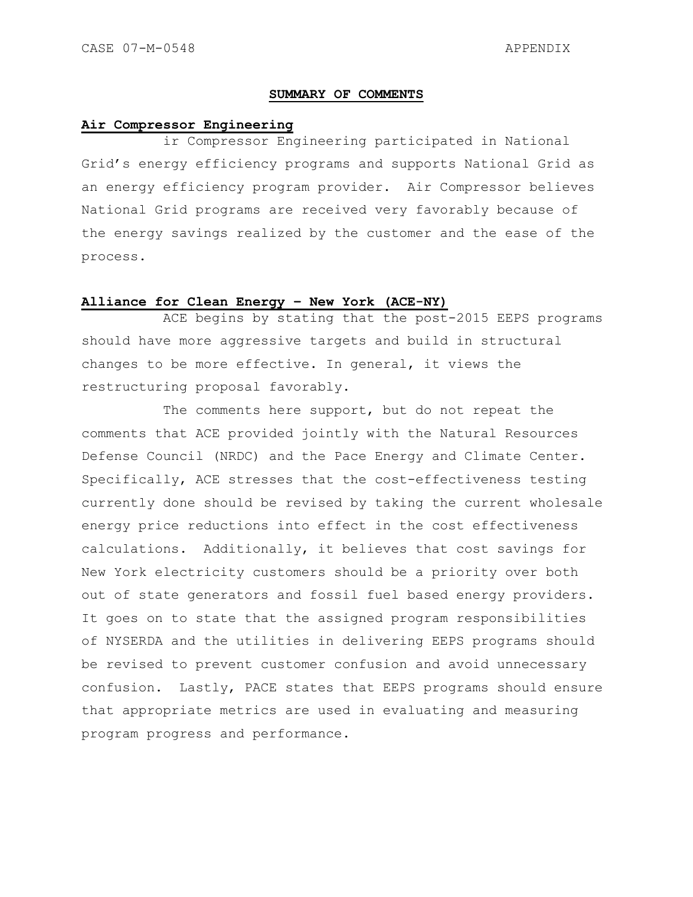# **SUMMARY OF COMMENTS**

# **Air Compressor Engineering**

ir Compressor Engineering participated in National Grid"s energy efficiency programs and supports National Grid as an energy efficiency program provider. Air Compressor believes National Grid programs are received very favorably because of the energy savings realized by the customer and the ease of the process.

# **Alliance for Clean Energy – New York (ACE-NY)**

ACE begins by stating that the post-2015 EEPS programs should have more aggressive targets and build in structural changes to be more effective. In general, it views the restructuring proposal favorably.

The comments here support, but do not repeat the comments that ACE provided jointly with the Natural Resources Defense Council (NRDC) and the Pace Energy and Climate Center. Specifically, ACE stresses that the cost-effectiveness testing currently done should be revised by taking the current wholesale energy price reductions into effect in the cost effectiveness calculations. Additionally, it believes that cost savings for New York electricity customers should be a priority over both out of state generators and fossil fuel based energy providers. It goes on to state that the assigned program responsibilities of NYSERDA and the utilities in delivering EEPS programs should be revised to prevent customer confusion and avoid unnecessary confusion. Lastly, PACE states that EEPS programs should ensure that appropriate metrics are used in evaluating and measuring program progress and performance.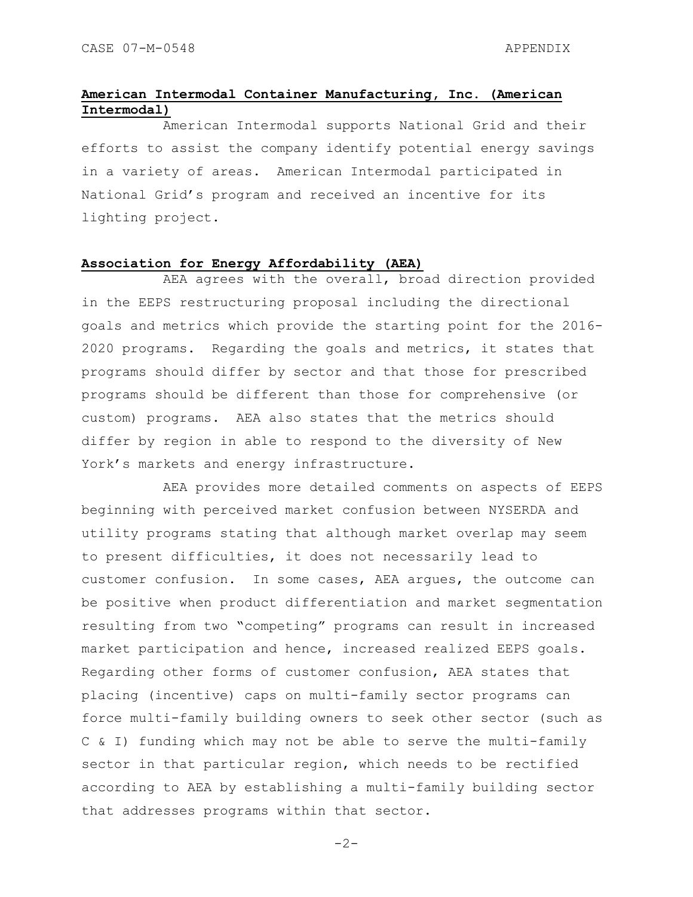# **American Intermodal Container Manufacturing, Inc. (American Intermodal)**

American Intermodal supports National Grid and their efforts to assist the company identify potential energy savings in a variety of areas. American Intermodal participated in National Grid"s program and received an incentive for its lighting project.

# **Association for Energy Affordability (AEA)**

AEA agrees with the overall, broad direction provided in the EEPS restructuring proposal including the directional goals and metrics which provide the starting point for the 2016- 2020 programs. Regarding the goals and metrics, it states that programs should differ by sector and that those for prescribed programs should be different than those for comprehensive (or custom) programs. AEA also states that the metrics should differ by region in able to respond to the diversity of New York's markets and energy infrastructure.

AEA provides more detailed comments on aspects of EEPS beginning with perceived market confusion between NYSERDA and utility programs stating that although market overlap may seem to present difficulties, it does not necessarily lead to customer confusion. In some cases, AEA argues, the outcome can be positive when product differentiation and market segmentation resulting from two "competing" programs can result in increased market participation and hence, increased realized EEPS goals. Regarding other forms of customer confusion, AEA states that placing (incentive) caps on multi-family sector programs can force multi-family building owners to seek other sector (such as C & I) funding which may not be able to serve the multi-family sector in that particular region, which needs to be rectified according to AEA by establishing a multi-family building sector that addresses programs within that sector.

 $-2-$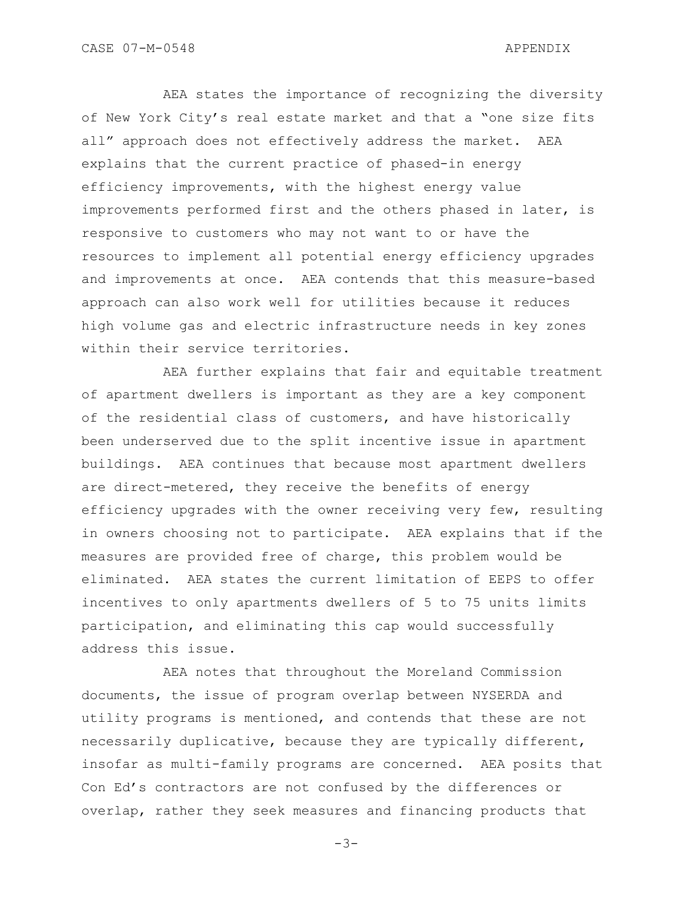AEA states the importance of recognizing the diversity of New York City"s real estate market and that a "one size fits all" approach does not effectively address the market. AEA explains that the current practice of phased-in energy efficiency improvements, with the highest energy value improvements performed first and the others phased in later, is responsive to customers who may not want to or have the resources to implement all potential energy efficiency upgrades and improvements at once. AEA contends that this measure-based approach can also work well for utilities because it reduces high volume gas and electric infrastructure needs in key zones within their service territories.

AEA further explains that fair and equitable treatment of apartment dwellers is important as they are a key component of the residential class of customers, and have historically been underserved due to the split incentive issue in apartment buildings. AEA continues that because most apartment dwellers are direct-metered, they receive the benefits of energy efficiency upgrades with the owner receiving very few, resulting in owners choosing not to participate. AEA explains that if the measures are provided free of charge, this problem would be eliminated. AEA states the current limitation of EEPS to offer incentives to only apartments dwellers of 5 to 75 units limits participation, and eliminating this cap would successfully address this issue.

AEA notes that throughout the Moreland Commission documents, the issue of program overlap between NYSERDA and utility programs is mentioned, and contends that these are not necessarily duplicative, because they are typically different, insofar as multi-family programs are concerned. AEA posits that Con Ed's contractors are not confused by the differences or overlap, rather they seek measures and financing products that

-3-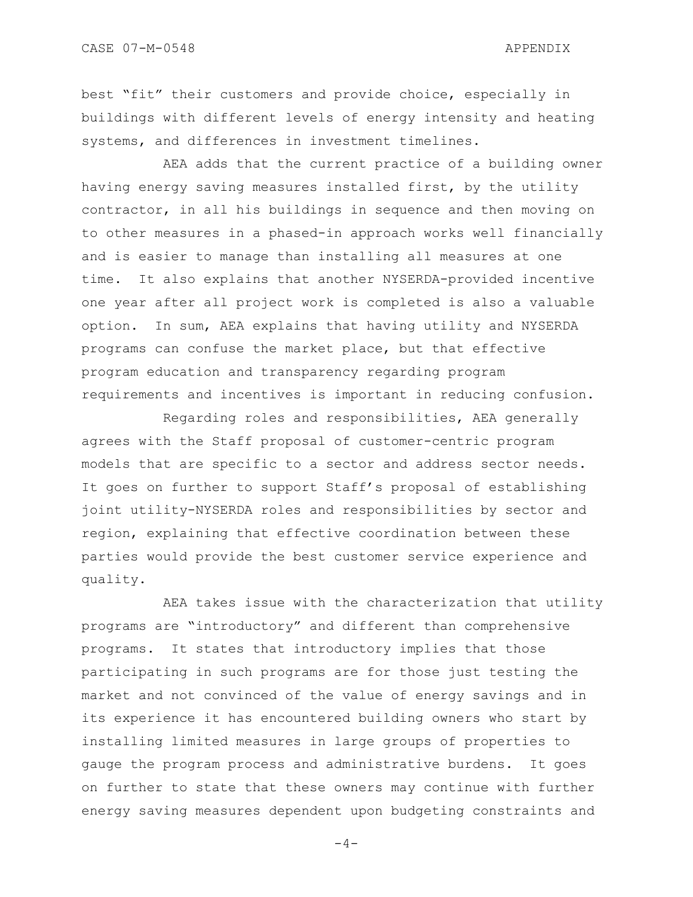best "fit" their customers and provide choice, especially in buildings with different levels of energy intensity and heating systems, and differences in investment timelines.

AEA adds that the current practice of a building owner having energy saving measures installed first, by the utility contractor, in all his buildings in sequence and then moving on to other measures in a phased-in approach works well financially and is easier to manage than installing all measures at one time. It also explains that another NYSERDA-provided incentive one year after all project work is completed is also a valuable option. In sum, AEA explains that having utility and NYSERDA programs can confuse the market place, but that effective program education and transparency regarding program requirements and incentives is important in reducing confusion.

Regarding roles and responsibilities, AEA generally agrees with the Staff proposal of customer-centric program models that are specific to a sector and address sector needs. It goes on further to support Staff's proposal of establishing joint utility-NYSERDA roles and responsibilities by sector and region, explaining that effective coordination between these parties would provide the best customer service experience and quality.

AEA takes issue with the characterization that utility programs are "introductory" and different than comprehensive programs. It states that introductory implies that those participating in such programs are for those just testing the market and not convinced of the value of energy savings and in its experience it has encountered building owners who start by installing limited measures in large groups of properties to gauge the program process and administrative burdens. It goes on further to state that these owners may continue with further energy saving measures dependent upon budgeting constraints and

 $-4-$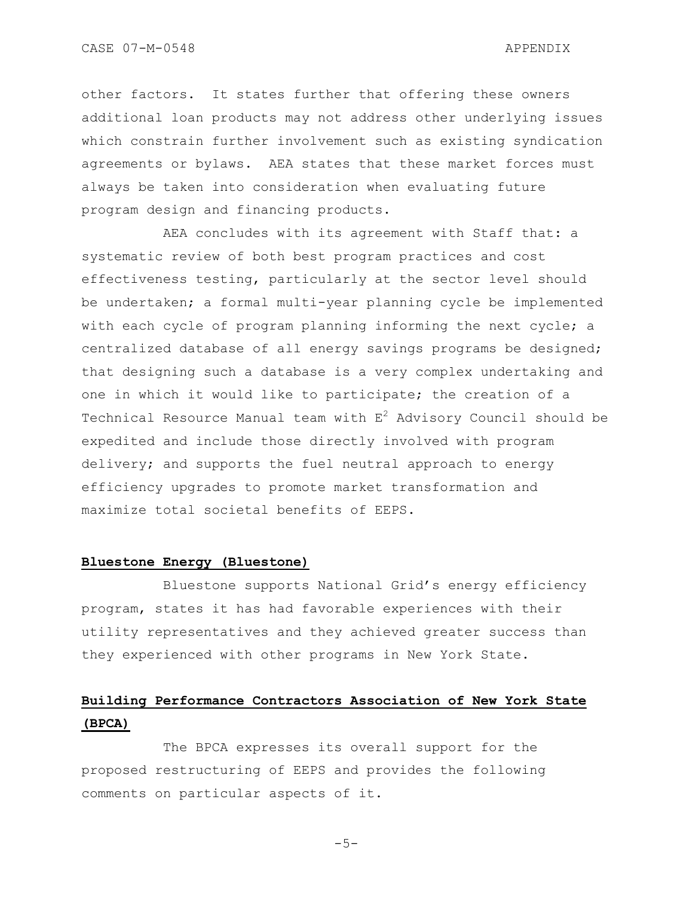other factors. It states further that offering these owners additional loan products may not address other underlying issues which constrain further involvement such as existing syndication agreements or bylaws. AEA states that these market forces must always be taken into consideration when evaluating future program design and financing products.

AEA concludes with its agreement with Staff that: a systematic review of both best program practices and cost effectiveness testing, particularly at the sector level should be undertaken; a formal multi-year planning cycle be implemented with each cycle of program planning informing the next cycle; a centralized database of all energy savings programs be designed; that designing such a database is a very complex undertaking and one in which it would like to participate; the creation of a Technical Resource Manual team with  $E^2$  Advisory Council should be expedited and include those directly involved with program delivery; and supports the fuel neutral approach to energy efficiency upgrades to promote market transformation and maximize total societal benefits of EEPS.

# **Bluestone Energy (Bluestone)**

Bluestone supports National Grid"s energy efficiency program, states it has had favorable experiences with their utility representatives and they achieved greater success than they experienced with other programs in New York State.

# **Building Performance Contractors Association of New York State (BPCA)**

The BPCA expresses its overall support for the proposed restructuring of EEPS and provides the following comments on particular aspects of it.

 $-5-$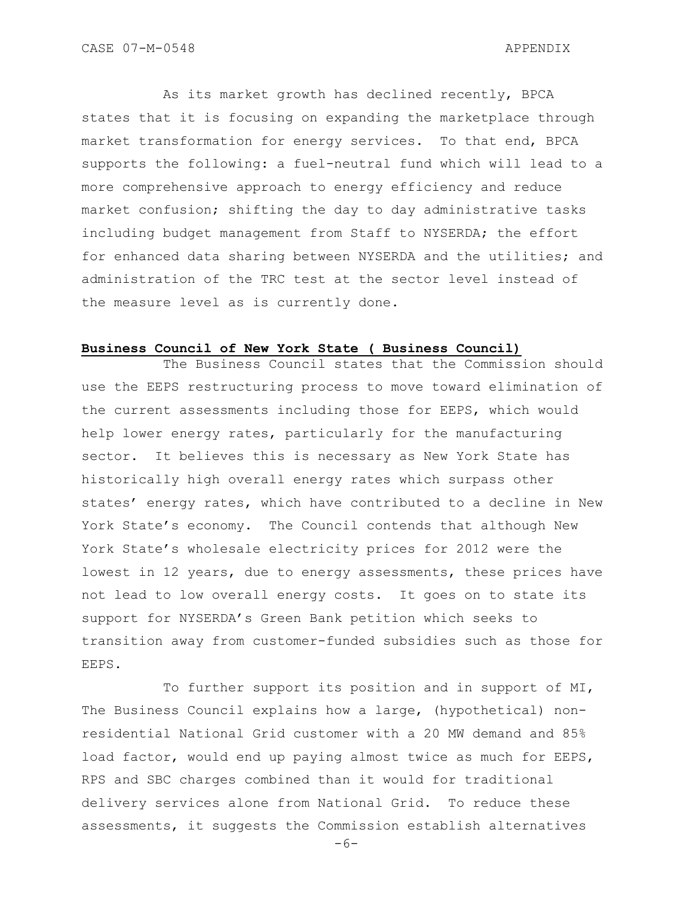As its market growth has declined recently, BPCA states that it is focusing on expanding the marketplace through market transformation for energy services. To that end, BPCA supports the following: a fuel-neutral fund which will lead to a more comprehensive approach to energy efficiency and reduce market confusion; shifting the day to day administrative tasks including budget management from Staff to NYSERDA; the effort for enhanced data sharing between NYSERDA and the utilities; and administration of the TRC test at the sector level instead of the measure level as is currently done.

# **Business Council of New York State ( Business Council)**

The Business Council states that the Commission should use the EEPS restructuring process to move toward elimination of the current assessments including those for EEPS, which would help lower energy rates, particularly for the manufacturing sector. It believes this is necessary as New York State has historically high overall energy rates which surpass other states' energy rates, which have contributed to a decline in New York State's economy. The Council contends that although New York State"s wholesale electricity prices for 2012 were the lowest in 12 years, due to energy assessments, these prices have not lead to low overall energy costs. It goes on to state its support for NYSERDA"s Green Bank petition which seeks to transition away from customer-funded subsidies such as those for EEPS.

To further support its position and in support of MI, The Business Council explains how a large, (hypothetical) nonresidential National Grid customer with a 20 MW demand and 85% load factor, would end up paying almost twice as much for EEPS, RPS and SBC charges combined than it would for traditional delivery services alone from National Grid. To reduce these assessments, it suggests the Commission establish alternatives

 $-6-$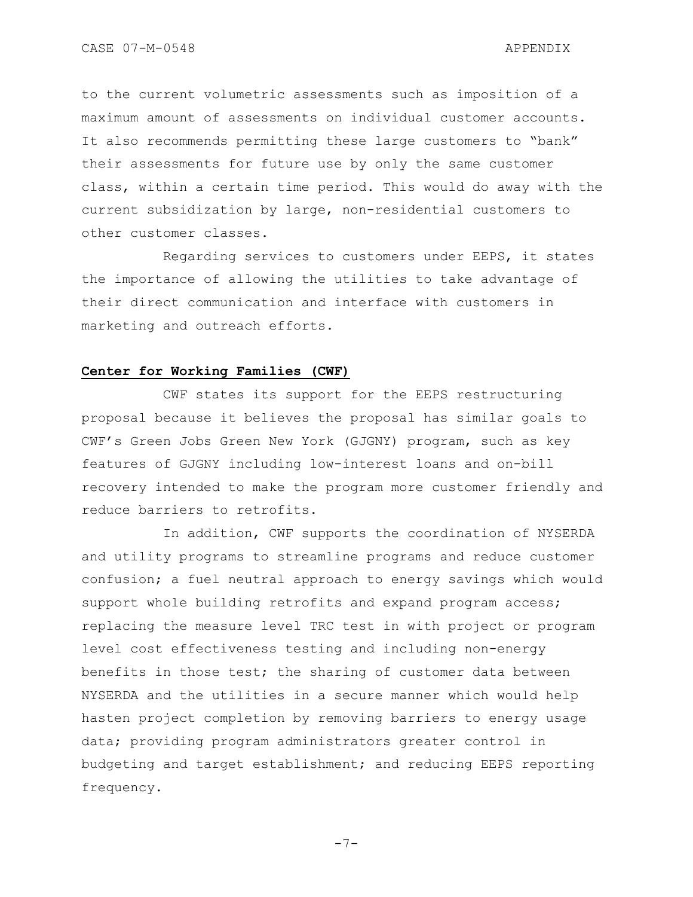CASE 07-M-0548 APPENDIX

to the current volumetric assessments such as imposition of a maximum amount of assessments on individual customer accounts. It also recommends permitting these large customers to "bank" their assessments for future use by only the same customer class, within a certain time period. This would do away with the current subsidization by large, non-residential customers to other customer classes.

Regarding services to customers under EEPS, it states the importance of allowing the utilities to take advantage of their direct communication and interface with customers in marketing and outreach efforts.

# **Center for Working Families (CWF)**

CWF states its support for the EEPS restructuring proposal because it believes the proposal has similar goals to CWF"s Green Jobs Green New York (GJGNY) program, such as key features of GJGNY including low-interest loans and on-bill recovery intended to make the program more customer friendly and reduce barriers to retrofits.

In addition, CWF supports the coordination of NYSERDA and utility programs to streamline programs and reduce customer confusion; a fuel neutral approach to energy savings which would support whole building retrofits and expand program access; replacing the measure level TRC test in with project or program level cost effectiveness testing and including non-energy benefits in those test; the sharing of customer data between NYSERDA and the utilities in a secure manner which would help hasten project completion by removing barriers to energy usage data; providing program administrators greater control in budgeting and target establishment; and reducing EEPS reporting frequency.

 $-7-$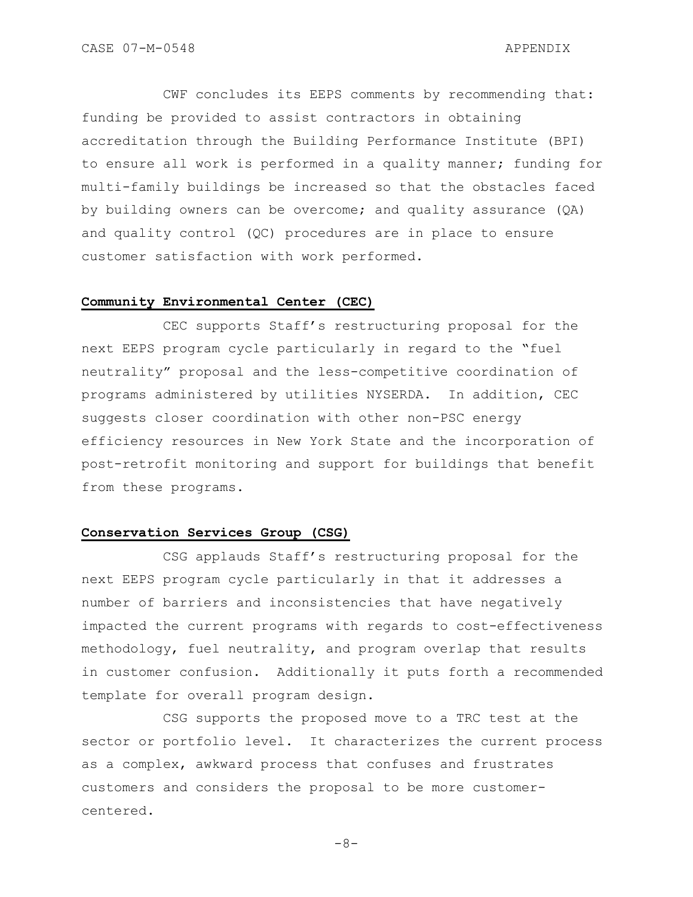CWF concludes its EEPS comments by recommending that: funding be provided to assist contractors in obtaining accreditation through the Building Performance Institute (BPI) to ensure all work is performed in a quality manner; funding for multi-family buildings be increased so that the obstacles faced by building owners can be overcome; and quality assurance (QA) and quality control (QC) procedures are in place to ensure customer satisfaction with work performed.

# **Community Environmental Center (CEC)**

CEC supports Staff"s restructuring proposal for the next EEPS program cycle particularly in regard to the "fuel neutrality" proposal and the less-competitive coordination of programs administered by utilities NYSERDA. In addition, CEC suggests closer coordination with other non-PSC energy efficiency resources in New York State and the incorporation of post-retrofit monitoring and support for buildings that benefit from these programs.

### **Conservation Services Group (CSG)**

CSG applauds Staff"s restructuring proposal for the next EEPS program cycle particularly in that it addresses a number of barriers and inconsistencies that have negatively impacted the current programs with regards to cost-effectiveness methodology, fuel neutrality, and program overlap that results in customer confusion. Additionally it puts forth a recommended template for overall program design.

CSG supports the proposed move to a TRC test at the sector or portfolio level. It characterizes the current process as a complex, awkward process that confuses and frustrates customers and considers the proposal to be more customercentered.

 $-8-$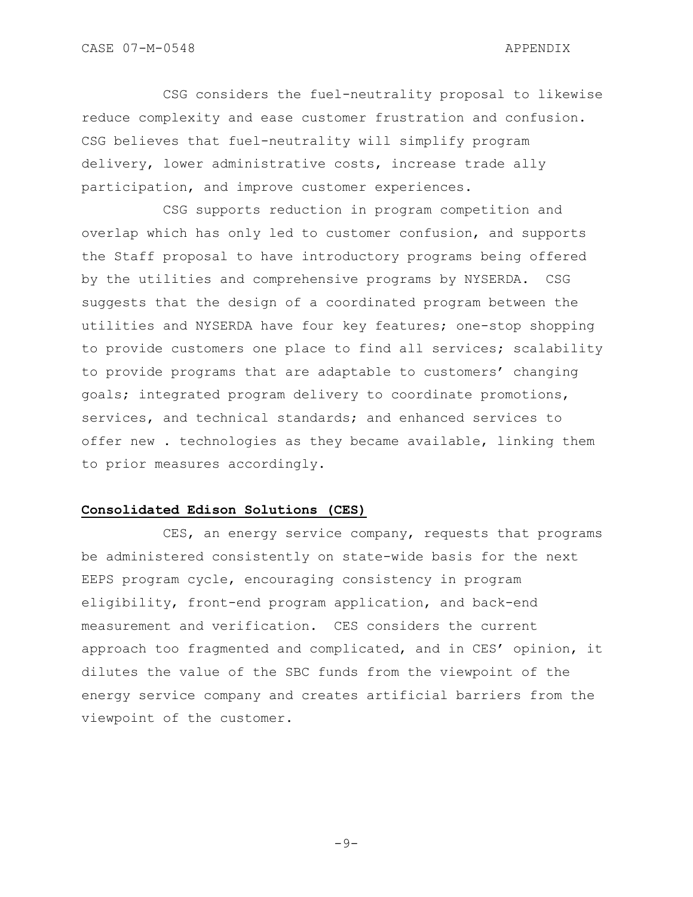CSG considers the fuel-neutrality proposal to likewise reduce complexity and ease customer frustration and confusion. CSG believes that fuel-neutrality will simplify program delivery, lower administrative costs, increase trade ally participation, and improve customer experiences.

CSG supports reduction in program competition and overlap which has only led to customer confusion, and supports the Staff proposal to have introductory programs being offered by the utilities and comprehensive programs by NYSERDA. CSG suggests that the design of a coordinated program between the utilities and NYSERDA have four key features; one-stop shopping to provide customers one place to find all services; scalability to provide programs that are adaptable to customers' changing goals; integrated program delivery to coordinate promotions, services, and technical standards; and enhanced services to offer new . technologies as they became available, linking them to prior measures accordingly.

# **Consolidated Edison Solutions (CES)**

CES, an energy service company, requests that programs be administered consistently on state-wide basis for the next EEPS program cycle, encouraging consistency in program eligibility, front-end program application, and back-end measurement and verification. CES considers the current approach too fragmented and complicated, and in CES" opinion, it dilutes the value of the SBC funds from the viewpoint of the energy service company and creates artificial barriers from the viewpoint of the customer.

 $-9-$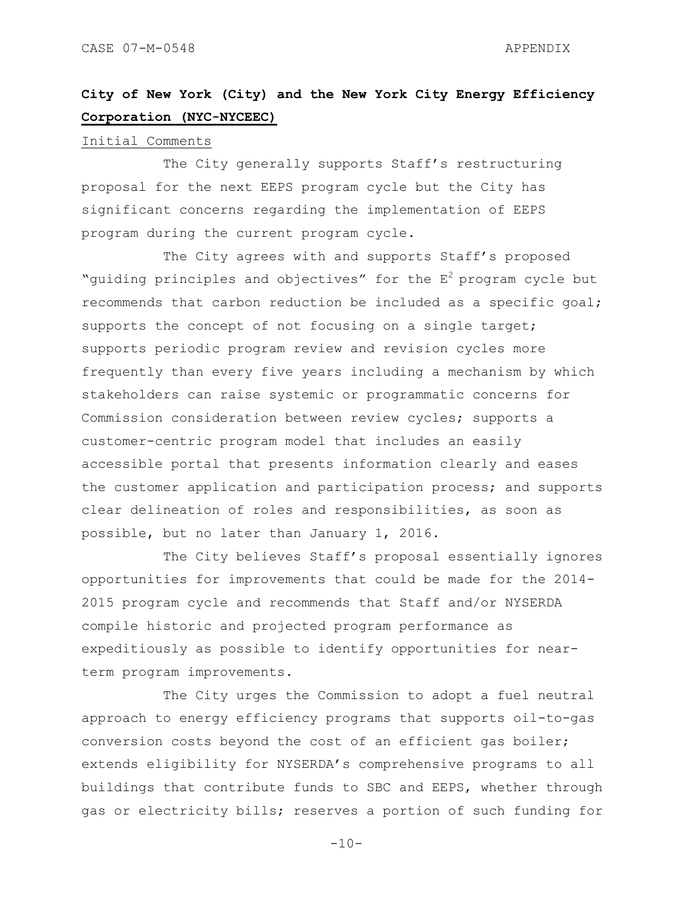# **City of New York (City) and the New York City Energy Efficiency Corporation (NYC-NYCEEC)**

#### Initial Comments

The City generally supports Staff's restructuring proposal for the next EEPS program cycle but the City has significant concerns regarding the implementation of EEPS program during the current program cycle.

The City agrees with and supports Staff's proposed "guiding principles and objectives" for the  $E^2$  program cycle but recommends that carbon reduction be included as a specific goal; supports the concept of not focusing on a single target; supports periodic program review and revision cycles more frequently than every five years including a mechanism by which stakeholders can raise systemic or programmatic concerns for Commission consideration between review cycles; supports a customer-centric program model that includes an easily accessible portal that presents information clearly and eases the customer application and participation process; and supports clear delineation of roles and responsibilities, as soon as possible, but no later than January 1, 2016.

The City believes Staff's proposal essentially ignores opportunities for improvements that could be made for the 2014- 2015 program cycle and recommends that Staff and/or NYSERDA compile historic and projected program performance as expeditiously as possible to identify opportunities for nearterm program improvements.

The City urges the Commission to adopt a fuel neutral approach to energy efficiency programs that supports oil-to-gas conversion costs beyond the cost of an efficient gas boiler; extends eligibility for NYSERDA"s comprehensive programs to all buildings that contribute funds to SBC and EEPS, whether through gas or electricity bills; reserves a portion of such funding for

 $-10-$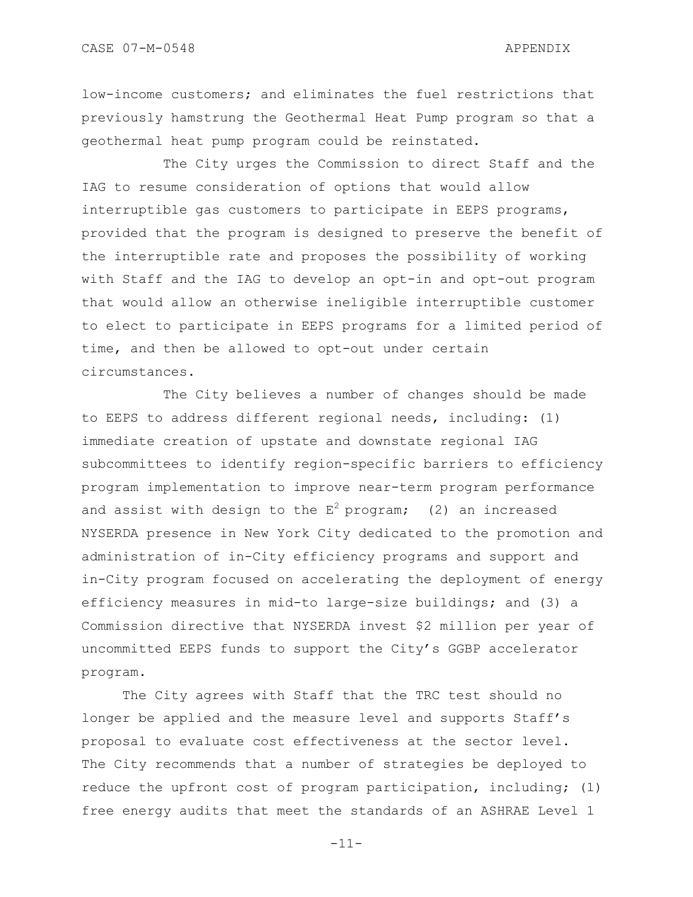low-income customers; and eliminates the fuel restrictions that previously hamstrung the Geothermal Heat Pump program so that a geothermal heat pump program could be reinstated.

The City urges the Commission to direct Staff and the IAG to resume consideration of options that would allow interruptible gas customers to participate in EEPS programs, provided that the program is designed to preserve the benefit of the interruptible rate and proposes the possibility of working with Staff and the IAG to develop an opt-in and opt-out program that would allow an otherwise ineligible interruptible customer to elect to participate in EEPS programs for a limited period of time, and then be allowed to opt-out under certain circumstances.

The City believes a number of changes should be made to EEPS to address different regional needs, including: (1) immediate creation of upstate and downstate regional IAG subcommittees to identify region-specific barriers to efficiency program implementation to improve near-term program performance and assist with design to the  $E^2$  program; (2) an increased NYSERDA presence in New York City dedicated to the promotion and administration of in-City efficiency programs and support and in-City program focused on accelerating the deployment of energy efficiency measures in mid-to large-size buildings; and (3) a Commission directive that NYSERDA invest \$2 million per year of uncommitted EEPS funds to support the City"s GGBP accelerator program.

The City agrees with Staff that the TRC test should no longer be applied and the measure level and supports Staff"s proposal to evaluate cost effectiveness at the sector level. The City recommends that a number of strategies be deployed to reduce the upfront cost of program participation, including; (1) free energy audits that meet the standards of an ASHRAE Level 1

-11-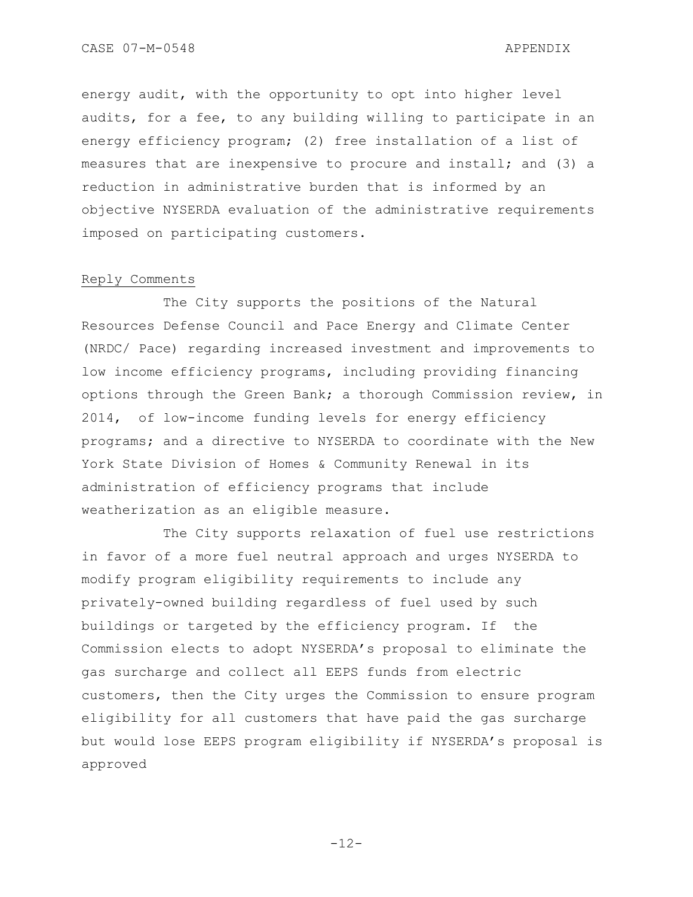energy audit, with the opportunity to opt into higher level audits, for a fee, to any building willing to participate in an energy efficiency program; (2) free installation of a list of measures that are inexpensive to procure and install; and (3) a reduction in administrative burden that is informed by an objective NYSERDA evaluation of the administrative requirements imposed on participating customers.

# Reply Comments

The City supports the positions of the Natural Resources Defense Council and Pace Energy and Climate Center (NRDC/ Pace) regarding increased investment and improvements to low income efficiency programs, including providing financing options through the Green Bank; a thorough Commission review, in 2014, of low-income funding levels for energy efficiency programs; and a directive to NYSERDA to coordinate with the New York State Division of Homes & Community Renewal in its administration of efficiency programs that include weatherization as an eligible measure.

The City supports relaxation of fuel use restrictions in favor of a more fuel neutral approach and urges NYSERDA to modify program eligibility requirements to include any privately-owned building regardless of fuel used by such buildings or targeted by the efficiency program. If the Commission elects to adopt NYSERDA"s proposal to eliminate the gas surcharge and collect all EEPS funds from electric customers, then the City urges the Commission to ensure program eligibility for all customers that have paid the gas surcharge but would lose EEPS program eligibility if NYSERDA"s proposal is approved

 $-12-$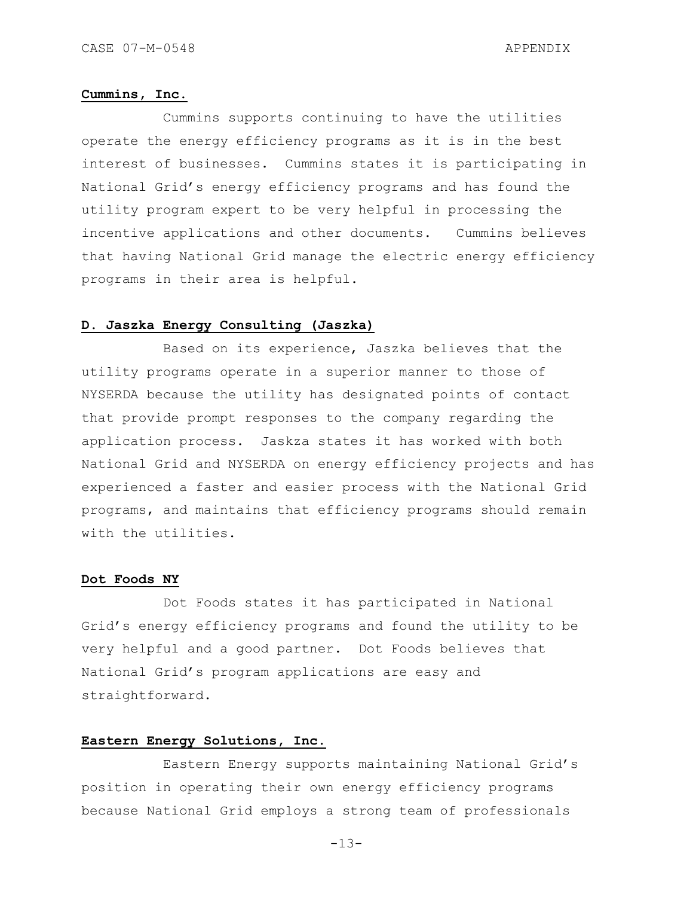#### **Cummins, Inc.**

Cummins supports continuing to have the utilities operate the energy efficiency programs as it is in the best interest of businesses. Cummins states it is participating in National Grid"s energy efficiency programs and has found the utility program expert to be very helpful in processing the incentive applications and other documents. Cummins believes that having National Grid manage the electric energy efficiency programs in their area is helpful.

# **D. Jaszka Energy Consulting (Jaszka)**

Based on its experience, Jaszka believes that the utility programs operate in a superior manner to those of NYSERDA because the utility has designated points of contact that provide prompt responses to the company regarding the application process. Jaskza states it has worked with both National Grid and NYSERDA on energy efficiency projects and has experienced a faster and easier process with the National Grid programs, and maintains that efficiency programs should remain with the utilities.

## **Dot Foods NY**

Dot Foods states it has participated in National Grid"s energy efficiency programs and found the utility to be very helpful and a good partner. Dot Foods believes that National Grid"s program applications are easy and straightforward.

# **Eastern Energy Solutions, Inc.**

Eastern Energy supports maintaining National Grid"s position in operating their own energy efficiency programs because National Grid employs a strong team of professionals

 $-13-$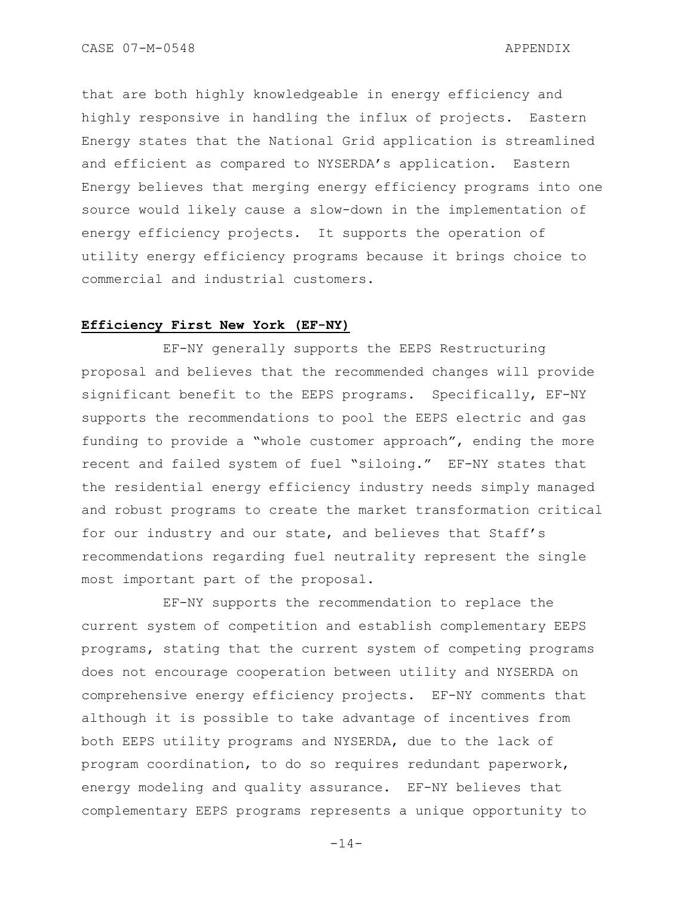CASE 07-M-0548 APPENDIX

that are both highly knowledgeable in energy efficiency and highly responsive in handling the influx of projects. Eastern Energy states that the National Grid application is streamlined and efficient as compared to NYSERDA"s application. Eastern Energy believes that merging energy efficiency programs into one source would likely cause a slow-down in the implementation of energy efficiency projects. It supports the operation of utility energy efficiency programs because it brings choice to commercial and industrial customers.

# **Efficiency First New York (EF-NY)**

EF-NY generally supports the EEPS Restructuring proposal and believes that the recommended changes will provide significant benefit to the EEPS programs. Specifically, EF-NY supports the recommendations to pool the EEPS electric and gas funding to provide a "whole customer approach", ending the more recent and failed system of fuel "siloing." EF-NY states that the residential energy efficiency industry needs simply managed and robust programs to create the market transformation critical for our industry and our state, and believes that Staff"s recommendations regarding fuel neutrality represent the single most important part of the proposal.

EF-NY supports the recommendation to replace the current system of competition and establish complementary EEPS programs, stating that the current system of competing programs does not encourage cooperation between utility and NYSERDA on comprehensive energy efficiency projects. EF-NY comments that although it is possible to take advantage of incentives from both EEPS utility programs and NYSERDA, due to the lack of program coordination, to do so requires redundant paperwork, energy modeling and quality assurance. EF-NY believes that complementary EEPS programs represents a unique opportunity to

 $-14-$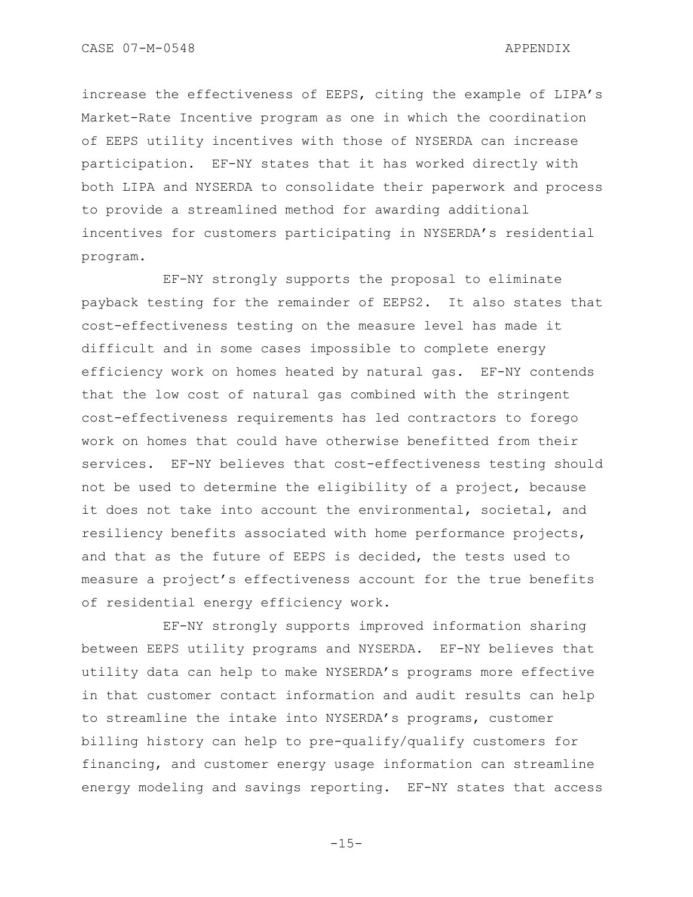increase the effectiveness of EEPS, citing the example of LIPA"s Market-Rate Incentive program as one in which the coordination of EEPS utility incentives with those of NYSERDA can increase participation. EF-NY states that it has worked directly with both LIPA and NYSERDA to consolidate their paperwork and process to provide a streamlined method for awarding additional incentives for customers participating in NYSERDA"s residential program.

EF-NY strongly supports the proposal to eliminate payback testing for the remainder of EEPS2. It also states that cost-effectiveness testing on the measure level has made it difficult and in some cases impossible to complete energy efficiency work on homes heated by natural gas. EF-NY contends that the low cost of natural gas combined with the stringent cost-effectiveness requirements has led contractors to forego work on homes that could have otherwise benefitted from their services. EF-NY believes that cost-effectiveness testing should not be used to determine the eligibility of a project, because it does not take into account the environmental, societal, and resiliency benefits associated with home performance projects, and that as the future of EEPS is decided, the tests used to measure a project"s effectiveness account for the true benefits of residential energy efficiency work.

EF-NY strongly supports improved information sharing between EEPS utility programs and NYSERDA. EF-NY believes that utility data can help to make NYSERDA"s programs more effective in that customer contact information and audit results can help to streamline the intake into NYSERDA"s programs, customer billing history can help to pre-qualify/qualify customers for financing, and customer energy usage information can streamline energy modeling and savings reporting. EF-NY states that access

 $-1.5-$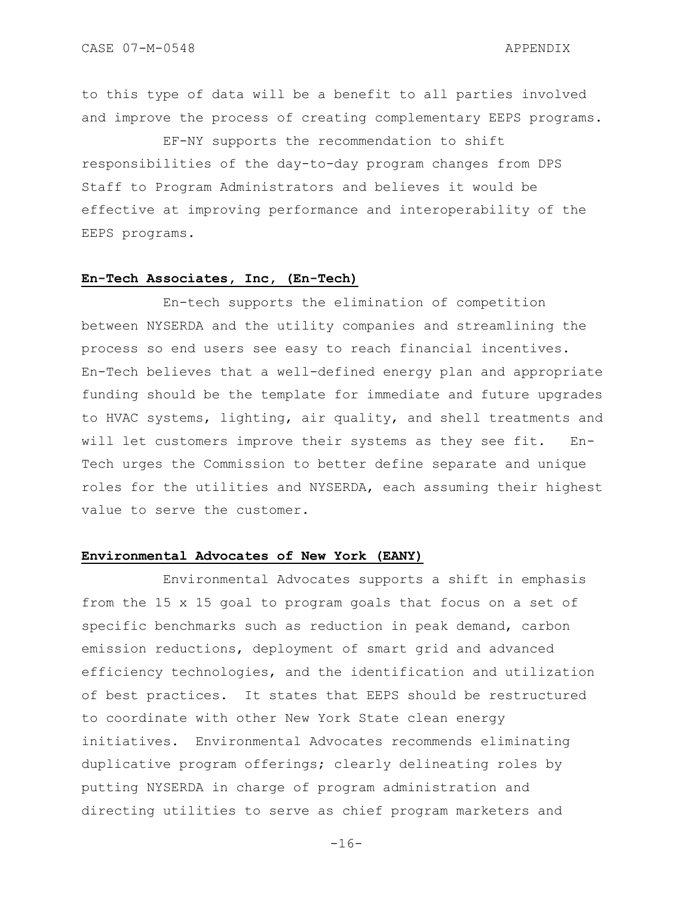to this type of data will be a benefit to all parties involved and improve the process of creating complementary EEPS programs.

EF-NY supports the recommendation to shift responsibilities of the day-to-day program changes from DPS Staff to Program Administrators and believes it would be effective at improving performance and interoperability of the EEPS programs.

# **En-Tech Associates, Inc, (En-Tech)**

En-tech supports the elimination of competition between NYSERDA and the utility companies and streamlining the process so end users see easy to reach financial incentives. En-Tech believes that a well-defined energy plan and appropriate funding should be the template for immediate and future upgrades to HVAC systems, lighting, air quality, and shell treatments and will let customers improve their systems as they see fit. En-Tech urges the Commission to better define separate and unique roles for the utilities and NYSERDA, each assuming their highest value to serve the customer.

# **Environmental Advocates of New York (EANY)**

Environmental Advocates supports a shift in emphasis from the 15 x 15 goal to program goals that focus on a set of specific benchmarks such as reduction in peak demand, carbon emission reductions, deployment of smart grid and advanced efficiency technologies, and the identification and utilization of best practices. It states that EEPS should be restructured to coordinate with other New York State clean energy initiatives. Environmental Advocates recommends eliminating duplicative program offerings; clearly delineating roles by putting NYSERDA in charge of program administration and directing utilities to serve as chief program marketers and

 $-16-$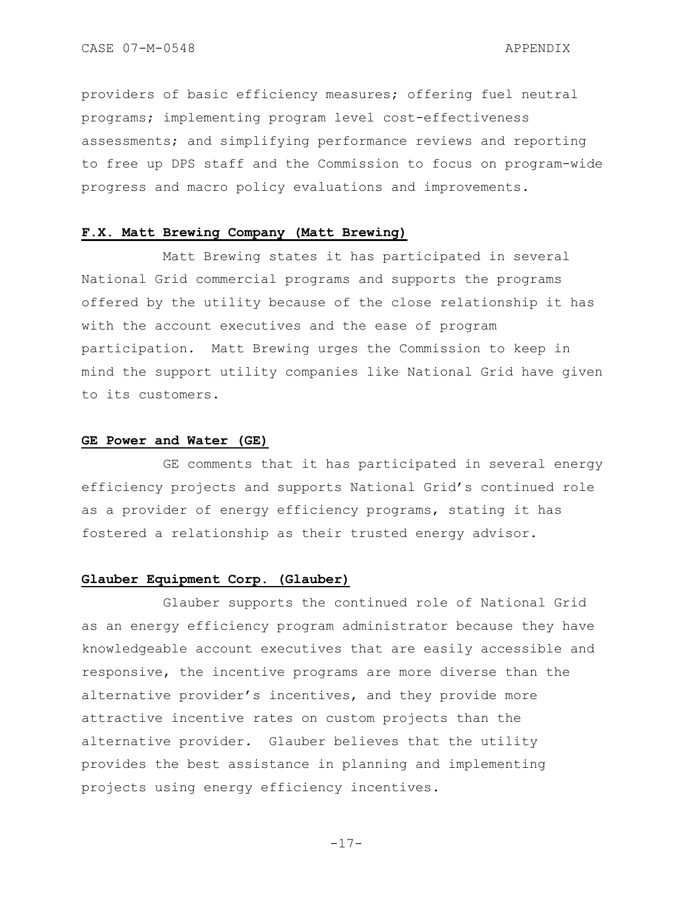providers of basic efficiency measures; offering fuel neutral programs; implementing program level cost-effectiveness assessments; and simplifying performance reviews and reporting to free up DPS staff and the Commission to focus on program-wide progress and macro policy evaluations and improvements.

# **F.X. Matt Brewing Company (Matt Brewing)**

Matt Brewing states it has participated in several National Grid commercial programs and supports the programs offered by the utility because of the close relationship it has with the account executives and the ease of program participation. Matt Brewing urges the Commission to keep in mind the support utility companies like National Grid have given to its customers.

#### **GE Power and Water (GE)**

GE comments that it has participated in several energy efficiency projects and supports National Grid"s continued role as a provider of energy efficiency programs, stating it has fostered a relationship as their trusted energy advisor.

# **Glauber Equipment Corp. (Glauber)**

Glauber supports the continued role of National Grid as an energy efficiency program administrator because they have knowledgeable account executives that are easily accessible and responsive, the incentive programs are more diverse than the alternative provider"s incentives, and they provide more attractive incentive rates on custom projects than the alternative provider. Glauber believes that the utility provides the best assistance in planning and implementing projects using energy efficiency incentives.

-17-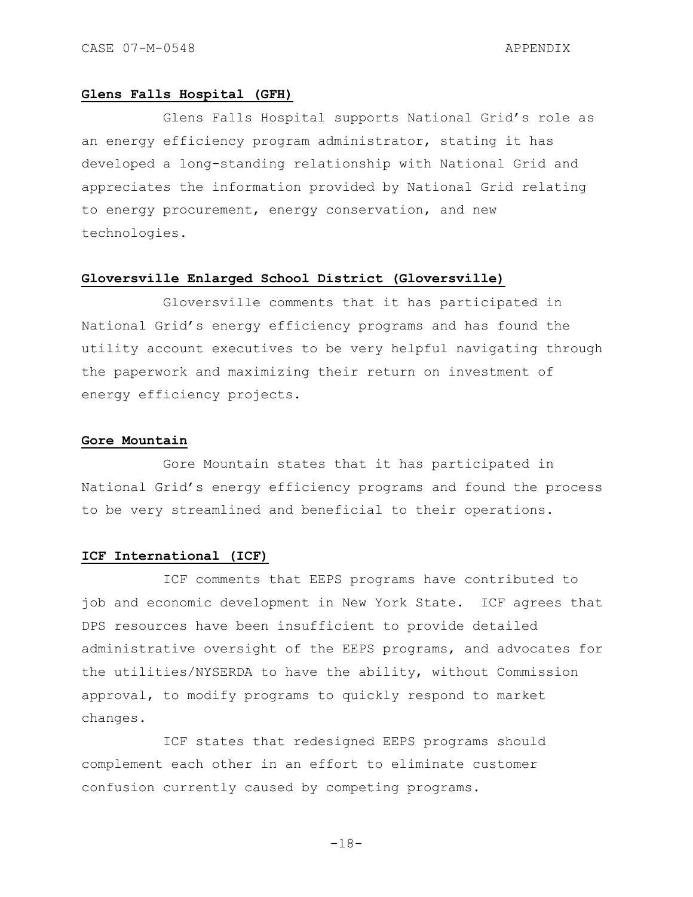# **Glens Falls Hospital (GFH)**

Glens Falls Hospital supports National Grid"s role as an energy efficiency program administrator, stating it has developed a long-standing relationship with National Grid and appreciates the information provided by National Grid relating to energy procurement, energy conservation, and new technologies.

# **Gloversville Enlarged School District (Gloversville)**

Gloversville comments that it has participated in National Grid"s energy efficiency programs and has found the utility account executives to be very helpful navigating through the paperwork and maximizing their return on investment of energy efficiency projects.

#### **Gore Mountain**

Gore Mountain states that it has participated in National Grid"s energy efficiency programs and found the process to be very streamlined and beneficial to their operations.

# **ICF International (ICF)**

ICF comments that EEPS programs have contributed to job and economic development in New York State. ICF agrees that DPS resources have been insufficient to provide detailed administrative oversight of the EEPS programs, and advocates for the utilities/NYSERDA to have the ability, without Commission approval, to modify programs to quickly respond to market changes.

ICF states that redesigned EEPS programs should complement each other in an effort to eliminate customer confusion currently caused by competing programs.

 $-18-$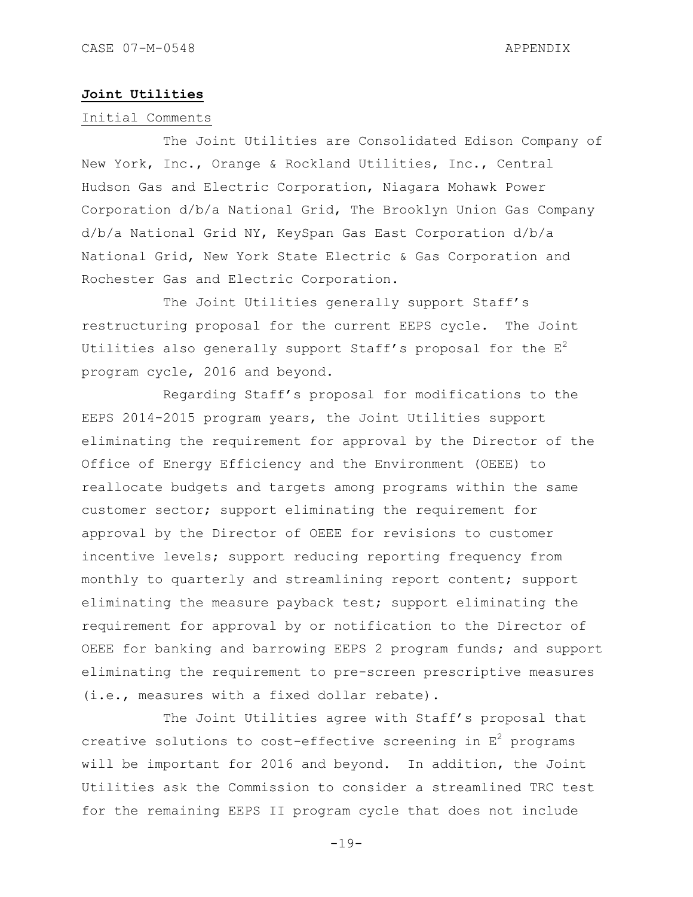# **Joint Utilities**

# Initial Comments

The Joint Utilities are Consolidated Edison Company of New York, Inc., Orange & Rockland Utilities, Inc., Central Hudson Gas and Electric Corporation, Niagara Mohawk Power Corporation d/b/a National Grid, The Brooklyn Union Gas Company d/b/a National Grid NY, KeySpan Gas East Corporation d/b/a National Grid, New York State Electric & Gas Corporation and Rochester Gas and Electric Corporation.

The Joint Utilities generally support Staff's restructuring proposal for the current EEPS cycle. The Joint Utilities also generally support Staff's proposal for the  $E^2$ program cycle, 2016 and beyond.

Regarding Staff"s proposal for modifications to the EEPS 2014-2015 program years, the Joint Utilities support eliminating the requirement for approval by the Director of the Office of Energy Efficiency and the Environment (OEEE) to reallocate budgets and targets among programs within the same customer sector; support eliminating the requirement for approval by the Director of OEEE for revisions to customer incentive levels; support reducing reporting frequency from monthly to quarterly and streamlining report content; support eliminating the measure payback test; support eliminating the requirement for approval by or notification to the Director of OEEE for banking and barrowing EEPS 2 program funds; and support eliminating the requirement to pre-screen prescriptive measures (i.e., measures with a fixed dollar rebate).

The Joint Utilities agree with Staff's proposal that creative solutions to cost-effective screening in  $E^2$  programs will be important for 2016 and beyond. In addition, the Joint Utilities ask the Commission to consider a streamlined TRC test for the remaining EEPS II program cycle that does not include

 $-19-$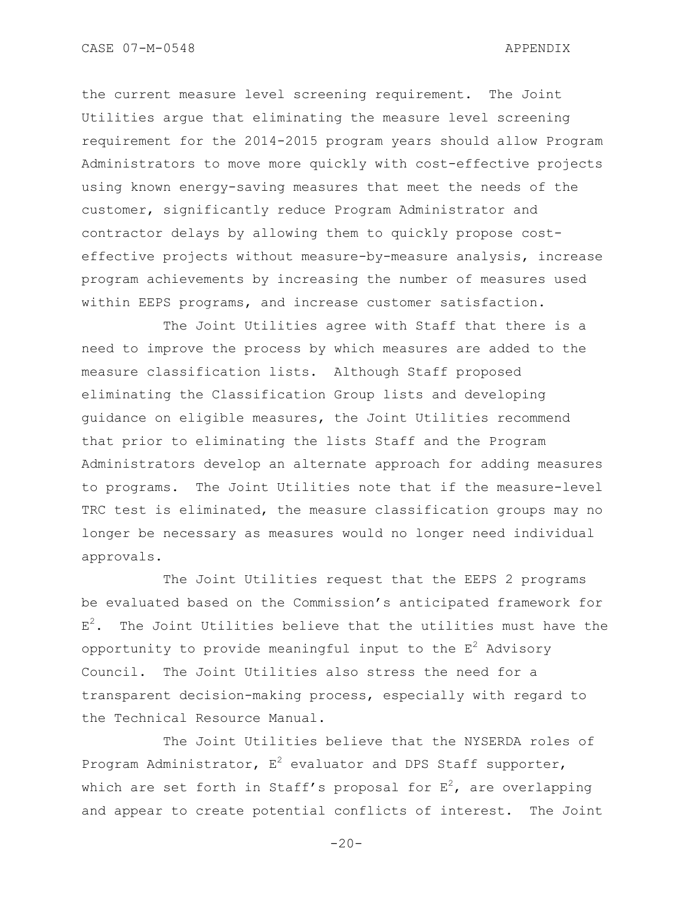the current measure level screening requirement. The Joint Utilities argue that eliminating the measure level screening requirement for the 2014-2015 program years should allow Program Administrators to move more quickly with cost-effective projects using known energy-saving measures that meet the needs of the customer, significantly reduce Program Administrator and contractor delays by allowing them to quickly propose costeffective projects without measure-by-measure analysis, increase program achievements by increasing the number of measures used within EEPS programs, and increase customer satisfaction.

The Joint Utilities agree with Staff that there is a need to improve the process by which measures are added to the measure classification lists. Although Staff proposed eliminating the Classification Group lists and developing guidance on eligible measures, the Joint Utilities recommend that prior to eliminating the lists Staff and the Program Administrators develop an alternate approach for adding measures to programs. The Joint Utilities note that if the measure-level TRC test is eliminated, the measure classification groups may no longer be necessary as measures would no longer need individual approvals.

The Joint Utilities request that the EEPS 2 programs be evaluated based on the Commission"s anticipated framework for  $E^2$ . The Joint Utilities believe that the utilities must have the opportunity to provide meaningful input to the  $E^2$  Advisory Council. The Joint Utilities also stress the need for a transparent decision-making process, especially with regard to the Technical Resource Manual.

The Joint Utilities believe that the NYSERDA roles of Program Administrator,  $E^2$  evaluator and DPS Staff supporter, which are set forth in Staff's proposal for  $E^2$ , are overlapping and appear to create potential conflicts of interest. The Joint

 $-20-$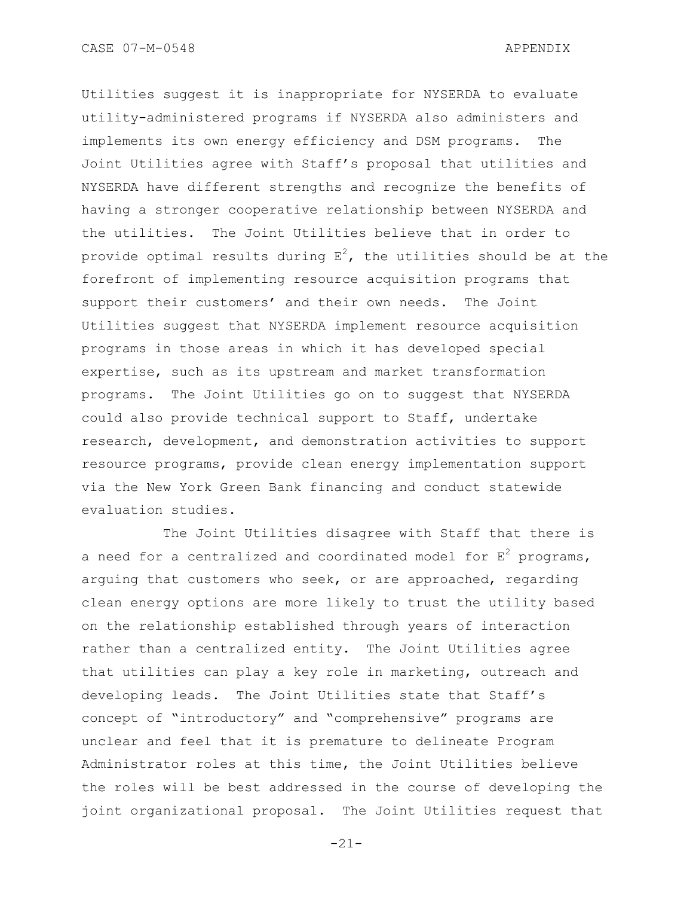Utilities suggest it is inappropriate for NYSERDA to evaluate utility-administered programs if NYSERDA also administers and implements its own energy efficiency and DSM programs. The Joint Utilities agree with Staff"s proposal that utilities and NYSERDA have different strengths and recognize the benefits of having a stronger cooperative relationship between NYSERDA and the utilities. The Joint Utilities believe that in order to provide optimal results during  $E^2$ , the utilities should be at the forefront of implementing resource acquisition programs that support their customers" and their own needs. The Joint Utilities suggest that NYSERDA implement resource acquisition programs in those areas in which it has developed special expertise, such as its upstream and market transformation programs. The Joint Utilities go on to suggest that NYSERDA could also provide technical support to Staff, undertake research, development, and demonstration activities to support resource programs, provide clean energy implementation support via the New York Green Bank financing and conduct statewide evaluation studies.

The Joint Utilities disagree with Staff that there is a need for a centralized and coordinated model for  $E^2$  programs, arguing that customers who seek, or are approached, regarding clean energy options are more likely to trust the utility based on the relationship established through years of interaction rather than a centralized entity. The Joint Utilities agree that utilities can play a key role in marketing, outreach and developing leads. The Joint Utilities state that Staff"s concept of "introductory" and "comprehensive" programs are unclear and feel that it is premature to delineate Program Administrator roles at this time, the Joint Utilities believe the roles will be best addressed in the course of developing the joint organizational proposal. The Joint Utilities request that

-21-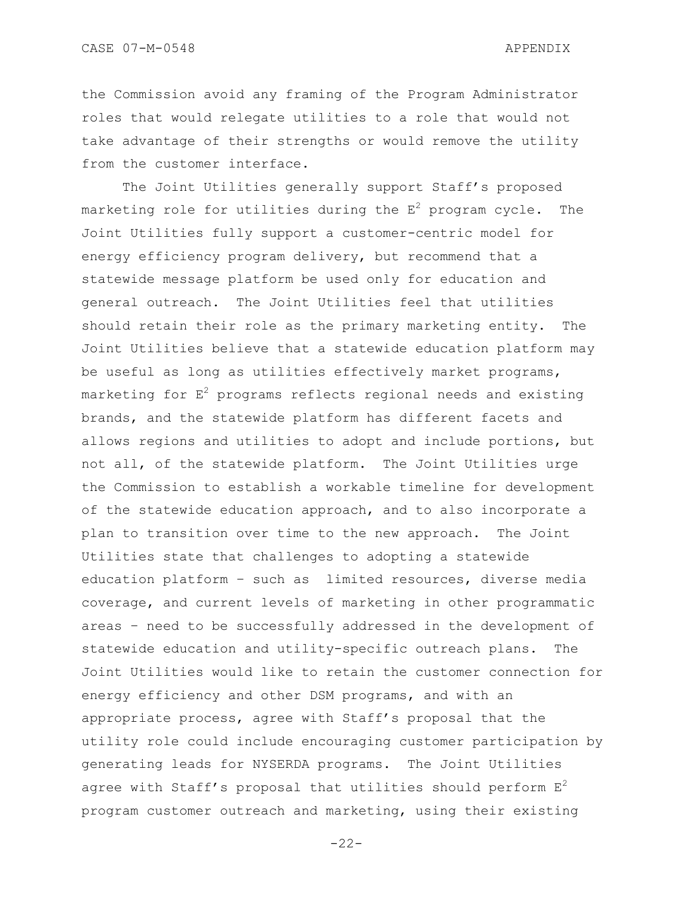the Commission avoid any framing of the Program Administrator roles that would relegate utilities to a role that would not take advantage of their strengths or would remove the utility from the customer interface.

The Joint Utilities generally support Staff's proposed marketing role for utilities during the  $E^2$  program cycle. The Joint Utilities fully support a customer-centric model for energy efficiency program delivery, but recommend that a statewide message platform be used only for education and general outreach. The Joint Utilities feel that utilities should retain their role as the primary marketing entity. The Joint Utilities believe that a statewide education platform may be useful as long as utilities effectively market programs, marketing for  $E^2$  programs reflects regional needs and existing brands, and the statewide platform has different facets and allows regions and utilities to adopt and include portions, but not all, of the statewide platform. The Joint Utilities urge the Commission to establish a workable timeline for development of the statewide education approach, and to also incorporate a plan to transition over time to the new approach. The Joint Utilities state that challenges to adopting a statewide education platform – such as limited resources, diverse media coverage, and current levels of marketing in other programmatic areas – need to be successfully addressed in the development of statewide education and utility-specific outreach plans. The Joint Utilities would like to retain the customer connection for energy efficiency and other DSM programs, and with an appropriate process, agree with Staff"s proposal that the utility role could include encouraging customer participation by generating leads for NYSERDA programs. The Joint Utilities agree with Staff's proposal that utilities should perform  $E^2$ program customer outreach and marketing, using their existing

 $-22-$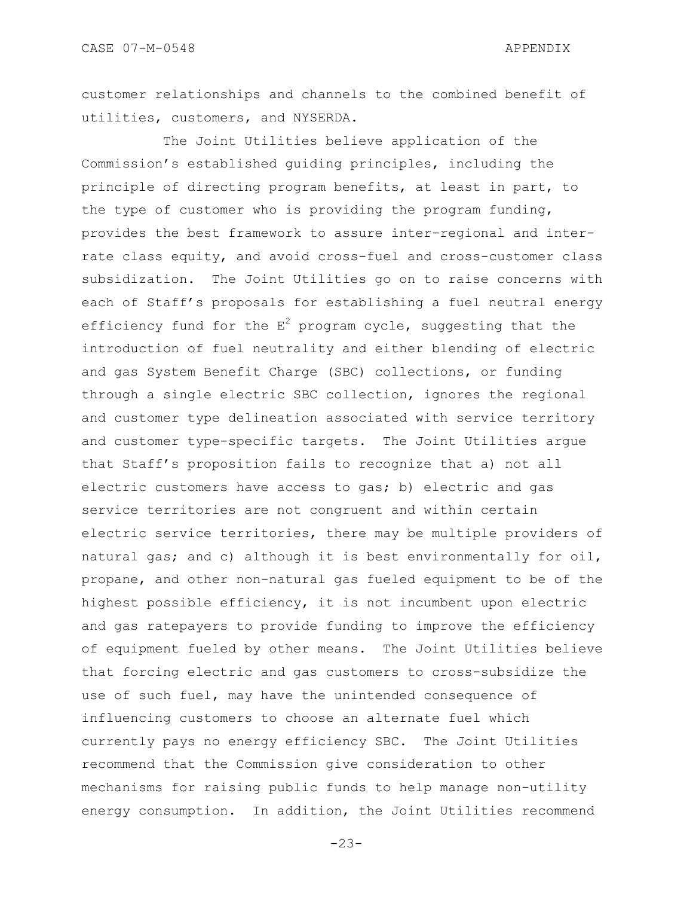customer relationships and channels to the combined benefit of utilities, customers, and NYSERDA.

The Joint Utilities believe application of the Commission"s established guiding principles, including the principle of directing program benefits, at least in part, to the type of customer who is providing the program funding, provides the best framework to assure inter-regional and interrate class equity, and avoid cross-fuel and cross-customer class subsidization. The Joint Utilities go on to raise concerns with each of Staff"s proposals for establishing a fuel neutral energy efficiency fund for the  $E^2$  program cycle, suggesting that the introduction of fuel neutrality and either blending of electric and gas System Benefit Charge (SBC) collections, or funding through a single electric SBC collection, ignores the regional and customer type delineation associated with service territory and customer type-specific targets. The Joint Utilities argue that Staff"s proposition fails to recognize that a) not all electric customers have access to gas; b) electric and gas service territories are not congruent and within certain electric service territories, there may be multiple providers of natural gas; and c) although it is best environmentally for oil, propane, and other non-natural gas fueled equipment to be of the highest possible efficiency, it is not incumbent upon electric and gas ratepayers to provide funding to improve the efficiency of equipment fueled by other means. The Joint Utilities believe that forcing electric and gas customers to cross-subsidize the use of such fuel, may have the unintended consequence of influencing customers to choose an alternate fuel which currently pays no energy efficiency SBC. The Joint Utilities recommend that the Commission give consideration to other mechanisms for raising public funds to help manage non-utility energy consumption. In addition, the Joint Utilities recommend

-23-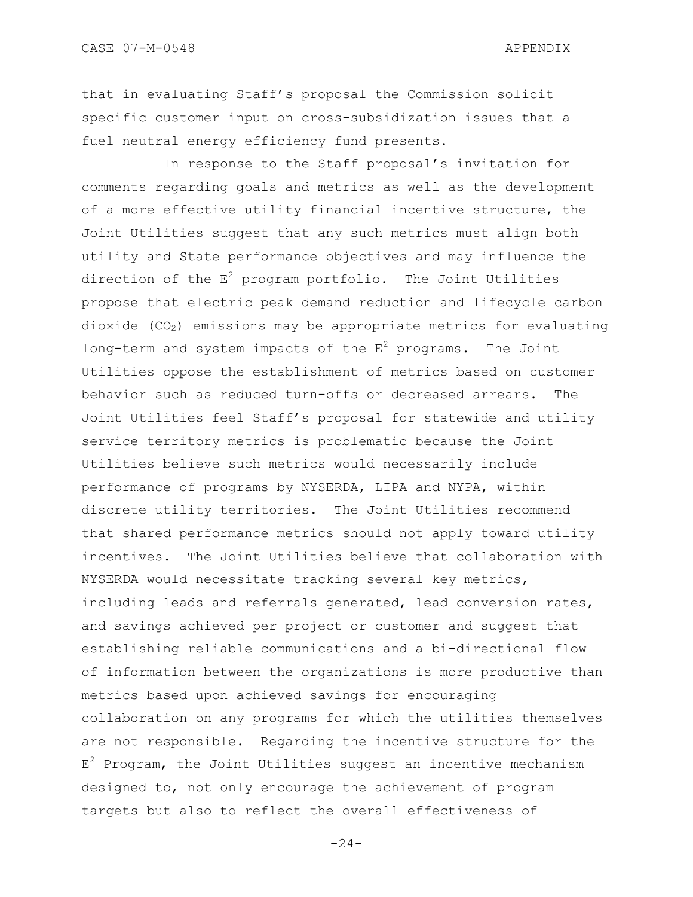that in evaluating Staff"s proposal the Commission solicit specific customer input on cross-subsidization issues that a fuel neutral energy efficiency fund presents.

In response to the Staff proposal's invitation for comments regarding goals and metrics as well as the development of a more effective utility financial incentive structure, the Joint Utilities suggest that any such metrics must align both utility and State performance objectives and may influence the direction of the  $E^2$  program portfolio. The Joint Utilities propose that electric peak demand reduction and lifecycle carbon dioxide  $(CO<sub>2</sub>)$  emissions may be appropriate metrics for evaluating long-term and system impacts of the  $E^2$  programs. The Joint Utilities oppose the establishment of metrics based on customer behavior such as reduced turn-offs or decreased arrears. The Joint Utilities feel Staff"s proposal for statewide and utility service territory metrics is problematic because the Joint Utilities believe such metrics would necessarily include performance of programs by NYSERDA, LIPA and NYPA, within discrete utility territories. The Joint Utilities recommend that shared performance metrics should not apply toward utility incentives. The Joint Utilities believe that collaboration with NYSERDA would necessitate tracking several key metrics, including leads and referrals generated, lead conversion rates, and savings achieved per project or customer and suggest that establishing reliable communications and a bi-directional flow of information between the organizations is more productive than metrics based upon achieved savings for encouraging collaboration on any programs for which the utilities themselves are not responsible. Regarding the incentive structure for the  $E^2$  Program, the Joint Utilities suggest an incentive mechanism designed to, not only encourage the achievement of program targets but also to reflect the overall effectiveness of

 $-24-$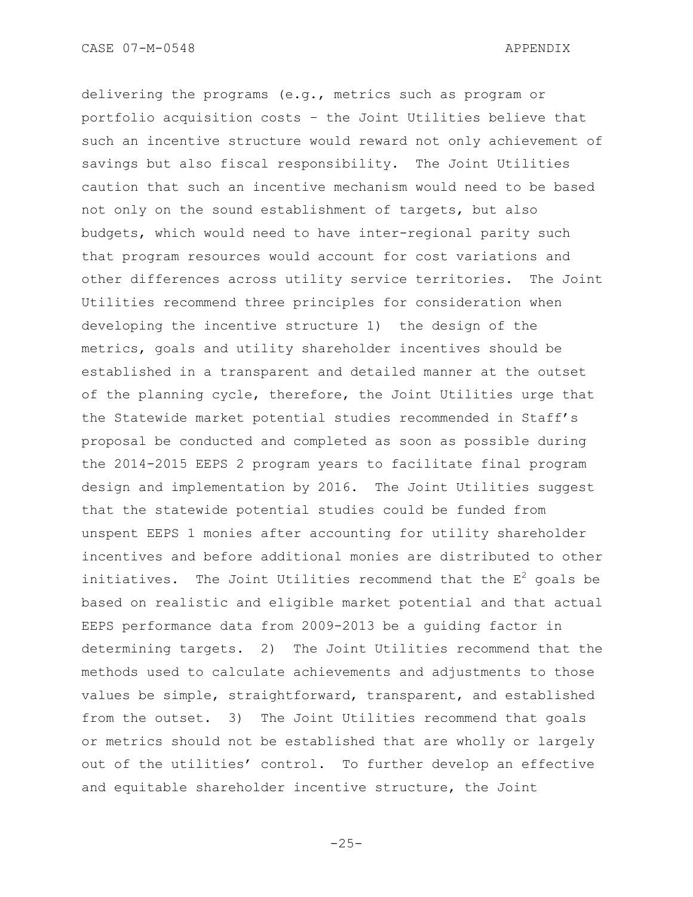delivering the programs (e.g., metrics such as program or portfolio acquisition costs – the Joint Utilities believe that such an incentive structure would reward not only achievement of savings but also fiscal responsibility. The Joint Utilities caution that such an incentive mechanism would need to be based not only on the sound establishment of targets, but also budgets, which would need to have inter-regional parity such that program resources would account for cost variations and other differences across utility service territories. The Joint Utilities recommend three principles for consideration when developing the incentive structure 1) the design of the metrics, goals and utility shareholder incentives should be established in a transparent and detailed manner at the outset of the planning cycle, therefore, the Joint Utilities urge that the Statewide market potential studies recommended in Staff"s proposal be conducted and completed as soon as possible during the 2014-2015 EEPS 2 program years to facilitate final program design and implementation by 2016. The Joint Utilities suggest that the statewide potential studies could be funded from unspent EEPS 1 monies after accounting for utility shareholder incentives and before additional monies are distributed to other initiatives. The Joint Utilities recommend that the  $E^2$  goals be based on realistic and eligible market potential and that actual EEPS performance data from 2009-2013 be a guiding factor in determining targets. 2) The Joint Utilities recommend that the methods used to calculate achievements and adjustments to those values be simple, straightforward, transparent, and established from the outset. 3) The Joint Utilities recommend that goals or metrics should not be established that are wholly or largely out of the utilities' control. To further develop an effective and equitable shareholder incentive structure, the Joint

-25-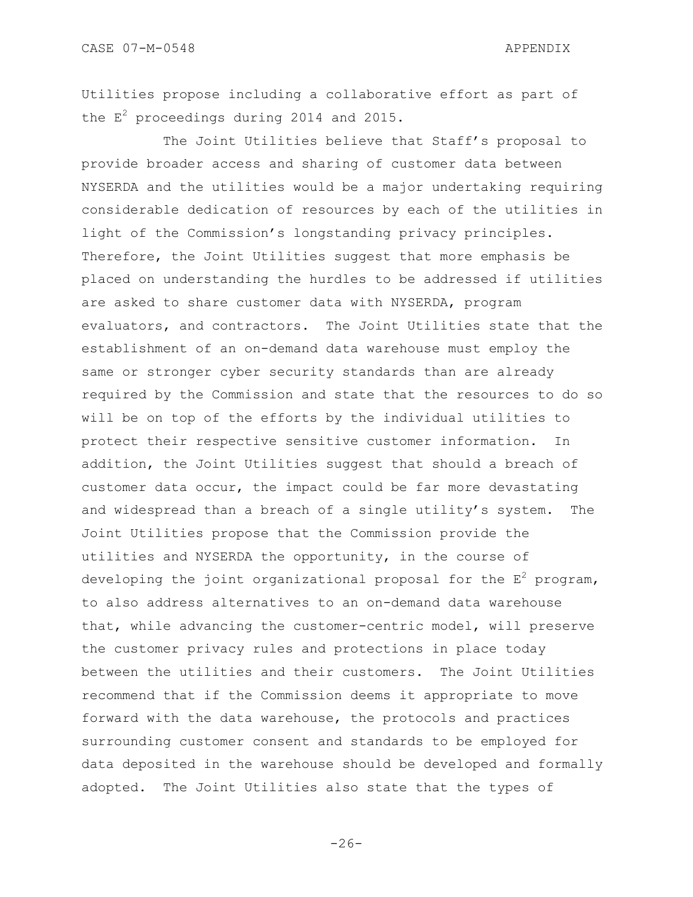Utilities propose including a collaborative effort as part of the  $E^2$  proceedings during 2014 and 2015.

The Joint Utilities believe that Staff"s proposal to provide broader access and sharing of customer data between NYSERDA and the utilities would be a major undertaking requiring considerable dedication of resources by each of the utilities in light of the Commission"s longstanding privacy principles. Therefore, the Joint Utilities suggest that more emphasis be placed on understanding the hurdles to be addressed if utilities are asked to share customer data with NYSERDA, program evaluators, and contractors. The Joint Utilities state that the establishment of an on-demand data warehouse must employ the same or stronger cyber security standards than are already required by the Commission and state that the resources to do so will be on top of the efforts by the individual utilities to protect their respective sensitive customer information. In addition, the Joint Utilities suggest that should a breach of customer data occur, the impact could be far more devastating and widespread than a breach of a single utility's system. The Joint Utilities propose that the Commission provide the utilities and NYSERDA the opportunity, in the course of developing the joint organizational proposal for the  $E^2$  program, to also address alternatives to an on-demand data warehouse that, while advancing the customer-centric model, will preserve the customer privacy rules and protections in place today between the utilities and their customers. The Joint Utilities recommend that if the Commission deems it appropriate to move forward with the data warehouse, the protocols and practices surrounding customer consent and standards to be employed for data deposited in the warehouse should be developed and formally adopted. The Joint Utilities also state that the types of

 $-26-$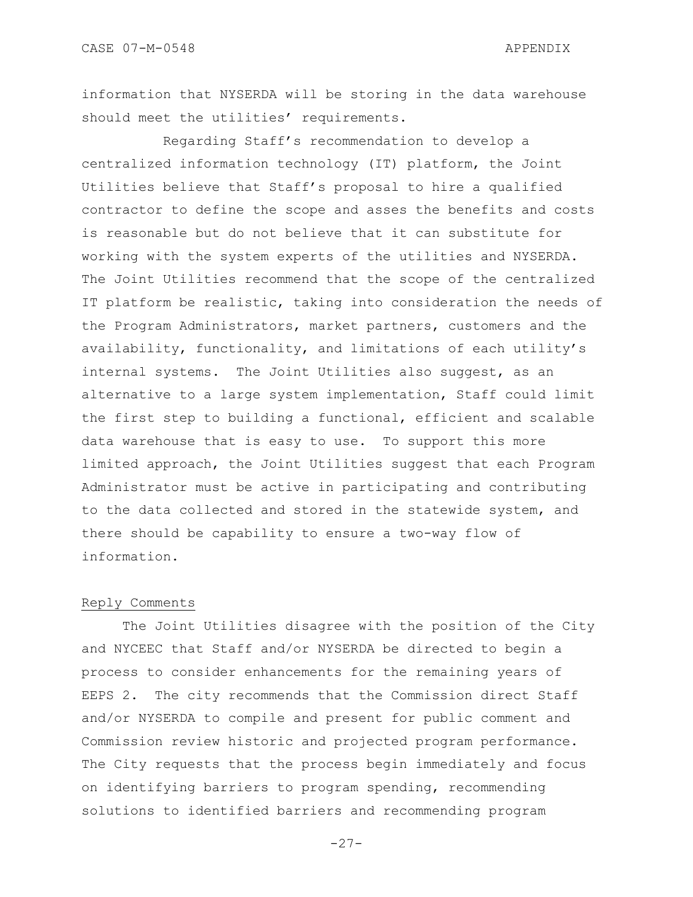information that NYSERDA will be storing in the data warehouse should meet the utilities' requirements.

Regarding Staff"s recommendation to develop a centralized information technology (IT) platform, the Joint Utilities believe that Staff"s proposal to hire a qualified contractor to define the scope and asses the benefits and costs is reasonable but do not believe that it can substitute for working with the system experts of the utilities and NYSERDA. The Joint Utilities recommend that the scope of the centralized IT platform be realistic, taking into consideration the needs of the Program Administrators, market partners, customers and the availability, functionality, and limitations of each utility"s internal systems. The Joint Utilities also suggest, as an alternative to a large system implementation, Staff could limit the first step to building a functional, efficient and scalable data warehouse that is easy to use. To support this more limited approach, the Joint Utilities suggest that each Program Administrator must be active in participating and contributing to the data collected and stored in the statewide system, and there should be capability to ensure a two-way flow of information.

#### Reply Comments

The Joint Utilities disagree with the position of the City and NYCEEC that Staff and/or NYSERDA be directed to begin a process to consider enhancements for the remaining years of EEPS 2. The city recommends that the Commission direct Staff and/or NYSERDA to compile and present for public comment and Commission review historic and projected program performance. The City requests that the process begin immediately and focus on identifying barriers to program spending, recommending solutions to identified barriers and recommending program

 $-27-$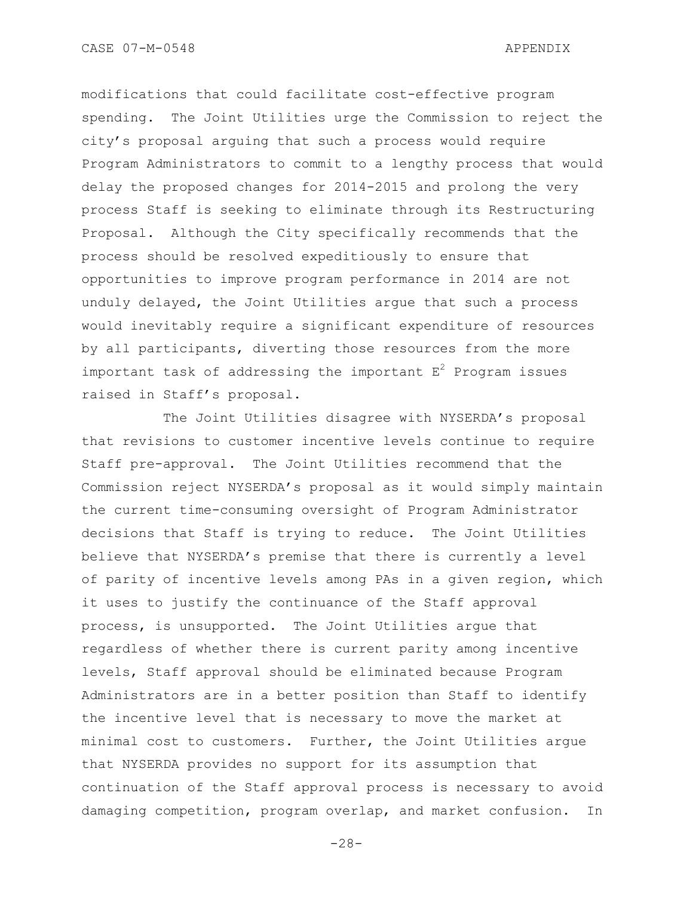modifications that could facilitate cost-effective program spending. The Joint Utilities urge the Commission to reject the city"s proposal arguing that such a process would require Program Administrators to commit to a lengthy process that would delay the proposed changes for 2014-2015 and prolong the very process Staff is seeking to eliminate through its Restructuring Proposal. Although the City specifically recommends that the process should be resolved expeditiously to ensure that opportunities to improve program performance in 2014 are not unduly delayed, the Joint Utilities argue that such a process would inevitably require a significant expenditure of resources by all participants, diverting those resources from the more important task of addressing the important  $E^2$  Program issues raised in Staff"s proposal.

The Joint Utilities disagree with NYSERDA"s proposal that revisions to customer incentive levels continue to require Staff pre-approval. The Joint Utilities recommend that the Commission reject NYSERDA"s proposal as it would simply maintain the current time-consuming oversight of Program Administrator decisions that Staff is trying to reduce. The Joint Utilities believe that NYSERDA"s premise that there is currently a level of parity of incentive levels among PAs in a given region, which it uses to justify the continuance of the Staff approval process, is unsupported. The Joint Utilities argue that regardless of whether there is current parity among incentive levels, Staff approval should be eliminated because Program Administrators are in a better position than Staff to identify the incentive level that is necessary to move the market at minimal cost to customers. Further, the Joint Utilities argue that NYSERDA provides no support for its assumption that continuation of the Staff approval process is necessary to avoid damaging competition, program overlap, and market confusion. In

-28-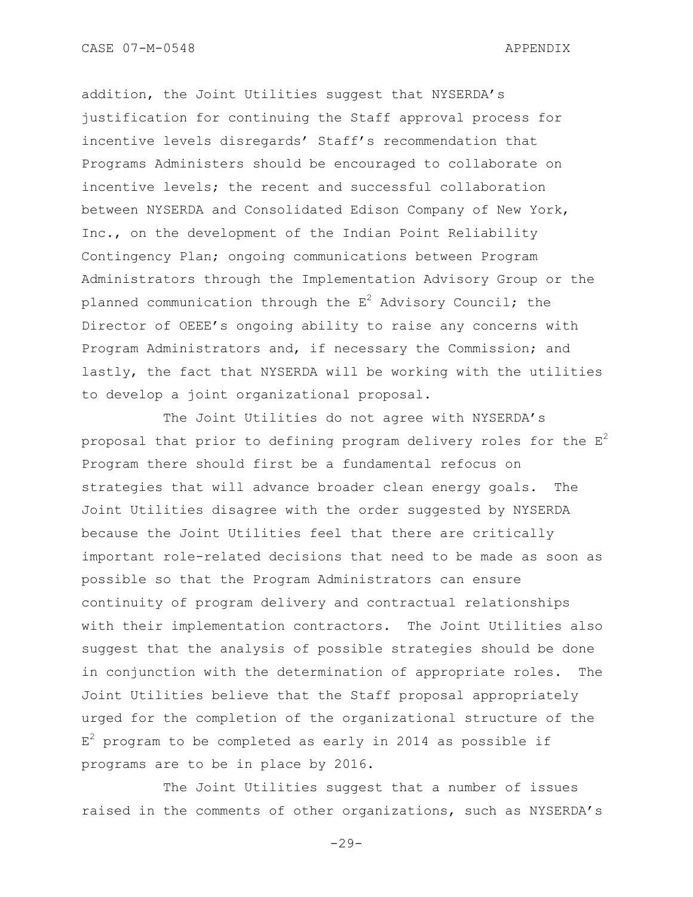addition, the Joint Utilities suggest that NYSERDA's justification for continuing the Staff approval process for incentive levels disregards" Staff"s recommendation that Programs Administers should be encouraged to collaborate on incentive levels; the recent and successful collaboration between NYSERDA and Consolidated Edison Company of New York, Inc., on the development of the Indian Point Reliability Contingency Plan; ongoing communications between Program Administrators through the Implementation Advisory Group or the planned communication through the  $E^2$  Advisory Council; the Director of OEEE"s ongoing ability to raise any concerns with Program Administrators and, if necessary the Commission; and lastly, the fact that NYSERDA will be working with the utilities to develop a joint organizational proposal.

The Joint Utilities do not agree with NYSERDA's proposal that prior to defining program delivery roles for the  $E^2$ Program there should first be a fundamental refocus on strategies that will advance broader clean energy goals. The Joint Utilities disagree with the order suggested by NYSERDA because the Joint Utilities feel that there are critically important role-related decisions that need to be made as soon as possible so that the Program Administrators can ensure continuity of program delivery and contractual relationships with their implementation contractors. The Joint Utilities also suggest that the analysis of possible strategies should be done in conjunction with the determination of appropriate roles. The Joint Utilities believe that the Staff proposal appropriately urged for the completion of the organizational structure of the  $E^2$  program to be completed as early in 2014 as possible if programs are to be in place by 2016.

The Joint Utilities suggest that a number of issues raised in the comments of other organizations, such as NYSERDA"s

 $-29-$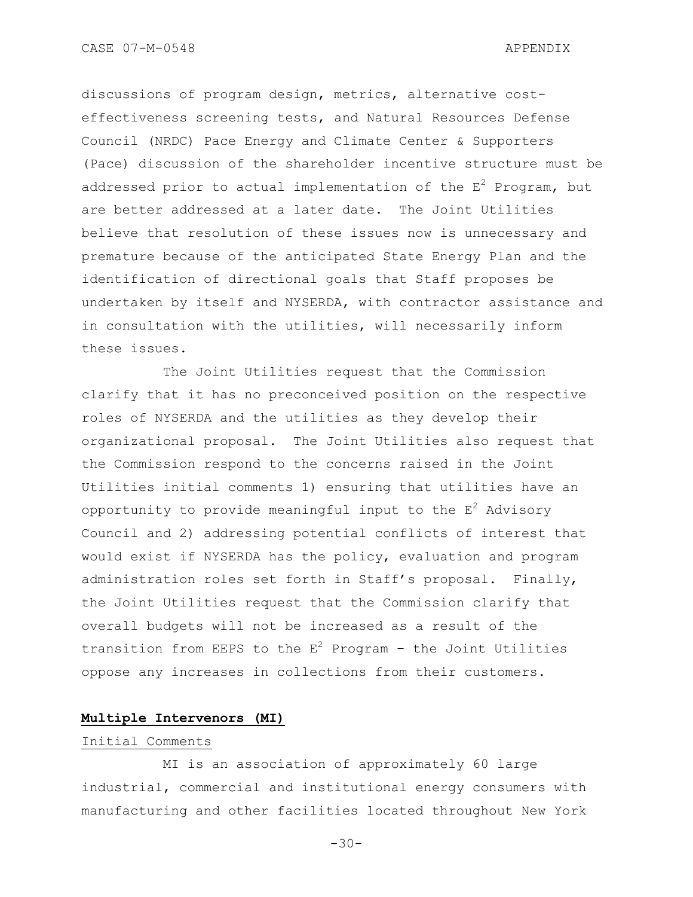discussions of program design, metrics, alternative costeffectiveness screening tests, and Natural Resources Defense Council (NRDC) Pace Energy and Climate Center & Supporters (Pace) discussion of the shareholder incentive structure must be addressed prior to actual implementation of the  $E^2$  Program, but are better addressed at a later date. The Joint Utilities believe that resolution of these issues now is unnecessary and premature because of the anticipated State Energy Plan and the identification of directional goals that Staff proposes be undertaken by itself and NYSERDA, with contractor assistance and in consultation with the utilities, will necessarily inform these issues.

The Joint Utilities request that the Commission clarify that it has no preconceived position on the respective roles of NYSERDA and the utilities as they develop their organizational proposal. The Joint Utilities also request that the Commission respond to the concerns raised in the Joint Utilities initial comments 1) ensuring that utilities have an opportunity to provide meaningful input to the  $E^2$  Advisory Council and 2) addressing potential conflicts of interest that would exist if NYSERDA has the policy, evaluation and program administration roles set forth in Staff"s proposal. Finally, the Joint Utilities request that the Commission clarify that overall budgets will not be increased as a result of the transition from EEPS to the  $E^2$  Program - the Joint Utilities oppose any increases in collections from their customers.

### **Multiple Intervenors (MI)**

## Initial Comments

MI is an association of approximately 60 large industrial, commercial and institutional energy consumers with manufacturing and other facilities located throughout New York

 $-30-$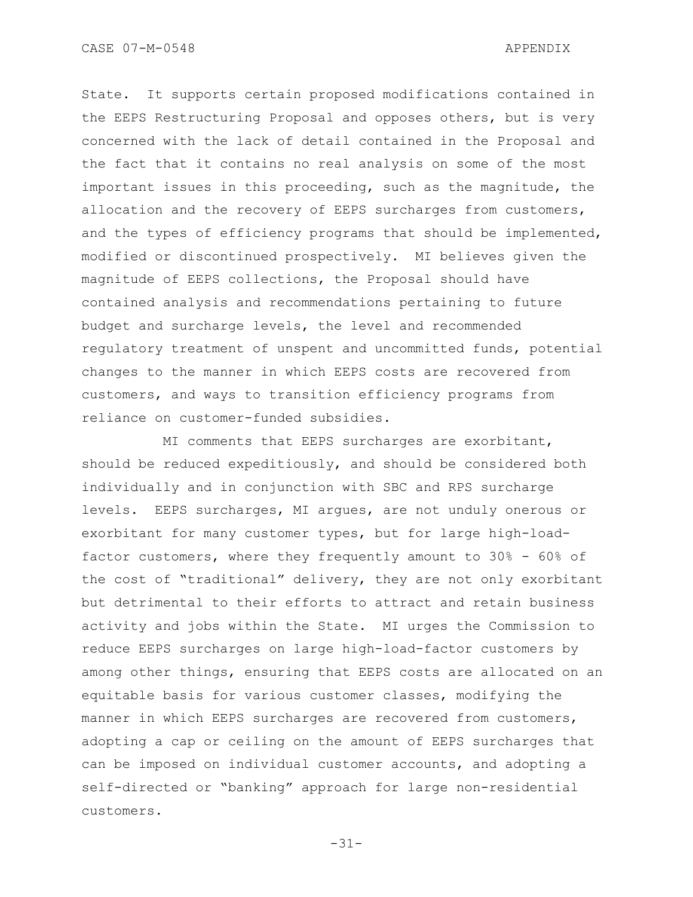State. It supports certain proposed modifications contained in the EEPS Restructuring Proposal and opposes others, but is very concerned with the lack of detail contained in the Proposal and the fact that it contains no real analysis on some of the most important issues in this proceeding, such as the magnitude, the allocation and the recovery of EEPS surcharges from customers, and the types of efficiency programs that should be implemented, modified or discontinued prospectively. MI believes given the magnitude of EEPS collections, the Proposal should have contained analysis and recommendations pertaining to future budget and surcharge levels, the level and recommended regulatory treatment of unspent and uncommitted funds, potential changes to the manner in which EEPS costs are recovered from customers, and ways to transition efficiency programs from reliance on customer-funded subsidies.

MI comments that EEPS surcharges are exorbitant, should be reduced expeditiously, and should be considered both individually and in conjunction with SBC and RPS surcharge levels. EEPS surcharges, MI argues, are not unduly onerous or exorbitant for many customer types, but for large high-loadfactor customers, where they frequently amount to 30% - 60% of the cost of "traditional" delivery, they are not only exorbitant but detrimental to their efforts to attract and retain business activity and jobs within the State. MI urges the Commission to reduce EEPS surcharges on large high-load-factor customers by among other things, ensuring that EEPS costs are allocated on an equitable basis for various customer classes, modifying the manner in which EEPS surcharges are recovered from customers, adopting a cap or ceiling on the amount of EEPS surcharges that can be imposed on individual customer accounts, and adopting a self-directed or "banking" approach for large non-residential customers.

-31-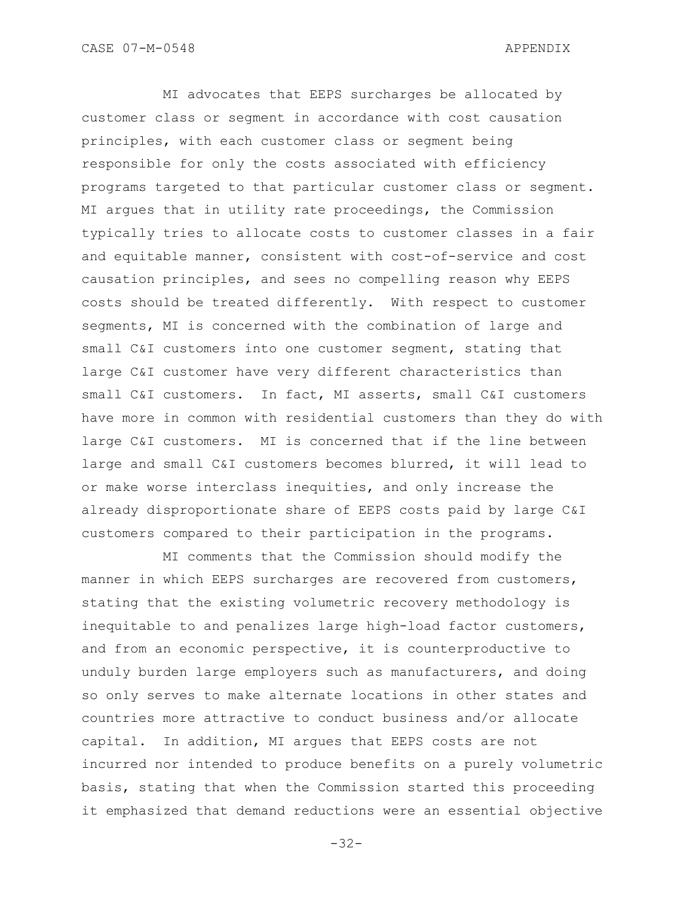MI advocates that EEPS surcharges be allocated by customer class or segment in accordance with cost causation principles, with each customer class or segment being responsible for only the costs associated with efficiency programs targeted to that particular customer class or segment. MI argues that in utility rate proceedings, the Commission typically tries to allocate costs to customer classes in a fair and equitable manner, consistent with cost-of-service and cost causation principles, and sees no compelling reason why EEPS costs should be treated differently. With respect to customer segments, MI is concerned with the combination of large and small C&I customers into one customer segment, stating that large C&I customer have very different characteristics than small C&I customers. In fact, MI asserts, small C&I customers have more in common with residential customers than they do with large C&I customers. MI is concerned that if the line between large and small C&I customers becomes blurred, it will lead to or make worse interclass inequities, and only increase the already disproportionate share of EEPS costs paid by large C&I customers compared to their participation in the programs.

MI comments that the Commission should modify the manner in which EEPS surcharges are recovered from customers, stating that the existing volumetric recovery methodology is inequitable to and penalizes large high-load factor customers, and from an economic perspective, it is counterproductive to unduly burden large employers such as manufacturers, and doing so only serves to make alternate locations in other states and countries more attractive to conduct business and/or allocate capital. In addition, MI argues that EEPS costs are not incurred nor intended to produce benefits on a purely volumetric basis, stating that when the Commission started this proceeding it emphasized that demand reductions were an essential objective

-32-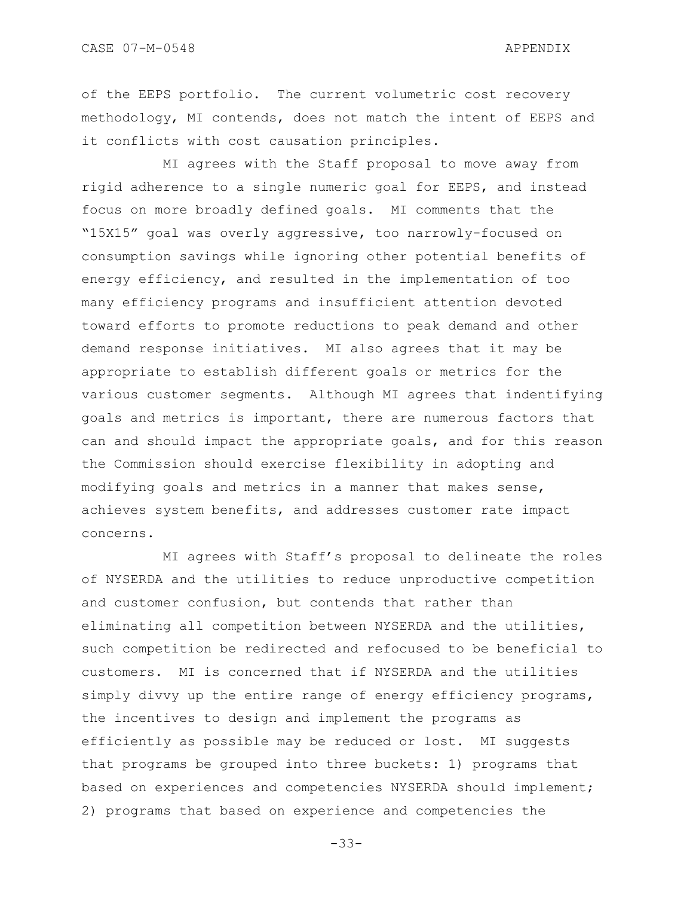of the EEPS portfolio. The current volumetric cost recovery methodology, MI contends, does not match the intent of EEPS and it conflicts with cost causation principles.

MI agrees with the Staff proposal to move away from rigid adherence to a single numeric goal for EEPS, and instead focus on more broadly defined goals. MI comments that the "15X15" goal was overly aggressive, too narrowly-focused on consumption savings while ignoring other potential benefits of energy efficiency, and resulted in the implementation of too many efficiency programs and insufficient attention devoted toward efforts to promote reductions to peak demand and other demand response initiatives. MI also agrees that it may be appropriate to establish different goals or metrics for the various customer segments. Although MI agrees that indentifying goals and metrics is important, there are numerous factors that can and should impact the appropriate goals, and for this reason the Commission should exercise flexibility in adopting and modifying goals and metrics in a manner that makes sense, achieves system benefits, and addresses customer rate impact concerns.

MI agrees with Staff"s proposal to delineate the roles of NYSERDA and the utilities to reduce unproductive competition and customer confusion, but contends that rather than eliminating all competition between NYSERDA and the utilities, such competition be redirected and refocused to be beneficial to customers. MI is concerned that if NYSERDA and the utilities simply divvy up the entire range of energy efficiency programs, the incentives to design and implement the programs as efficiently as possible may be reduced or lost. MI suggests that programs be grouped into three buckets: 1) programs that based on experiences and competencies NYSERDA should implement; 2) programs that based on experience and competencies the

-33-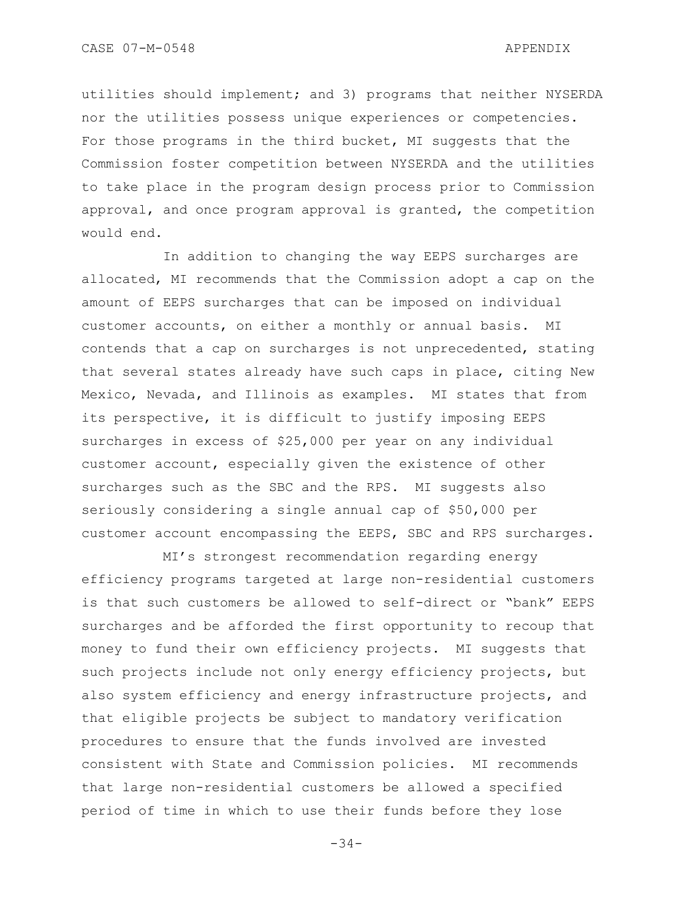CASE 07-M-0548 APPENDIX

utilities should implement; and 3) programs that neither NYSERDA nor the utilities possess unique experiences or competencies. For those programs in the third bucket, MI suggests that the Commission foster competition between NYSERDA and the utilities to take place in the program design process prior to Commission approval, and once program approval is granted, the competition would end.

In addition to changing the way EEPS surcharges are allocated, MI recommends that the Commission adopt a cap on the amount of EEPS surcharges that can be imposed on individual customer accounts, on either a monthly or annual basis. MI contends that a cap on surcharges is not unprecedented, stating that several states already have such caps in place, citing New Mexico, Nevada, and Illinois as examples. MI states that from its perspective, it is difficult to justify imposing EEPS surcharges in excess of \$25,000 per year on any individual customer account, especially given the existence of other surcharges such as the SBC and the RPS. MI suggests also seriously considering a single annual cap of \$50,000 per customer account encompassing the EEPS, SBC and RPS surcharges.

MI"s strongest recommendation regarding energy efficiency programs targeted at large non-residential customers is that such customers be allowed to self-direct or "bank" EEPS surcharges and be afforded the first opportunity to recoup that money to fund their own efficiency projects. MI suggests that such projects include not only energy efficiency projects, but also system efficiency and energy infrastructure projects, and that eligible projects be subject to mandatory verification procedures to ensure that the funds involved are invested consistent with State and Commission policies. MI recommends that large non-residential customers be allowed a specified period of time in which to use their funds before they lose

-34-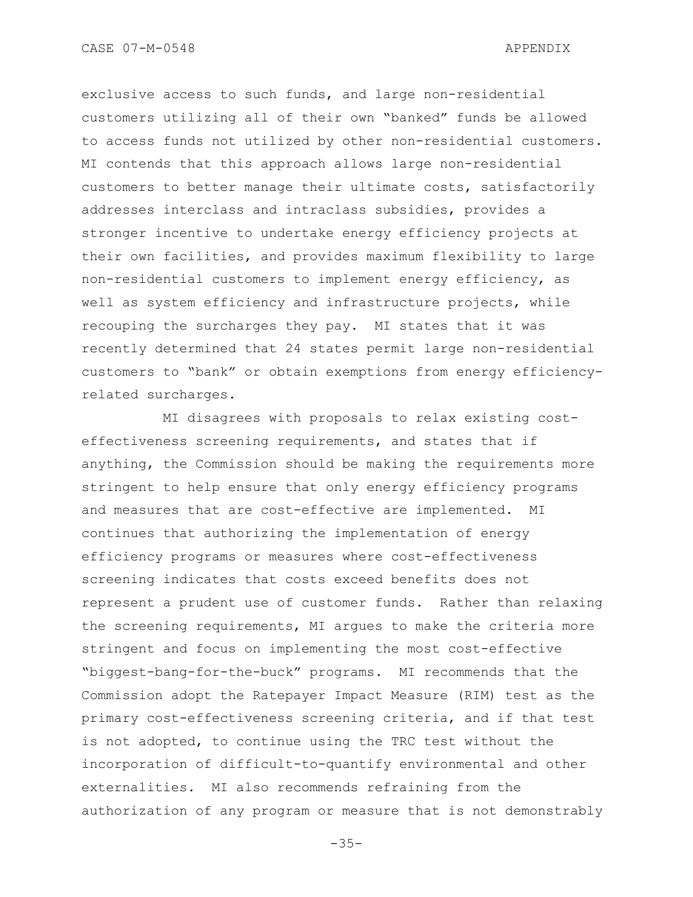exclusive access to such funds, and large non-residential customers utilizing all of their own "banked" funds be allowed to access funds not utilized by other non-residential customers. MI contends that this approach allows large non-residential customers to better manage their ultimate costs, satisfactorily addresses interclass and intraclass subsidies, provides a stronger incentive to undertake energy efficiency projects at their own facilities, and provides maximum flexibility to large non-residential customers to implement energy efficiency, as well as system efficiency and infrastructure projects, while recouping the surcharges they pay. MI states that it was recently determined that 24 states permit large non-residential customers to "bank" or obtain exemptions from energy efficiencyrelated surcharges.

MI disagrees with proposals to relax existing costeffectiveness screening requirements, and states that if anything, the Commission should be making the requirements more stringent to help ensure that only energy efficiency programs and measures that are cost-effective are implemented. MI continues that authorizing the implementation of energy efficiency programs or measures where cost-effectiveness screening indicates that costs exceed benefits does not represent a prudent use of customer funds. Rather than relaxing the screening requirements, MI argues to make the criteria more stringent and focus on implementing the most cost-effective "biggest-bang-for-the-buck" programs. MI recommends that the Commission adopt the Ratepayer Impact Measure (RIM) test as the primary cost-effectiveness screening criteria, and if that test is not adopted, to continue using the TRC test without the incorporation of difficult-to-quantify environmental and other externalities. MI also recommends refraining from the authorization of any program or measure that is not demonstrably

-35-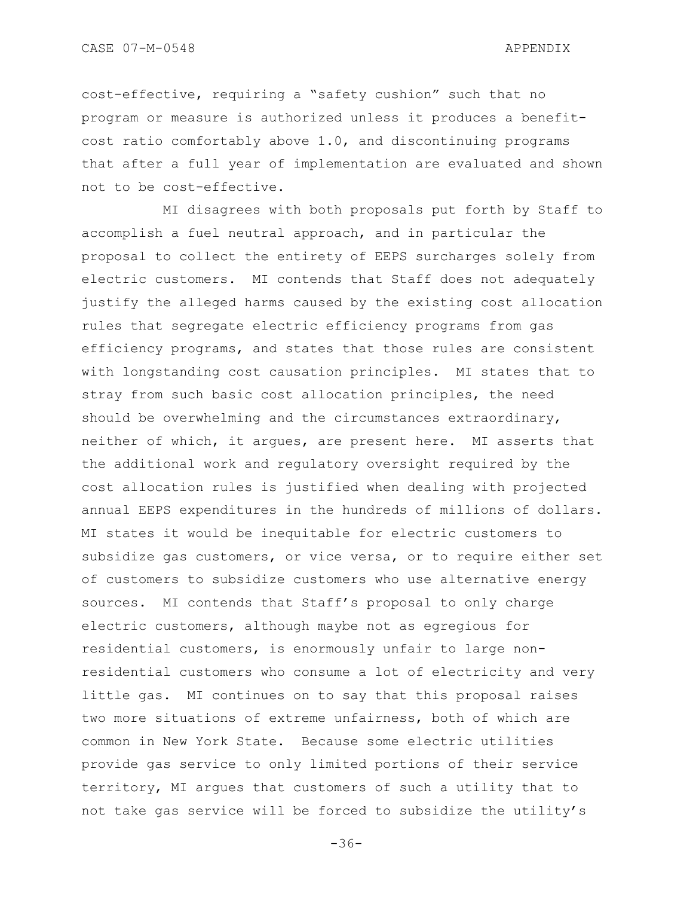cost-effective, requiring a "safety cushion" such that no program or measure is authorized unless it produces a benefitcost ratio comfortably above 1.0, and discontinuing programs that after a full year of implementation are evaluated and shown not to be cost-effective.

MI disagrees with both proposals put forth by Staff to accomplish a fuel neutral approach, and in particular the proposal to collect the entirety of EEPS surcharges solely from electric customers. MI contends that Staff does not adequately justify the alleged harms caused by the existing cost allocation rules that segregate electric efficiency programs from gas efficiency programs, and states that those rules are consistent with longstanding cost causation principles. MI states that to stray from such basic cost allocation principles, the need should be overwhelming and the circumstances extraordinary, neither of which, it argues, are present here. MI asserts that the additional work and regulatory oversight required by the cost allocation rules is justified when dealing with projected annual EEPS expenditures in the hundreds of millions of dollars. MI states it would be inequitable for electric customers to subsidize gas customers, or vice versa, or to require either set of customers to subsidize customers who use alternative energy sources. MI contends that Staff"s proposal to only charge electric customers, although maybe not as egregious for residential customers, is enormously unfair to large nonresidential customers who consume a lot of electricity and very little gas. MI continues on to say that this proposal raises two more situations of extreme unfairness, both of which are common in New York State. Because some electric utilities provide gas service to only limited portions of their service territory, MI argues that customers of such a utility that to not take gas service will be forced to subsidize the utility"s

-36-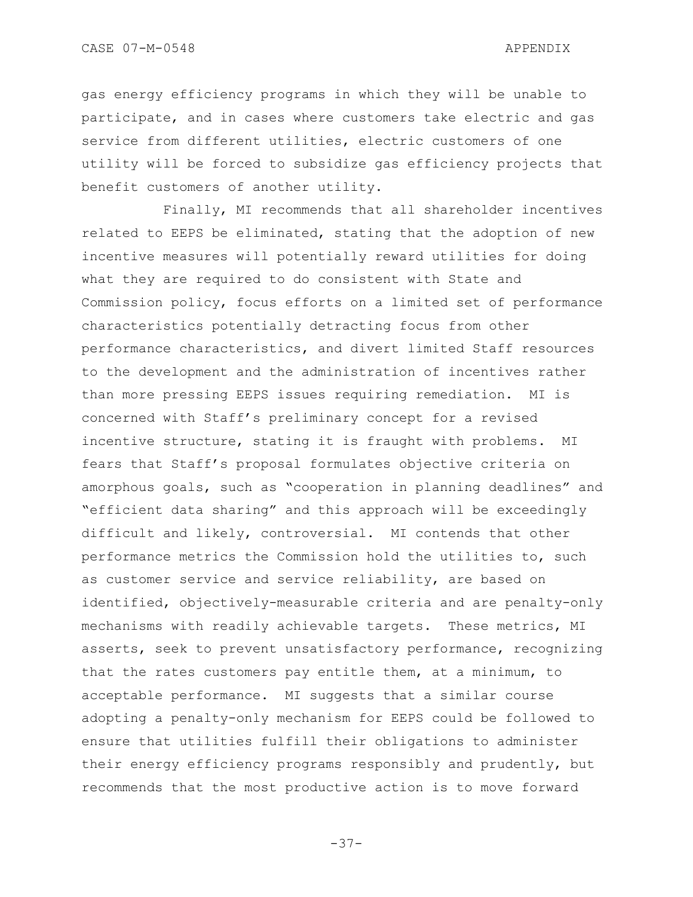CASE 07-M-0548 APPENDIX

gas energy efficiency programs in which they will be unable to participate, and in cases where customers take electric and gas service from different utilities, electric customers of one utility will be forced to subsidize gas efficiency projects that benefit customers of another utility.

Finally, MI recommends that all shareholder incentives related to EEPS be eliminated, stating that the adoption of new incentive measures will potentially reward utilities for doing what they are required to do consistent with State and Commission policy, focus efforts on a limited set of performance characteristics potentially detracting focus from other performance characteristics, and divert limited Staff resources to the development and the administration of incentives rather than more pressing EEPS issues requiring remediation. MI is concerned with Staff"s preliminary concept for a revised incentive structure, stating it is fraught with problems. MI fears that Staff"s proposal formulates objective criteria on amorphous goals, such as "cooperation in planning deadlines" and "efficient data sharing" and this approach will be exceedingly difficult and likely, controversial. MI contends that other performance metrics the Commission hold the utilities to, such as customer service and service reliability, are based on identified, objectively-measurable criteria and are penalty-only mechanisms with readily achievable targets. These metrics, MI asserts, seek to prevent unsatisfactory performance, recognizing that the rates customers pay entitle them, at a minimum, to acceptable performance. MI suggests that a similar course adopting a penalty-only mechanism for EEPS could be followed to ensure that utilities fulfill their obligations to administer their energy efficiency programs responsibly and prudently, but recommends that the most productive action is to move forward

-37-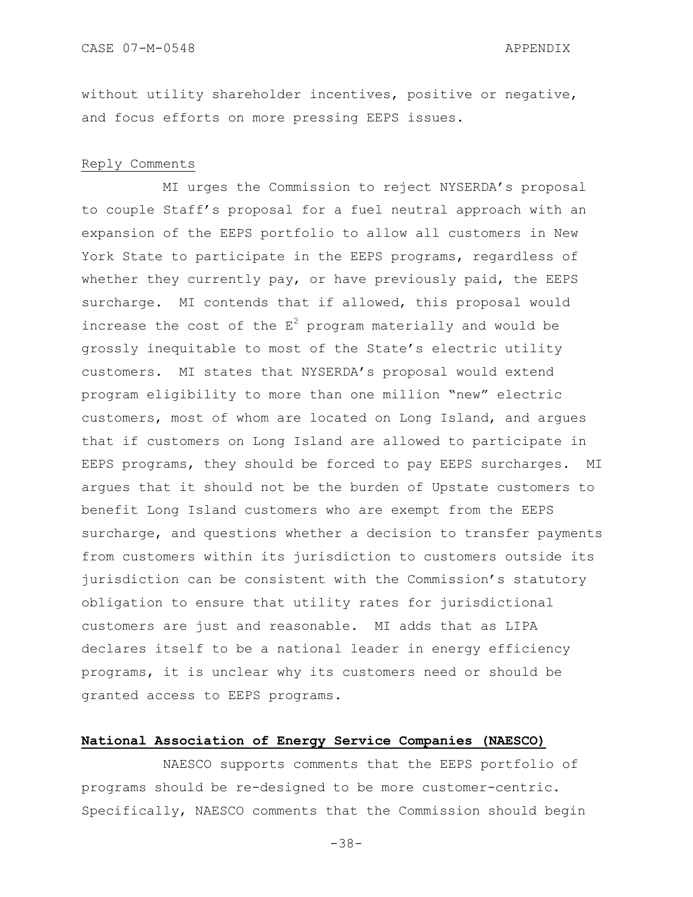without utility shareholder incentives, positive or negative, and focus efforts on more pressing EEPS issues.

#### Reply Comments

MI urges the Commission to reject NYSERDA"s proposal to couple Staff"s proposal for a fuel neutral approach with an expansion of the EEPS portfolio to allow all customers in New York State to participate in the EEPS programs, regardless of whether they currently pay, or have previously paid, the EEPS surcharge. MI contends that if allowed, this proposal would increase the cost of the  $E^2$  program materially and would be grossly inequitable to most of the State"s electric utility customers. MI states that NYSERDA"s proposal would extend program eligibility to more than one million "new" electric customers, most of whom are located on Long Island, and argues that if customers on Long Island are allowed to participate in EEPS programs, they should be forced to pay EEPS surcharges. MI argues that it should not be the burden of Upstate customers to benefit Long Island customers who are exempt from the EEPS surcharge, and questions whether a decision to transfer payments from customers within its jurisdiction to customers outside its jurisdiction can be consistent with the Commission"s statutory obligation to ensure that utility rates for jurisdictional customers are just and reasonable. MI adds that as LIPA declares itself to be a national leader in energy efficiency programs, it is unclear why its customers need or should be granted access to EEPS programs.

#### **National Association of Energy Service Companies (NAESCO)**

NAESCO supports comments that the EEPS portfolio of programs should be re-designed to be more customer-centric. Specifically, NAESCO comments that the Commission should begin

-38-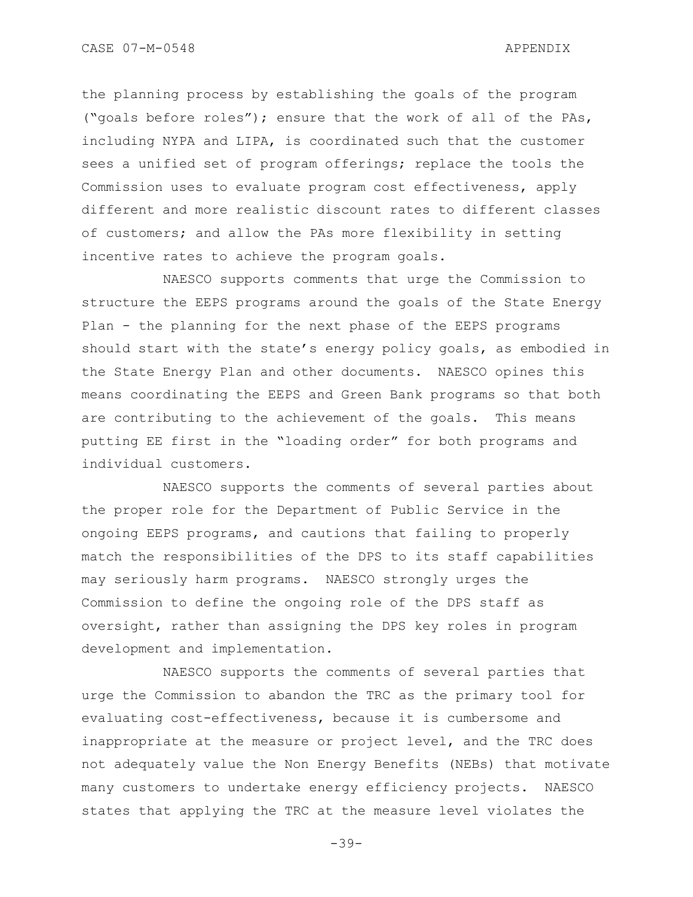CASE 07-M-0548 APPENDIX

the planning process by establishing the goals of the program ("goals before roles"); ensure that the work of all of the PAs, including NYPA and LIPA, is coordinated such that the customer sees a unified set of program offerings; replace the tools the Commission uses to evaluate program cost effectiveness, apply different and more realistic discount rates to different classes of customers; and allow the PAs more flexibility in setting incentive rates to achieve the program goals.

NAESCO supports comments that urge the Commission to structure the EEPS programs around the goals of the State Energy Plan - the planning for the next phase of the EEPS programs should start with the state"s energy policy goals, as embodied in the State Energy Plan and other documents. NAESCO opines this means coordinating the EEPS and Green Bank programs so that both are contributing to the achievement of the goals. This means putting EE first in the "loading order" for both programs and individual customers.

NAESCO supports the comments of several parties about the proper role for the Department of Public Service in the ongoing EEPS programs, and cautions that failing to properly match the responsibilities of the DPS to its staff capabilities may seriously harm programs. NAESCO strongly urges the Commission to define the ongoing role of the DPS staff as oversight, rather than assigning the DPS key roles in program development and implementation.

NAESCO supports the comments of several parties that urge the Commission to abandon the TRC as the primary tool for evaluating cost-effectiveness, because it is cumbersome and inappropriate at the measure or project level, and the TRC does not adequately value the Non Energy Benefits (NEBs) that motivate many customers to undertake energy efficiency projects. NAESCO states that applying the TRC at the measure level violates the

-39-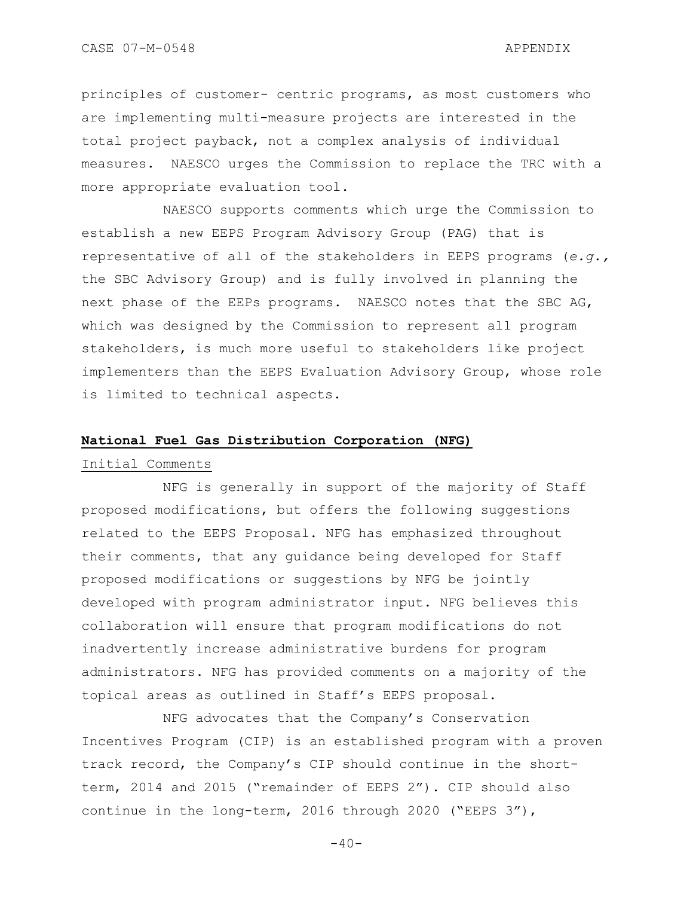CASE 07-M-0548 APPENDIX

principles of customer- centric programs, as most customers who are implementing multi-measure projects are interested in the total project payback, not a complex analysis of individual measures. NAESCO urges the Commission to replace the TRC with a more appropriate evaluation tool.

NAESCO supports comments which urge the Commission to establish a new EEPS Program Advisory Group (PAG) that is representative of all of the stakeholders in EEPS programs (*e.g.,* the SBC Advisory Group) and is fully involved in planning the next phase of the EEPs programs. NAESCO notes that the SBC AG, which was designed by the Commission to represent all program stakeholders, is much more useful to stakeholders like project implementers than the EEPS Evaluation Advisory Group, whose role is limited to technical aspects.

#### **National Fuel Gas Distribution Corporation (NFG)**

### Initial Comments

NFG is generally in support of the majority of Staff proposed modifications, but offers the following suggestions related to the EEPS Proposal. NFG has emphasized throughout their comments, that any guidance being developed for Staff proposed modifications or suggestions by NFG be jointly developed with program administrator input. NFG believes this collaboration will ensure that program modifications do not inadvertently increase administrative burdens for program administrators. NFG has provided comments on a majority of the topical areas as outlined in Staff"s EEPS proposal.

NFG advocates that the Company"s Conservation Incentives Program (CIP) is an established program with a proven track record, the Company"s CIP should continue in the shortterm, 2014 and 2015 ("remainder of EEPS 2"). CIP should also continue in the long-term, 2016 through 2020 ("EEPS 3"),

 $-40-$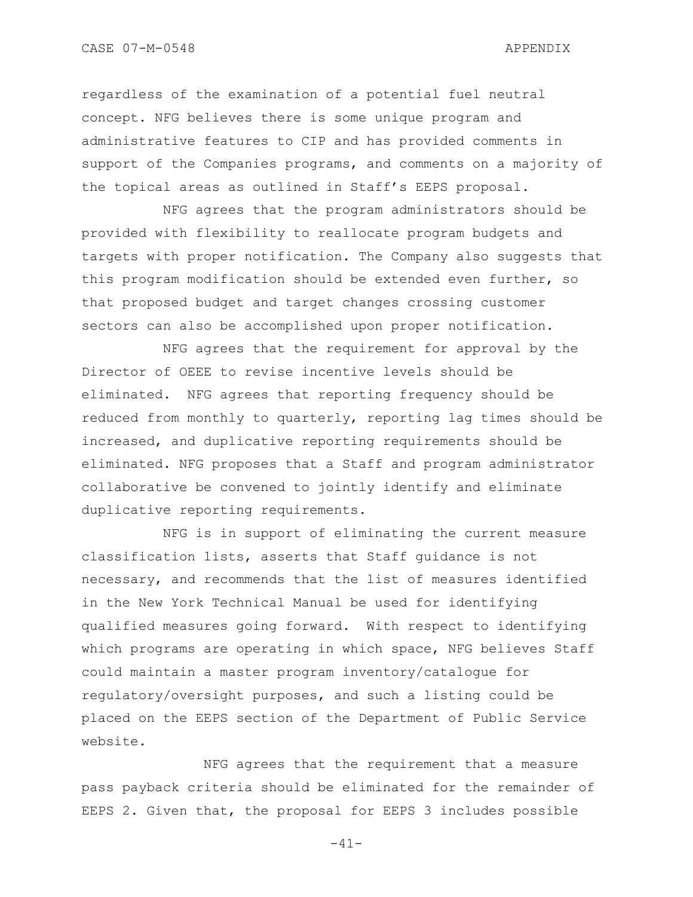regardless of the examination of a potential fuel neutral concept. NFG believes there is some unique program and administrative features to CIP and has provided comments in support of the Companies programs, and comments on a majority of the topical areas as outlined in Staff"s EEPS proposal.

NFG agrees that the program administrators should be provided with flexibility to reallocate program budgets and targets with proper notification. The Company also suggests that this program modification should be extended even further, so that proposed budget and target changes crossing customer sectors can also be accomplished upon proper notification.

NFG agrees that the requirement for approval by the Director of OEEE to revise incentive levels should be eliminated. NFG agrees that reporting frequency should be reduced from monthly to quarterly, reporting lag times should be increased, and duplicative reporting requirements should be eliminated. NFG proposes that a Staff and program administrator collaborative be convened to jointly identify and eliminate duplicative reporting requirements.

NFG is in support of eliminating the current measure classification lists, asserts that Staff guidance is not necessary, and recommends that the list of measures identified in the New York Technical Manual be used for identifying qualified measures going forward. With respect to identifying which programs are operating in which space, NFG believes Staff could maintain a master program inventory/catalogue for regulatory/oversight purposes, and such a listing could be placed on the EEPS section of the Department of Public Service website.

NFG agrees that the requirement that a measure pass payback criteria should be eliminated for the remainder of EEPS 2. Given that, the proposal for EEPS 3 includes possible

 $-41-$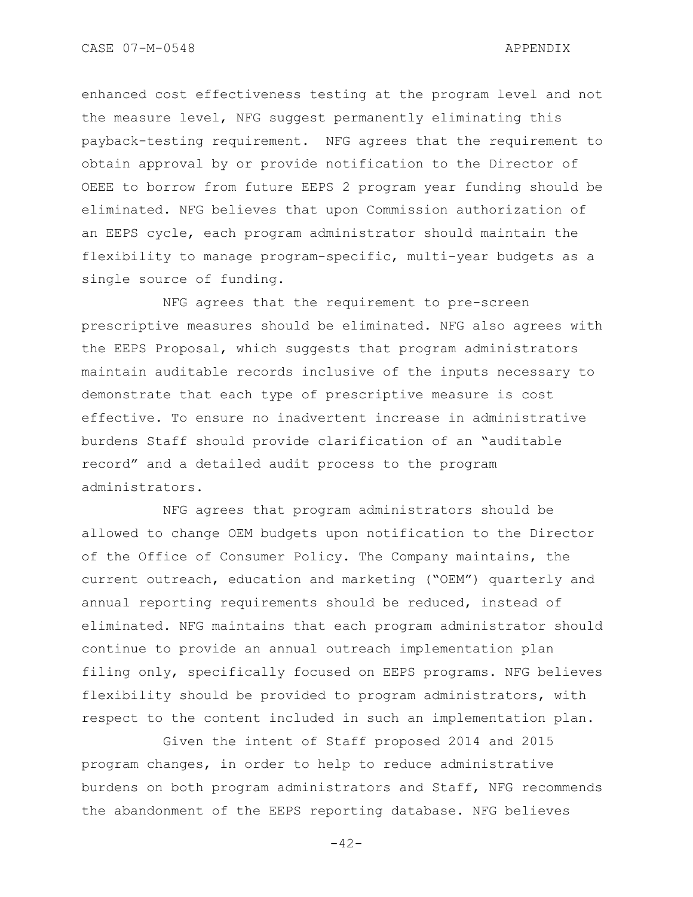enhanced cost effectiveness testing at the program level and not the measure level, NFG suggest permanently eliminating this payback-testing requirement. NFG agrees that the requirement to obtain approval by or provide notification to the Director of OEEE to borrow from future EEPS 2 program year funding should be eliminated. NFG believes that upon Commission authorization of an EEPS cycle, each program administrator should maintain the flexibility to manage program-specific, multi-year budgets as a single source of funding.

NFG agrees that the requirement to pre-screen prescriptive measures should be eliminated. NFG also agrees with the EEPS Proposal, which suggests that program administrators maintain auditable records inclusive of the inputs necessary to demonstrate that each type of prescriptive measure is cost effective. To ensure no inadvertent increase in administrative burdens Staff should provide clarification of an "auditable record" and a detailed audit process to the program administrators.

NFG agrees that program administrators should be allowed to change OEM budgets upon notification to the Director of the Office of Consumer Policy. The Company maintains, the current outreach, education and marketing ("OEM") quarterly and annual reporting requirements should be reduced, instead of eliminated. NFG maintains that each program administrator should continue to provide an annual outreach implementation plan filing only, specifically focused on EEPS programs. NFG believes flexibility should be provided to program administrators, with respect to the content included in such an implementation plan.

Given the intent of Staff proposed 2014 and 2015 program changes, in order to help to reduce administrative burdens on both program administrators and Staff, NFG recommends the abandonment of the EEPS reporting database. NFG believes

 $-42-$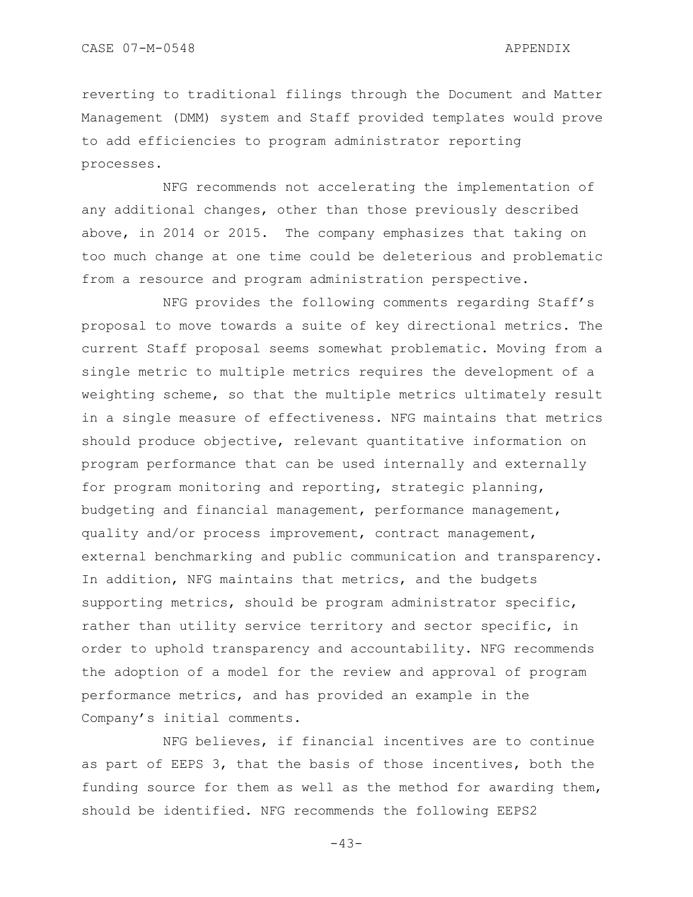reverting to traditional filings through the Document and Matter Management (DMM) system and Staff provided templates would prove to add efficiencies to program administrator reporting processes.

NFG recommends not accelerating the implementation of any additional changes, other than those previously described above, in 2014 or 2015. The company emphasizes that taking on too much change at one time could be deleterious and problematic from a resource and program administration perspective.

NFG provides the following comments regarding Staff"s proposal to move towards a suite of key directional metrics. The current Staff proposal seems somewhat problematic. Moving from a single metric to multiple metrics requires the development of a weighting scheme, so that the multiple metrics ultimately result in a single measure of effectiveness. NFG maintains that metrics should produce objective, relevant quantitative information on program performance that can be used internally and externally for program monitoring and reporting, strategic planning, budgeting and financial management, performance management, quality and/or process improvement, contract management, external benchmarking and public communication and transparency. In addition, NFG maintains that metrics, and the budgets supporting metrics, should be program administrator specific, rather than utility service territory and sector specific, in order to uphold transparency and accountability. NFG recommends the adoption of a model for the review and approval of program performance metrics, and has provided an example in the Company"s initial comments.

NFG believes, if financial incentives are to continue as part of EEPS 3, that the basis of those incentives, both the funding source for them as well as the method for awarding them, should be identified. NFG recommends the following EEPS2

 $-43-$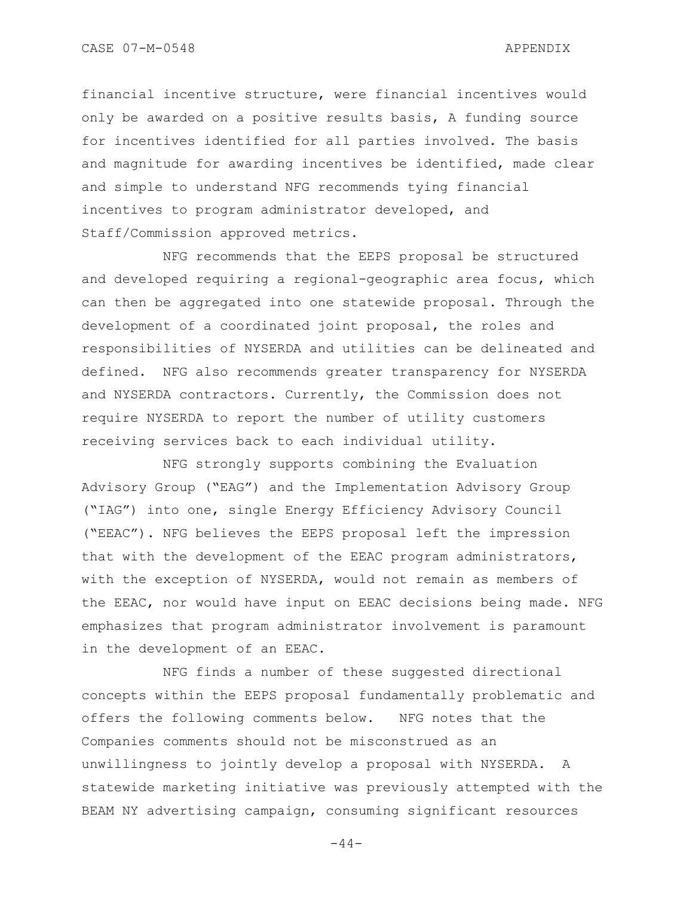financial incentive structure, were financial incentives would only be awarded on a positive results basis, A funding source for incentives identified for all parties involved. The basis and magnitude for awarding incentives be identified, made clear and simple to understand NFG recommends tying financial incentives to program administrator developed, and Staff/Commission approved metrics.

NFG recommends that the EEPS proposal be structured and developed requiring a regional-geographic area focus, which can then be aggregated into one statewide proposal. Through the development of a coordinated joint proposal, the roles and responsibilities of NYSERDA and utilities can be delineated and defined. NFG also recommends greater transparency for NYSERDA and NYSERDA contractors. Currently, the Commission does not require NYSERDA to report the number of utility customers receiving services back to each individual utility.

NFG strongly supports combining the Evaluation Advisory Group ("EAG") and the Implementation Advisory Group ("IAG") into one, single Energy Efficiency Advisory Council ("EEAC"). NFG believes the EEPS proposal left the impression that with the development of the EEAC program administrators, with the exception of NYSERDA, would not remain as members of the EEAC, nor would have input on EEAC decisions being made. NFG emphasizes that program administrator involvement is paramount in the development of an EEAC.

NFG finds a number of these suggested directional concepts within the EEPS proposal fundamentally problematic and offers the following comments below. NFG notes that the Companies comments should not be misconstrued as an unwillingness to jointly develop a proposal with NYSERDA. A statewide marketing initiative was previously attempted with the BEAM NY advertising campaign, consuming significant resources

 $-44-$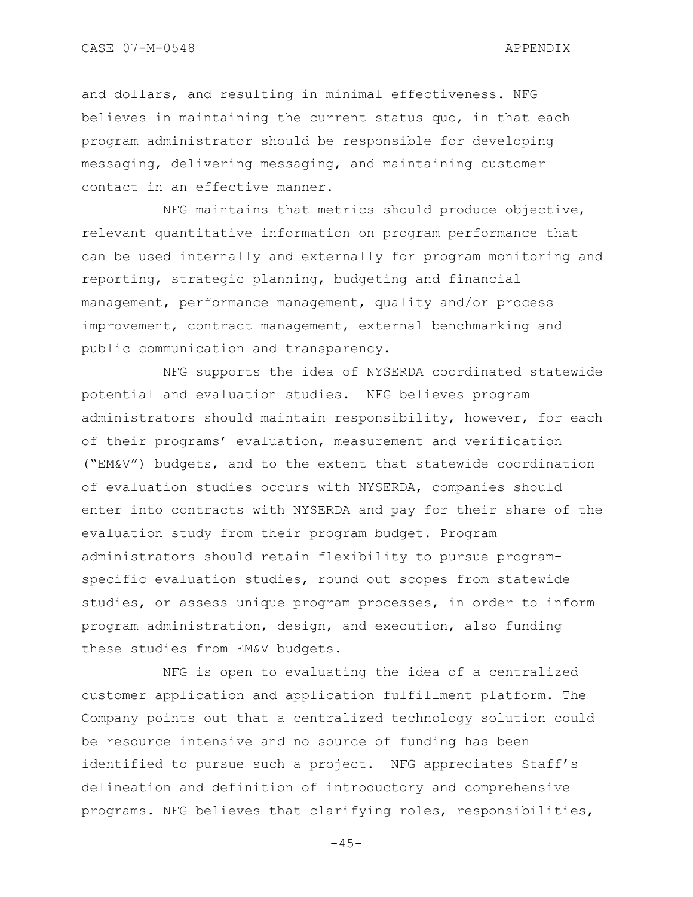CASE 07-M-0548 APPENDIX

and dollars, and resulting in minimal effectiveness. NFG believes in maintaining the current status quo, in that each program administrator should be responsible for developing messaging, delivering messaging, and maintaining customer contact in an effective manner.

NFG maintains that metrics should produce objective, relevant quantitative information on program performance that can be used internally and externally for program monitoring and reporting, strategic planning, budgeting and financial management, performance management, quality and/or process improvement, contract management, external benchmarking and public communication and transparency.

NFG supports the idea of NYSERDA coordinated statewide potential and evaluation studies. NFG believes program administrators should maintain responsibility, however, for each of their programs" evaluation, measurement and verification ("EM&V") budgets, and to the extent that statewide coordination of evaluation studies occurs with NYSERDA, companies should enter into contracts with NYSERDA and pay for their share of the evaluation study from their program budget. Program administrators should retain flexibility to pursue programspecific evaluation studies, round out scopes from statewide studies, or assess unique program processes, in order to inform program administration, design, and execution, also funding these studies from EM&V budgets.

NFG is open to evaluating the idea of a centralized customer application and application fulfillment platform. The Company points out that a centralized technology solution could be resource intensive and no source of funding has been identified to pursue such a project. NFG appreciates Staff"s delineation and definition of introductory and comprehensive programs. NFG believes that clarifying roles, responsibilities,

 $-45-$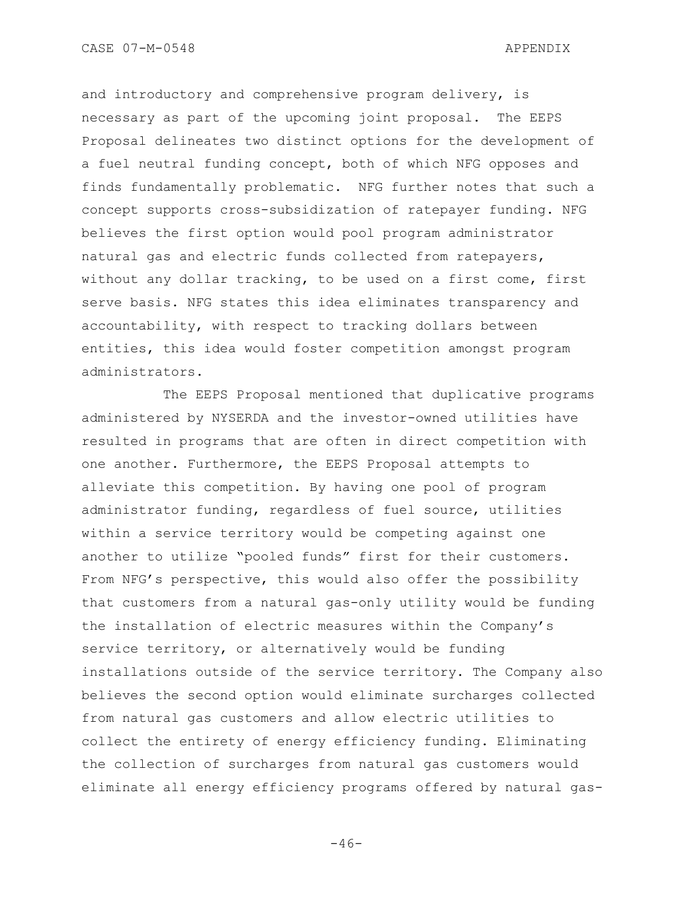and introductory and comprehensive program delivery, is necessary as part of the upcoming joint proposal. The EEPS Proposal delineates two distinct options for the development of a fuel neutral funding concept, both of which NFG opposes and finds fundamentally problematic. NFG further notes that such a concept supports cross-subsidization of ratepayer funding. NFG believes the first option would pool program administrator natural gas and electric funds collected from ratepayers, without any dollar tracking, to be used on a first come, first serve basis. NFG states this idea eliminates transparency and accountability, with respect to tracking dollars between entities, this idea would foster competition amongst program administrators.

The EEPS Proposal mentioned that duplicative programs administered by NYSERDA and the investor-owned utilities have resulted in programs that are often in direct competition with one another. Furthermore, the EEPS Proposal attempts to alleviate this competition. By having one pool of program administrator funding, regardless of fuel source, utilities within a service territory would be competing against one another to utilize "pooled funds" first for their customers. From NFG's perspective, this would also offer the possibility that customers from a natural gas-only utility would be funding the installation of electric measures within the Company"s service territory, or alternatively would be funding installations outside of the service territory. The Company also believes the second option would eliminate surcharges collected from natural gas customers and allow electric utilities to collect the entirety of energy efficiency funding. Eliminating the collection of surcharges from natural gas customers would eliminate all energy efficiency programs offered by natural gas-

 $-46-$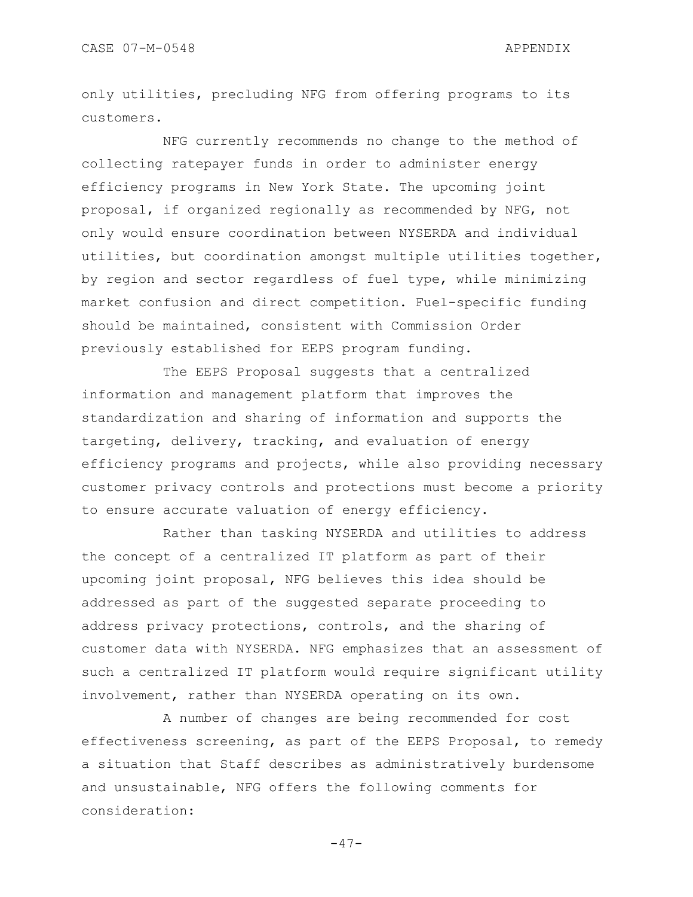only utilities, precluding NFG from offering programs to its customers.

NFG currently recommends no change to the method of collecting ratepayer funds in order to administer energy efficiency programs in New York State. The upcoming joint proposal, if organized regionally as recommended by NFG, not only would ensure coordination between NYSERDA and individual utilities, but coordination amongst multiple utilities together, by region and sector regardless of fuel type, while minimizing market confusion and direct competition. Fuel-specific funding should be maintained, consistent with Commission Order previously established for EEPS program funding.

The EEPS Proposal suggests that a centralized information and management platform that improves the standardization and sharing of information and supports the targeting, delivery, tracking, and evaluation of energy efficiency programs and projects, while also providing necessary customer privacy controls and protections must become a priority to ensure accurate valuation of energy efficiency.

Rather than tasking NYSERDA and utilities to address the concept of a centralized IT platform as part of their upcoming joint proposal, NFG believes this idea should be addressed as part of the suggested separate proceeding to address privacy protections, controls, and the sharing of customer data with NYSERDA. NFG emphasizes that an assessment of such a centralized IT platform would require significant utility involvement, rather than NYSERDA operating on its own.

A number of changes are being recommended for cost effectiveness screening, as part of the EEPS Proposal, to remedy a situation that Staff describes as administratively burdensome and unsustainable, NFG offers the following comments for consideration:

 $-47-$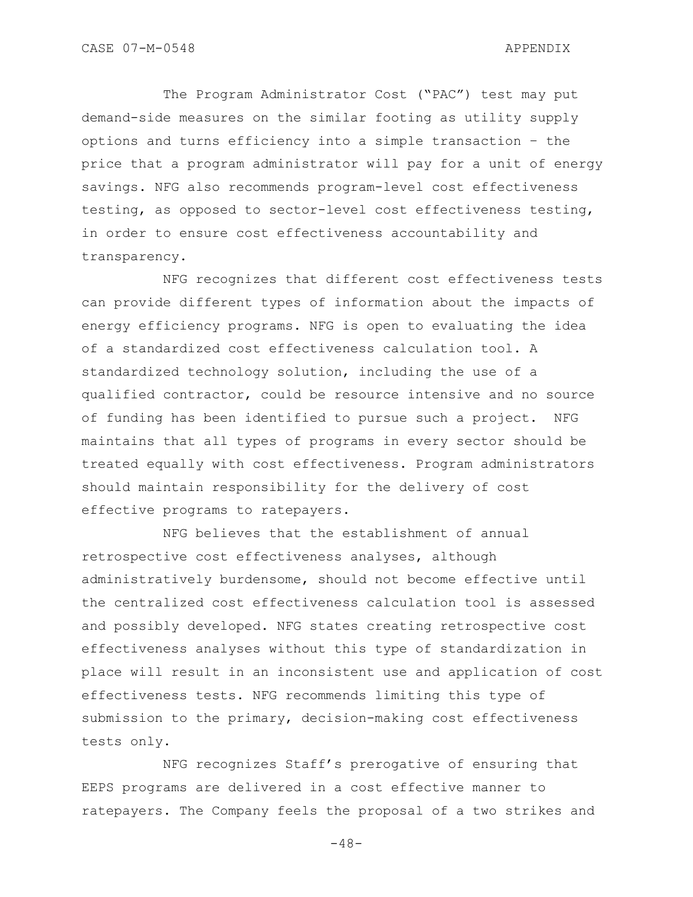The Program Administrator Cost ("PAC") test may put demand-side measures on the similar footing as utility supply options and turns efficiency into a simple transaction – the price that a program administrator will pay for a unit of energy savings. NFG also recommends program-level cost effectiveness testing, as opposed to sector-level cost effectiveness testing, in order to ensure cost effectiveness accountability and transparency.

NFG recognizes that different cost effectiveness tests can provide different types of information about the impacts of energy efficiency programs. NFG is open to evaluating the idea of a standardized cost effectiveness calculation tool. A standardized technology solution, including the use of a qualified contractor, could be resource intensive and no source of funding has been identified to pursue such a project. NFG maintains that all types of programs in every sector should be treated equally with cost effectiveness. Program administrators should maintain responsibility for the delivery of cost effective programs to ratepayers.

NFG believes that the establishment of annual retrospective cost effectiveness analyses, although administratively burdensome, should not become effective until the centralized cost effectiveness calculation tool is assessed and possibly developed. NFG states creating retrospective cost effectiveness analyses without this type of standardization in place will result in an inconsistent use and application of cost effectiveness tests. NFG recommends limiting this type of submission to the primary, decision-making cost effectiveness tests only.

NFG recognizes Staff"s prerogative of ensuring that EEPS programs are delivered in a cost effective manner to ratepayers. The Company feels the proposal of a two strikes and

 $-48-$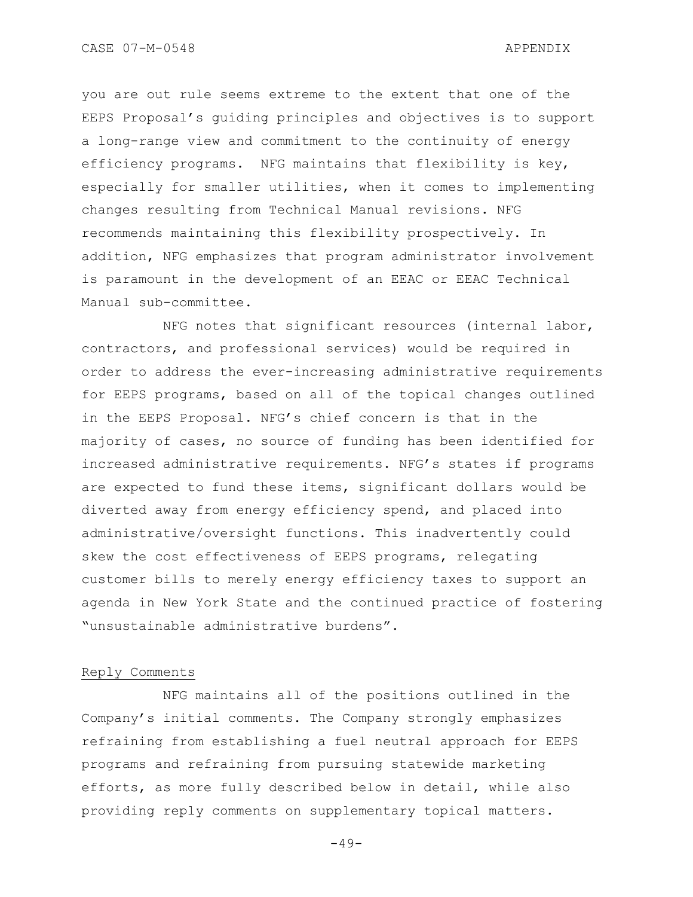you are out rule seems extreme to the extent that one of the EEPS Proposal"s guiding principles and objectives is to support a long-range view and commitment to the continuity of energy efficiency programs. NFG maintains that flexibility is key, especially for smaller utilities, when it comes to implementing changes resulting from Technical Manual revisions. NFG recommends maintaining this flexibility prospectively. In addition, NFG emphasizes that program administrator involvement is paramount in the development of an EEAC or EEAC Technical Manual sub-committee.

NFG notes that significant resources (internal labor, contractors, and professional services) would be required in order to address the ever-increasing administrative requirements for EEPS programs, based on all of the topical changes outlined in the EEPS Proposal. NFG"s chief concern is that in the majority of cases, no source of funding has been identified for increased administrative requirements. NFG"s states if programs are expected to fund these items, significant dollars would be diverted away from energy efficiency spend, and placed into administrative/oversight functions. This inadvertently could skew the cost effectiveness of EEPS programs, relegating customer bills to merely energy efficiency taxes to support an agenda in New York State and the continued practice of fostering "unsustainable administrative burdens".

### Reply Comments

NFG maintains all of the positions outlined in the Company"s initial comments. The Company strongly emphasizes refraining from establishing a fuel neutral approach for EEPS programs and refraining from pursuing statewide marketing efforts, as more fully described below in detail, while also providing reply comments on supplementary topical matters.

 $-49-$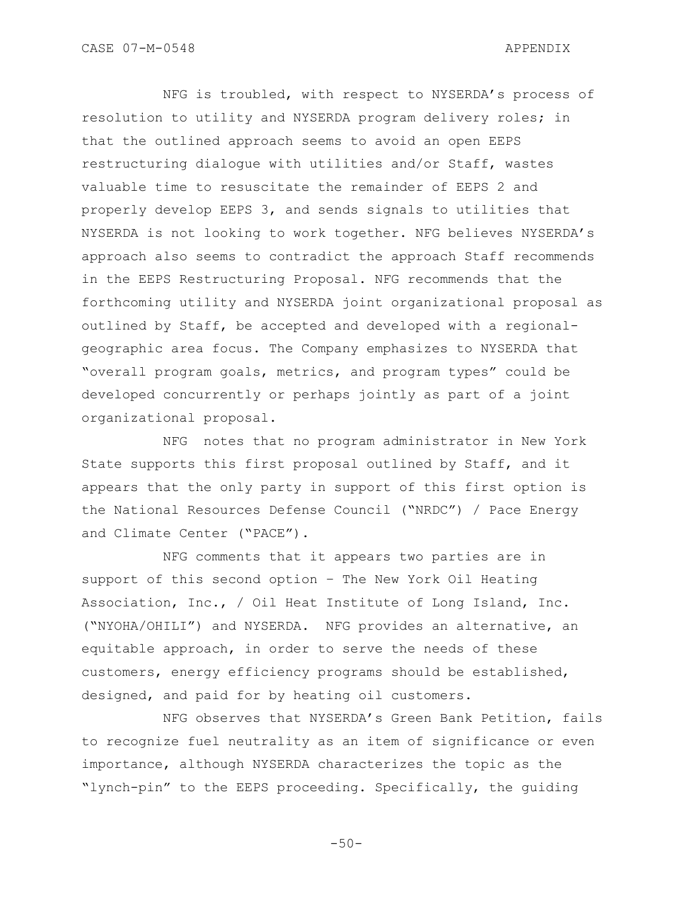NFG is troubled, with respect to NYSERDA"s process of resolution to utility and NYSERDA program delivery roles; in that the outlined approach seems to avoid an open EEPS restructuring dialogue with utilities and/or Staff, wastes valuable time to resuscitate the remainder of EEPS 2 and properly develop EEPS 3, and sends signals to utilities that NYSERDA is not looking to work together. NFG believes NYSERDA"s approach also seems to contradict the approach Staff recommends in the EEPS Restructuring Proposal. NFG recommends that the forthcoming utility and NYSERDA joint organizational proposal as outlined by Staff, be accepted and developed with a regionalgeographic area focus. The Company emphasizes to NYSERDA that "overall program goals, metrics, and program types" could be developed concurrently or perhaps jointly as part of a joint organizational proposal.

NFG notes that no program administrator in New York State supports this first proposal outlined by Staff, and it appears that the only party in support of this first option is the National Resources Defense Council ("NRDC") / Pace Energy and Climate Center ("PACE").

NFG comments that it appears two parties are in support of this second option – The New York Oil Heating Association, Inc., / Oil Heat Institute of Long Island, Inc. ("NYOHA/OHILI") and NYSERDA. NFG provides an alternative, an equitable approach, in order to serve the needs of these customers, energy efficiency programs should be established, designed, and paid for by heating oil customers.

NFG observes that NYSERDA"s Green Bank Petition, fails to recognize fuel neutrality as an item of significance or even importance, although NYSERDA characterizes the topic as the "lynch-pin" to the EEPS proceeding. Specifically, the guiding

 $-50-$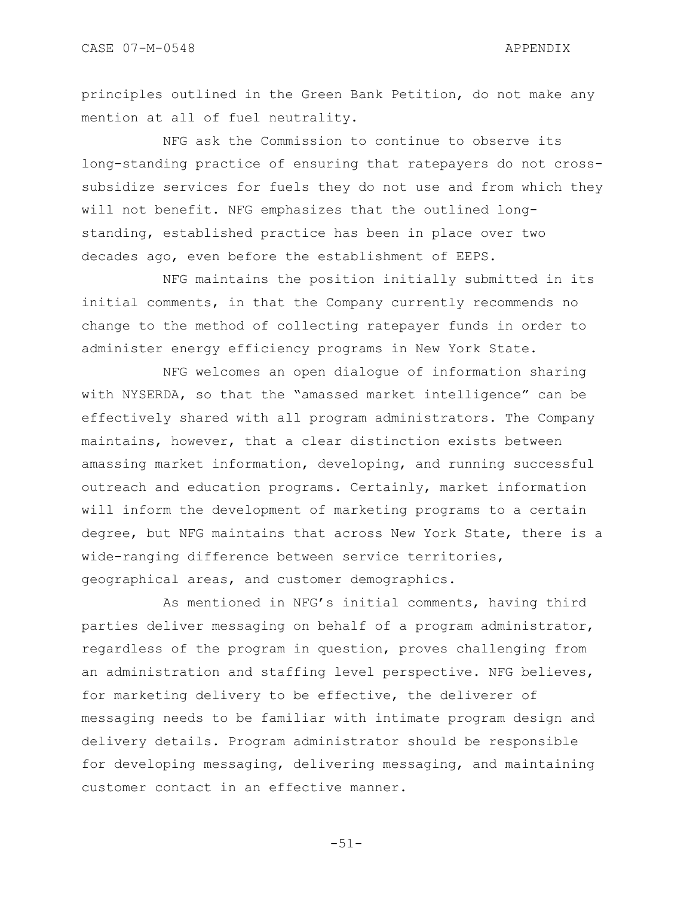principles outlined in the Green Bank Petition, do not make any mention at all of fuel neutrality.

NFG ask the Commission to continue to observe its long-standing practice of ensuring that ratepayers do not crosssubsidize services for fuels they do not use and from which they will not benefit. NFG emphasizes that the outlined longstanding, established practice has been in place over two decades ago, even before the establishment of EEPS.

NFG maintains the position initially submitted in its initial comments, in that the Company currently recommends no change to the method of collecting ratepayer funds in order to administer energy efficiency programs in New York State.

NFG welcomes an open dialogue of information sharing with NYSERDA, so that the "amassed market intelligence" can be effectively shared with all program administrators. The Company maintains, however, that a clear distinction exists between amassing market information, developing, and running successful outreach and education programs. Certainly, market information will inform the development of marketing programs to a certain degree, but NFG maintains that across New York State, there is a wide-ranging difference between service territories, geographical areas, and customer demographics.

As mentioned in NFG"s initial comments, having third parties deliver messaging on behalf of a program administrator, regardless of the program in question, proves challenging from an administration and staffing level perspective. NFG believes, for marketing delivery to be effective, the deliverer of messaging needs to be familiar with intimate program design and delivery details. Program administrator should be responsible for developing messaging, delivering messaging, and maintaining customer contact in an effective manner.

-51-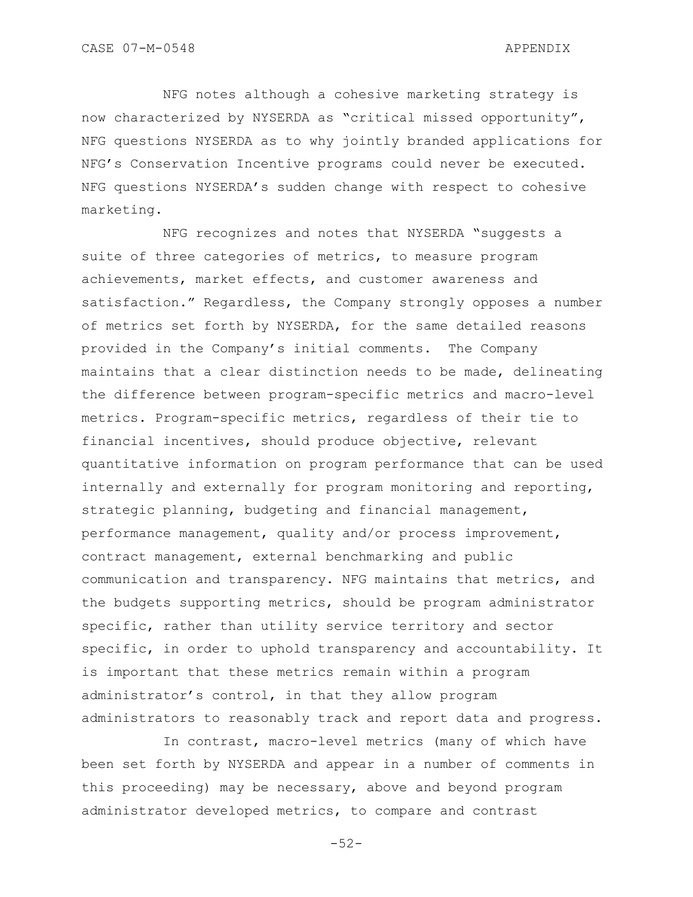NFG notes although a cohesive marketing strategy is now characterized by NYSERDA as "critical missed opportunity", NFG questions NYSERDA as to why jointly branded applications for NFG"s Conservation Incentive programs could never be executed. NFG questions NYSERDA"s sudden change with respect to cohesive marketing.

NFG recognizes and notes that NYSERDA "suggests a suite of three categories of metrics, to measure program achievements, market effects, and customer awareness and satisfaction." Regardless, the Company strongly opposes a number of metrics set forth by NYSERDA, for the same detailed reasons provided in the Company"s initial comments. The Company maintains that a clear distinction needs to be made, delineating the difference between program-specific metrics and macro-level metrics. Program-specific metrics, regardless of their tie to financial incentives, should produce objective, relevant quantitative information on program performance that can be used internally and externally for program monitoring and reporting, strategic planning, budgeting and financial management, performance management, quality and/or process improvement, contract management, external benchmarking and public communication and transparency. NFG maintains that metrics, and the budgets supporting metrics, should be program administrator specific, rather than utility service territory and sector specific, in order to uphold transparency and accountability. It is important that these metrics remain within a program administrator"s control, in that they allow program administrators to reasonably track and report data and progress.

In contrast, macro-level metrics (many of which have been set forth by NYSERDA and appear in a number of comments in this proceeding) may be necessary, above and beyond program administrator developed metrics, to compare and contrast

-52-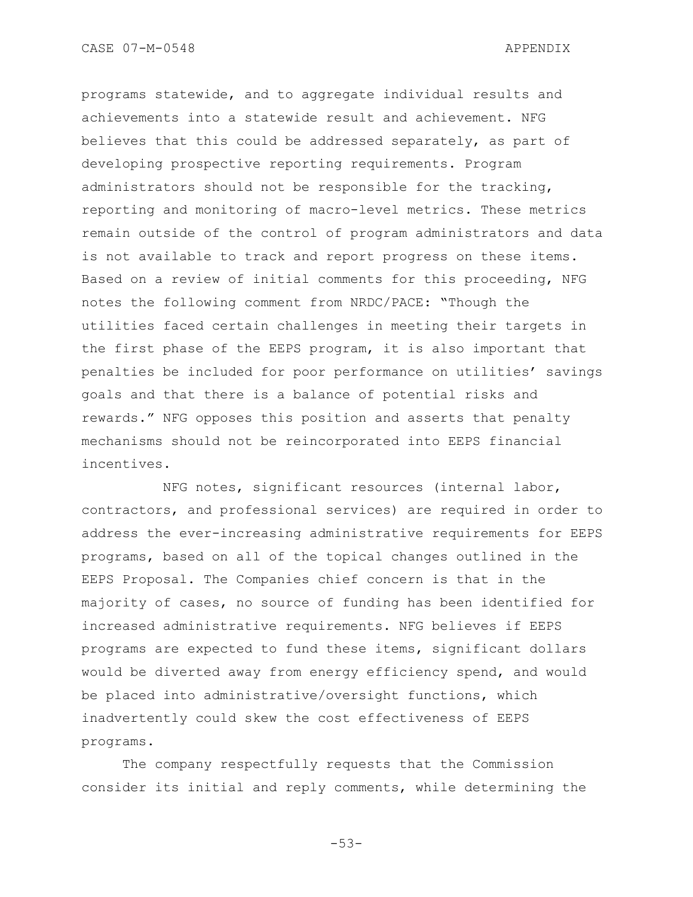programs statewide, and to aggregate individual results and achievements into a statewide result and achievement. NFG believes that this could be addressed separately, as part of developing prospective reporting requirements. Program administrators should not be responsible for the tracking, reporting and monitoring of macro-level metrics. These metrics remain outside of the control of program administrators and data is not available to track and report progress on these items. Based on a review of initial comments for this proceeding, NFG notes the following comment from NRDC/PACE: "Though the utilities faced certain challenges in meeting their targets in the first phase of the EEPS program, it is also important that penalties be included for poor performance on utilities' savings goals and that there is a balance of potential risks and rewards." NFG opposes this position and asserts that penalty mechanisms should not be reincorporated into EEPS financial incentives.

NFG notes, significant resources (internal labor, contractors, and professional services) are required in order to address the ever-increasing administrative requirements for EEPS programs, based on all of the topical changes outlined in the EEPS Proposal. The Companies chief concern is that in the majority of cases, no source of funding has been identified for increased administrative requirements. NFG believes if EEPS programs are expected to fund these items, significant dollars would be diverted away from energy efficiency spend, and would be placed into administrative/oversight functions, which inadvertently could skew the cost effectiveness of EEPS programs.

The company respectfully requests that the Commission consider its initial and reply comments, while determining the

-53-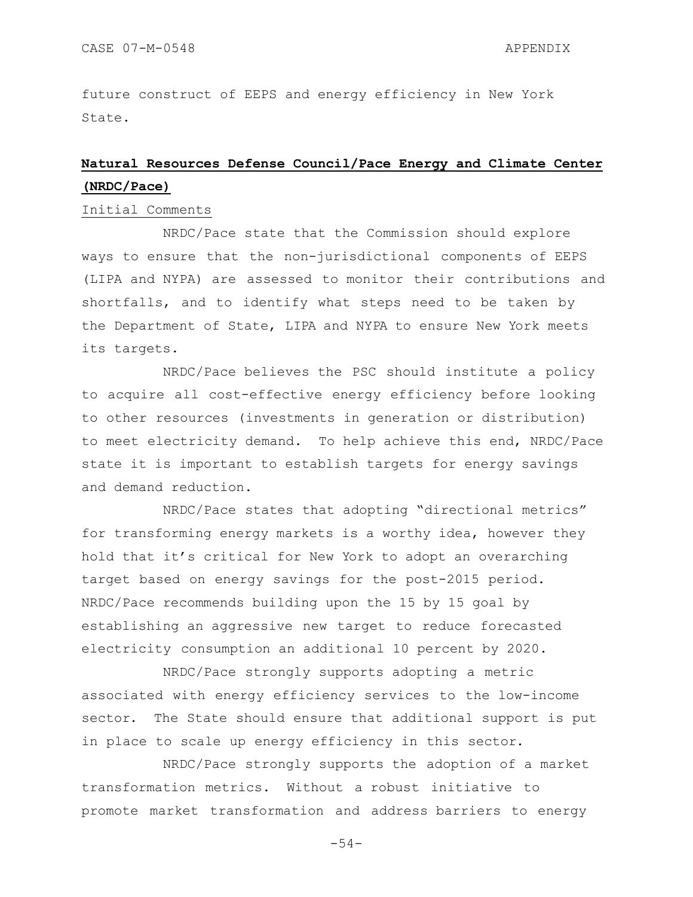future construct of EEPS and energy efficiency in New York State.

# **Natural Resources Defense Council/Pace Energy and Climate Center (NRDC/Pace)**

### Initial Comments

NRDC/Pace state that the Commission should explore ways to ensure that the non-jurisdictional components of EEPS (LIPA and NYPA) are assessed to monitor their contributions and shortfalls, and to identify what steps need to be taken by the Department of State, LIPA and NYPA to ensure New York meets its targets.

NRDC/Pace believes the PSC should institute a policy to acquire all cost-effective energy efficiency before looking to other resources (investments in generation or distribution) to meet electricity demand. To help achieve this end, NRDC/Pace state it is important to establish targets for energy savings and demand reduction.

NRDC/Pace states that adopting "directional metrics" for transforming energy markets is a worthy idea, however they hold that it's critical for New York to adopt an overarching target based on energy savings for the post-2015 period. NRDC/Pace recommends building upon the 15 by 15 goal by establishing an aggressive new target to reduce forecasted electricity consumption an additional 10 percent by 2020.

NRDC/Pace strongly supports adopting a metric associated with energy efficiency services to the low-income sector. The State should ensure that additional support is put in place to scale up energy efficiency in this sector.

NRDC/Pace strongly supports the adoption of a market transformation metrics. Without a robust initiative to promote market transformation and address barriers to energy

-54-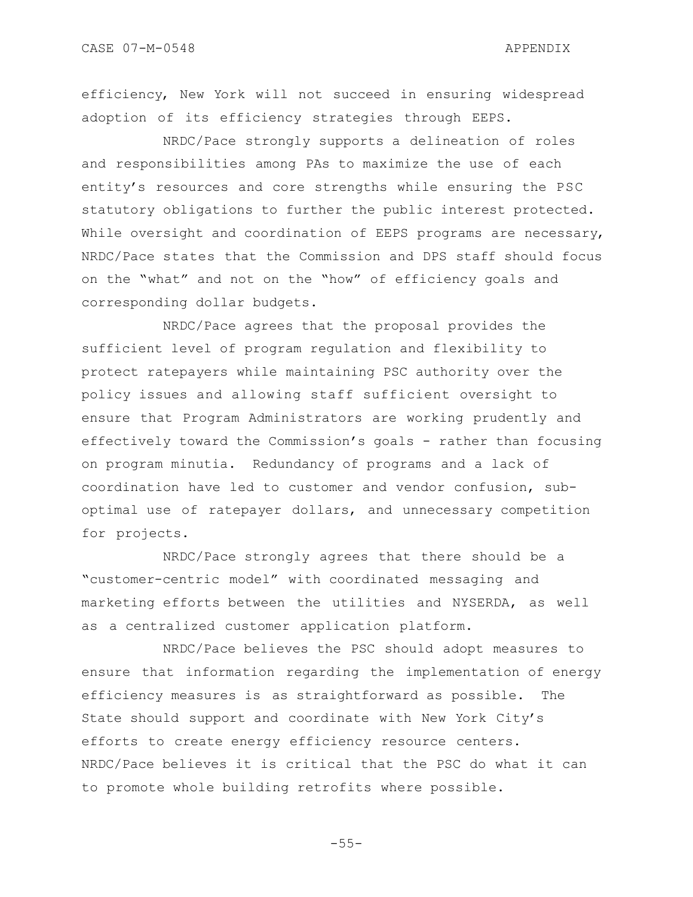efficiency, New York will not succeed in ensuring widespread adoption of its efficiency strategies through EEPS.

NRDC/Pace strongly supports a delineation of roles and responsibilities among PAs to maximize the use of each entity"s resources and core strengths while ensuring the PSC statutory obligations to further the public interest protected. While oversight and coordination of EEPS programs are necessary, NRDC/Pace states that the Commission and DPS staff should focus on the "what" and not on the "how" of efficiency goals and corresponding dollar budgets.

NRDC/Pace agrees that the proposal provides the sufficient level of program regulation and flexibility to protect ratepayers while maintaining PSC authority over the policy issues and allowing staff sufficient oversight to ensure that Program Administrators are working prudently and effectively toward the Commission"s goals - rather than focusing on program minutia. Redundancy of programs and a lack of coordination have led to customer and vendor confusion, suboptimal use of ratepayer dollars, and unnecessary competition for projects.

NRDC/Pace strongly agrees that there should be a "customer-centric model" with coordinated messaging and marketing efforts between the utilities and NYSERDA, as well as a centralized customer application platform.

NRDC/Pace believes the PSC should adopt measures to ensure that information regarding the implementation of energy efficiency measures is as straightforward as possible. The State should support and coordinate with New York City"s efforts to create energy efficiency resource centers. NRDC/Pace believes it is critical that the PSC do what it can to promote whole building retrofits where possible.

-55-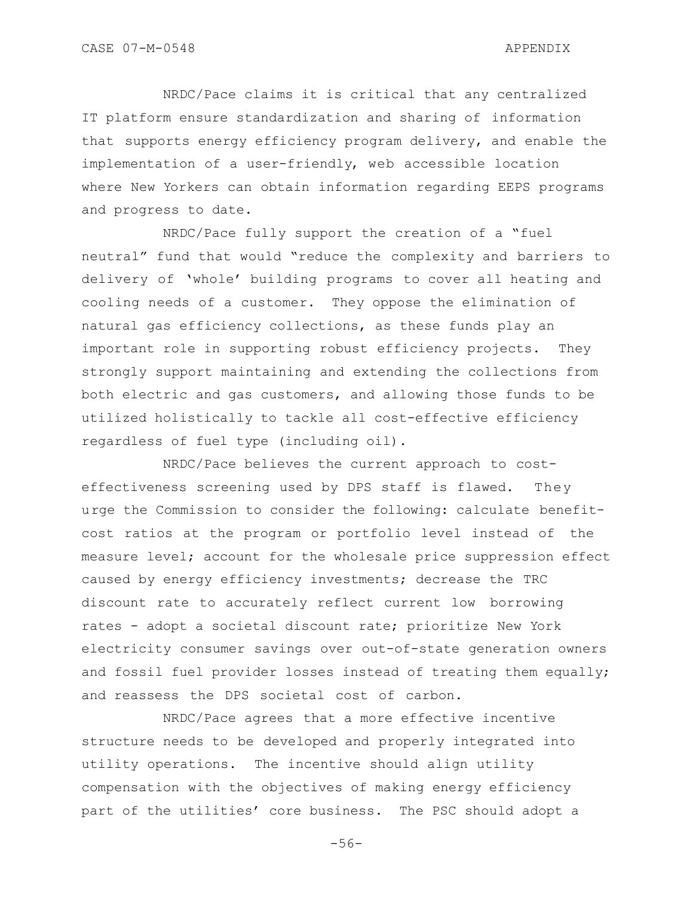NRDC/Pace claims it is critical that any centralized IT platform ensure standardization and sharing of information that supports energy efficiency program delivery, and enable the implementation of a user-friendly, web accessible location where New Yorkers can obtain information regarding EEPS programs and progress to date.

NRDC/Pace fully support the creation of a "fuel neutral" fund that would "reduce the complexity and barriers to delivery of "whole" building programs to cover all heating and cooling needs of a customer. They oppose the elimination of natural gas efficiency collections, as these funds play an important role in supporting robust efficiency projects. They strongly support maintaining and extending the collections from both electric and gas customers, and allowing those funds to be utilized holistically to tackle all cost-effective efficiency regardless of fuel type (including oil).

NRDC/Pace believes the current approach to costeffectiveness screening used by DPS staff is flawed. They urge the Commission to consider the following: calculate benefitcost ratios at the program or portfolio level instead of the measure level; account for the wholesale price suppression effect caused by energy efficiency investments; decrease the TRC discount rate to accurately reflect current low borrowing rates - adopt a societal discount rate; prioritize New York electricity consumer savings over out-of-state generation owners and fossil fuel provider losses instead of treating them equally; and reassess the DPS societal cost of carbon.

NRDC/Pace agrees that a more effective incentive structure needs to be developed and properly integrated into utility operations. The incentive should align utility compensation with the objectives of making energy efficiency part of the utilities' core business. The PSC should adopt a

-56-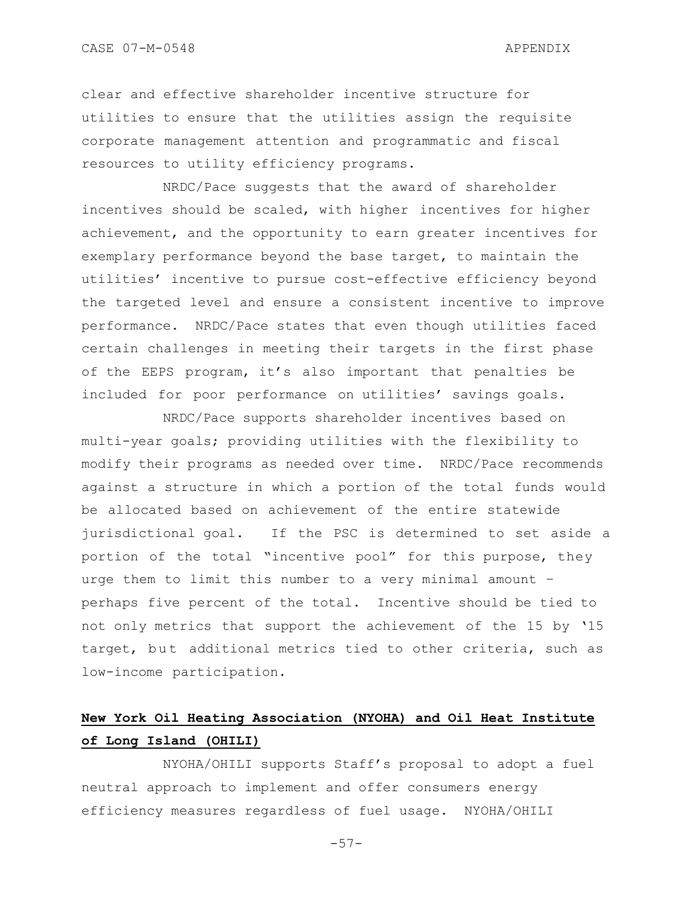clear and effective shareholder incentive structure for utilities to ensure that the utilities assign the requisite corporate management attention and programmatic and fiscal resources to utility efficiency programs.

NRDC/Pace suggests that the award of shareholder incentives should be scaled, with higher incentives for higher achievement, and the opportunity to earn greater incentives for exemplary performance beyond the base target, to maintain the utilities" incentive to pursue cost-effective efficiency beyond the targeted level and ensure a consistent incentive to improve performance. NRDC/Pace states that even though utilities faced certain challenges in meeting their targets in the first phase of the EEPS program, it"s also important that penalties be included for poor performance on utilities' savings goals.

NRDC/Pace supports shareholder incentives based on multi-year goals; providing utilities with the flexibility to modify their programs as needed over time. NRDC/Pace recommends against a structure in which a portion of the total funds would be allocated based on achievement of the entire statewide jurisdictional goal. If the PSC is determined to set aside a portion of the total "incentive pool" for this purpose, they urge them to limit this number to a very minimal amount – perhaps five percent of the total. Incentive should be tied to not only metrics that support the achievement of the 15 by "15 target, but additional metrics tied to other criteria, such as low-income participation.

# **New York Oil Heating Association (NYOHA) and Oil Heat Institute of Long Island (OHILI)**

NYOHA/OHILI supports Staff"s proposal to adopt a fuel neutral approach to implement and offer consumers energy efficiency measures regardless of fuel usage. NYOHA/OHILI

-57-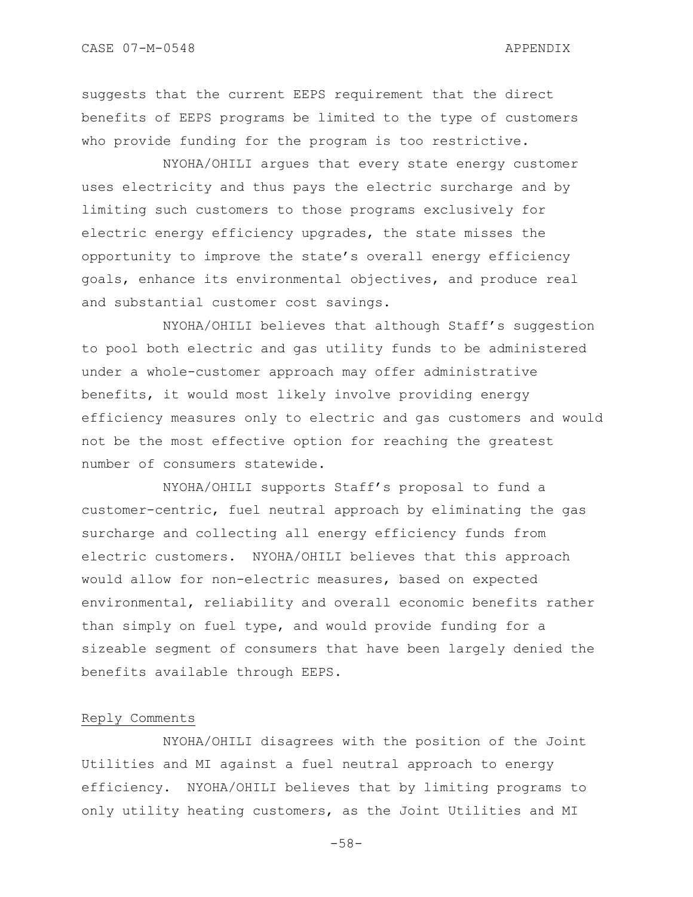suggests that the current EEPS requirement that the direct benefits of EEPS programs be limited to the type of customers who provide funding for the program is too restrictive.

NYOHA/OHILI argues that every state energy customer uses electricity and thus pays the electric surcharge and by limiting such customers to those programs exclusively for electric energy efficiency upgrades, the state misses the opportunity to improve the state"s overall energy efficiency goals, enhance its environmental objectives, and produce real and substantial customer cost savings.

NYOHA/OHILI believes that although Staff"s suggestion to pool both electric and gas utility funds to be administered under a whole-customer approach may offer administrative benefits, it would most likely involve providing energy efficiency measures only to electric and gas customers and would not be the most effective option for reaching the greatest number of consumers statewide.

NYOHA/OHILI supports Staff"s proposal to fund a customer-centric, fuel neutral approach by eliminating the gas surcharge and collecting all energy efficiency funds from electric customers. NYOHA/OHILI believes that this approach would allow for non-electric measures, based on expected environmental, reliability and overall economic benefits rather than simply on fuel type, and would provide funding for a sizeable segment of consumers that have been largely denied the benefits available through EEPS.

### Reply Comments

NYOHA/OHILI disagrees with the position of the Joint Utilities and MI against a fuel neutral approach to energy efficiency. NYOHA/OHILI believes that by limiting programs to only utility heating customers, as the Joint Utilities and MI

-58-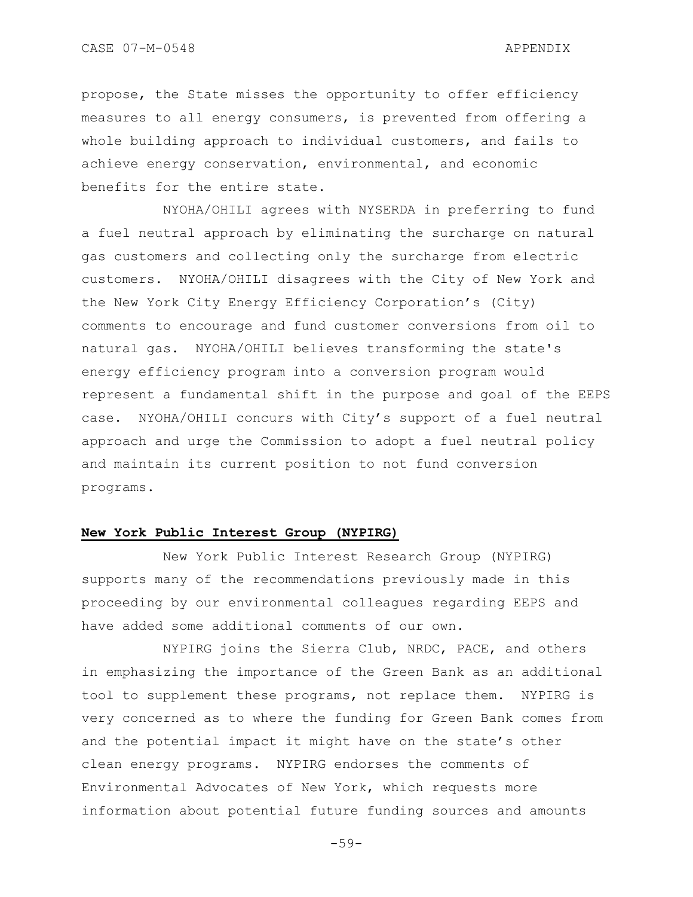propose, the State misses the opportunity to offer efficiency measures to all energy consumers, is prevented from offering a whole building approach to individual customers, and fails to achieve energy conservation, environmental, and economic benefits for the entire state.

NYOHA/OHILI agrees with NYSERDA in preferring to fund a fuel neutral approach by eliminating the surcharge on natural gas customers and collecting only the surcharge from electric customers. NYOHA/OHILI disagrees with the City of New York and the New York City Energy Efficiency Corporation"s (City) comments to encourage and fund customer conversions from oil to natural gas. NYOHA/OHILI believes transforming the state's energy efficiency program into a conversion program would represent a fundamental shift in the purpose and goal of the EEPS case. NYOHA/OHILI concurs with City"s support of a fuel neutral approach and urge the Commission to adopt a fuel neutral policy and maintain its current position to not fund conversion programs.

### **New York Public Interest Group (NYPIRG)**

New York Public Interest Research Group (NYPIRG) supports many of the recommendations previously made in this proceeding by our environmental colleagues regarding EEPS and have added some additional comments of our own.

NYPIRG joins the Sierra Club, NRDC, PACE, and others in emphasizing the importance of the Green Bank as an additional tool to supplement these programs, not replace them. NYPIRG is very concerned as to where the funding for Green Bank comes from and the potential impact it might have on the state's other clean energy programs. NYPIRG endorses the comments of Environmental Advocates of New York, which requests more information about potential future funding sources and amounts

-59-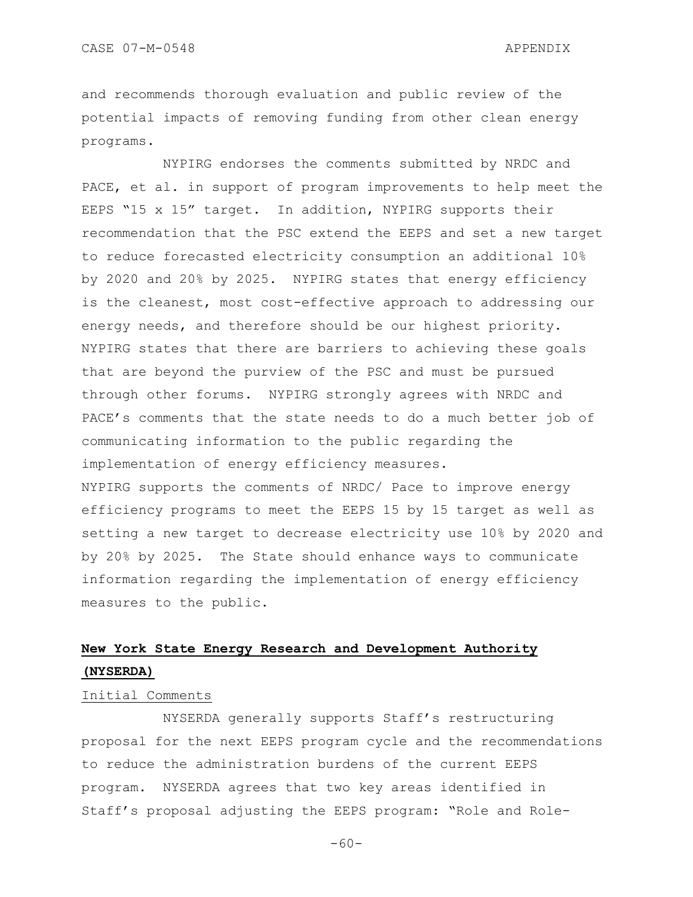and recommends thorough evaluation and public review of the potential impacts of removing funding from other clean energy programs.

NYPIRG endorses the comments submitted by NRDC and PACE, et al. in support of program improvements to help meet the EEPS "15 x 15" target. In addition, NYPIRG supports their recommendation that the PSC extend the EEPS and set a new target to reduce forecasted electricity consumption an additional 10% by 2020 and 20% by 2025. NYPIRG states that energy efficiency is the cleanest, most cost-effective approach to addressing our energy needs, and therefore should be our highest priority. NYPIRG states that there are barriers to achieving these goals that are beyond the purview of the PSC and must be pursued through other forums. NYPIRG strongly agrees with NRDC and PACE's comments that the state needs to do a much better job of communicating information to the public regarding the implementation of energy efficiency measures. NYPIRG supports the comments of NRDC/ Pace to improve energy efficiency programs to meet the EEPS 15 by 15 target as well as setting a new target to decrease electricity use 10% by 2020 and by 20% by 2025. The State should enhance ways to communicate information regarding the implementation of energy efficiency measures to the public.

## **New York State Energy Research and Development Authority (NYSERDA)**

## Initial Comments

NYSERDA generally supports Staff"s restructuring proposal for the next EEPS program cycle and the recommendations to reduce the administration burdens of the current EEPS program. NYSERDA agrees that two key areas identified in Staff"s proposal adjusting the EEPS program: "Role and Role-

 $-60-$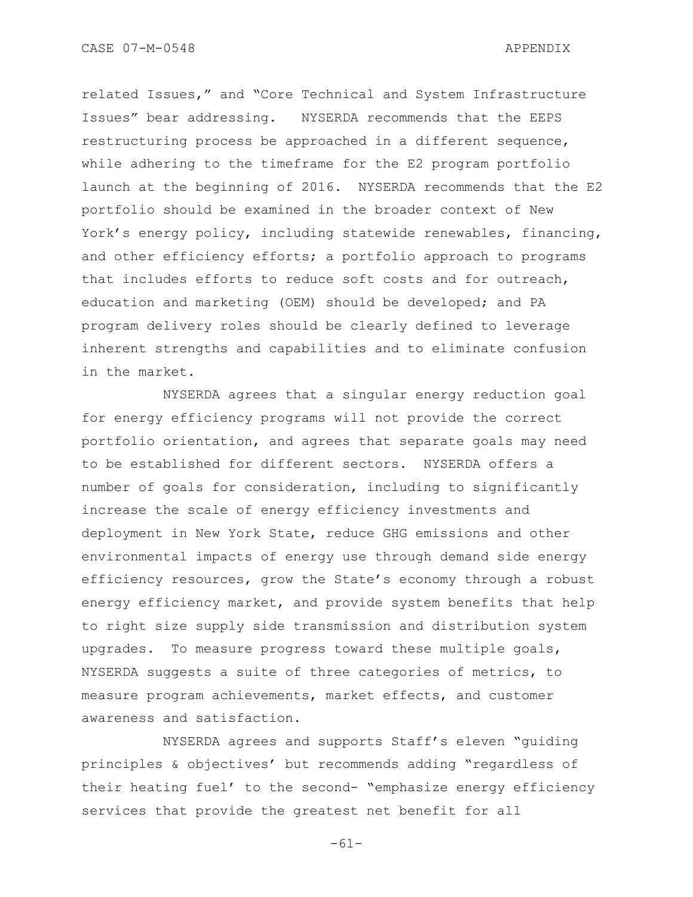related Issues," and "Core Technical and System Infrastructure Issues" bear addressing. NYSERDA recommends that the EEPS restructuring process be approached in a different sequence, while adhering to the timeframe for the E2 program portfolio launch at the beginning of 2016. NYSERDA recommends that the E2 portfolio should be examined in the broader context of New York"s energy policy, including statewide renewables, financing, and other efficiency efforts; a portfolio approach to programs that includes efforts to reduce soft costs and for outreach, education and marketing (OEM) should be developed; and PA program delivery roles should be clearly defined to leverage inherent strengths and capabilities and to eliminate confusion in the market.

NYSERDA agrees that a singular energy reduction goal for energy efficiency programs will not provide the correct portfolio orientation, and agrees that separate goals may need to be established for different sectors. NYSERDA offers a number of goals for consideration, including to significantly increase the scale of energy efficiency investments and deployment in New York State, reduce GHG emissions and other environmental impacts of energy use through demand side energy efficiency resources, grow the State's economy through a robust energy efficiency market, and provide system benefits that help to right size supply side transmission and distribution system upgrades. To measure progress toward these multiple goals, NYSERDA suggests a suite of three categories of metrics, to measure program achievements, market effects, and customer awareness and satisfaction.

NYSERDA agrees and supports Staff"s eleven "guiding principles & objectives" but recommends adding "regardless of their heating fuel' to the second- "emphasize energy efficiency services that provide the greatest net benefit for all

-61-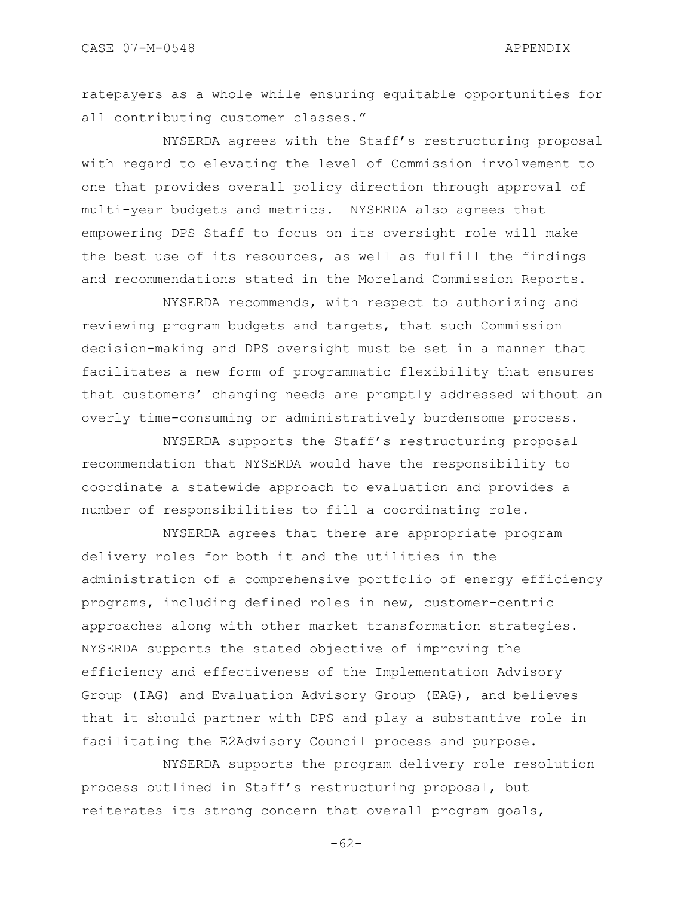ratepayers as a whole while ensuring equitable opportunities for all contributing customer classes."

NYSERDA agrees with the Staff"s restructuring proposal with regard to elevating the level of Commission involvement to one that provides overall policy direction through approval of multi-year budgets and metrics. NYSERDA also agrees that empowering DPS Staff to focus on its oversight role will make the best use of its resources, as well as fulfill the findings and recommendations stated in the Moreland Commission Reports.

NYSERDA recommends, with respect to authorizing and reviewing program budgets and targets, that such Commission decision-making and DPS oversight must be set in a manner that facilitates a new form of programmatic flexibility that ensures that customers' changing needs are promptly addressed without an overly time-consuming or administratively burdensome process.

NYSERDA supports the Staff"s restructuring proposal recommendation that NYSERDA would have the responsibility to coordinate a statewide approach to evaluation and provides a number of responsibilities to fill a coordinating role.

NYSERDA agrees that there are appropriate program delivery roles for both it and the utilities in the administration of a comprehensive portfolio of energy efficiency programs, including defined roles in new, customer-centric approaches along with other market transformation strategies. NYSERDA supports the stated objective of improving the efficiency and effectiveness of the Implementation Advisory Group (IAG) and Evaluation Advisory Group (EAG), and believes that it should partner with DPS and play a substantive role in facilitating the E2Advisory Council process and purpose.

NYSERDA supports the program delivery role resolution process outlined in Staff"s restructuring proposal, but reiterates its strong concern that overall program goals,

-62-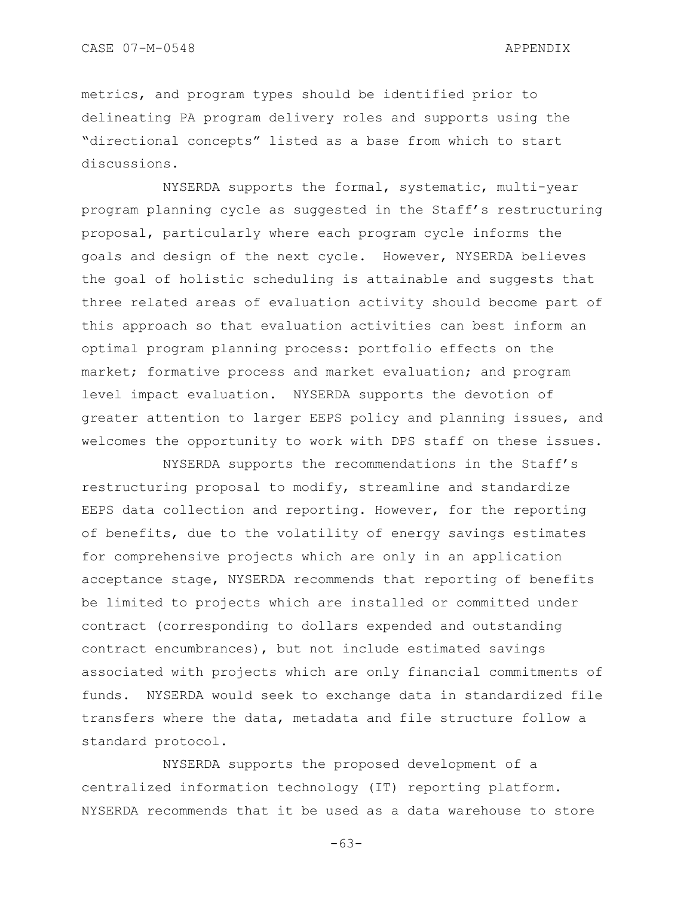metrics, and program types should be identified prior to delineating PA program delivery roles and supports using the "directional concepts" listed as a base from which to start discussions.

NYSERDA supports the formal, systematic, multi-year program planning cycle as suggested in the Staff"s restructuring proposal, particularly where each program cycle informs the goals and design of the next cycle. However, NYSERDA believes the goal of holistic scheduling is attainable and suggests that three related areas of evaluation activity should become part of this approach so that evaluation activities can best inform an optimal program planning process: portfolio effects on the market; formative process and market evaluation; and program level impact evaluation. NYSERDA supports the devotion of greater attention to larger EEPS policy and planning issues, and welcomes the opportunity to work with DPS staff on these issues.

NYSERDA supports the recommendations in the Staff"s restructuring proposal to modify, streamline and standardize EEPS data collection and reporting. However, for the reporting of benefits, due to the volatility of energy savings estimates for comprehensive projects which are only in an application acceptance stage, NYSERDA recommends that reporting of benefits be limited to projects which are installed or committed under contract (corresponding to dollars expended and outstanding contract encumbrances), but not include estimated savings associated with projects which are only financial commitments of funds. NYSERDA would seek to exchange data in standardized file transfers where the data, metadata and file structure follow a standard protocol.

NYSERDA supports the proposed development of a centralized information technology (IT) reporting platform. NYSERDA recommends that it be used as a data warehouse to store

-63-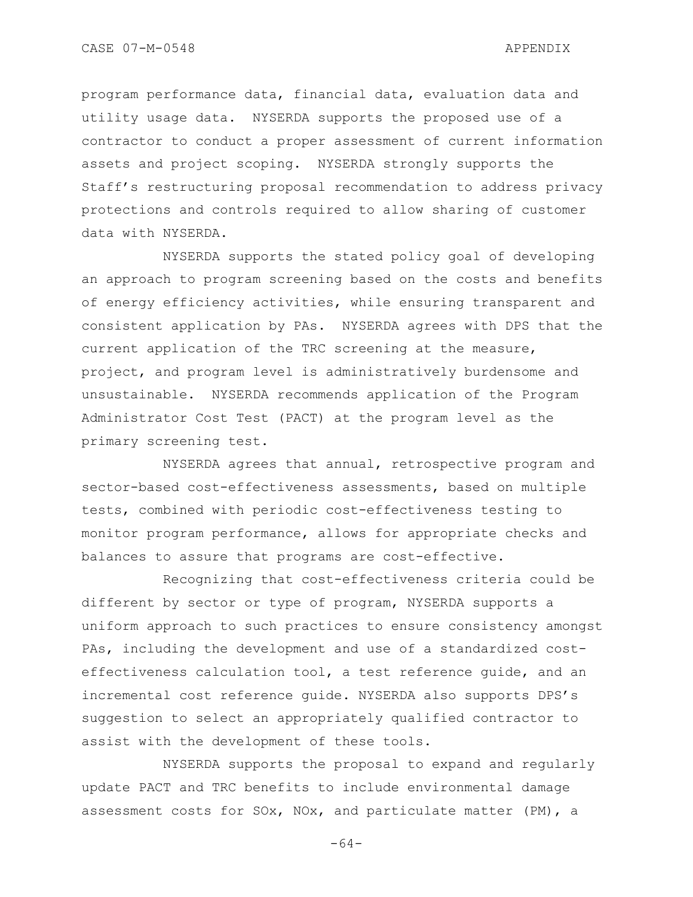program performance data, financial data, evaluation data and utility usage data. NYSERDA supports the proposed use of a contractor to conduct a proper assessment of current information assets and project scoping. NYSERDA strongly supports the Staff"s restructuring proposal recommendation to address privacy protections and controls required to allow sharing of customer data with NYSERDA.

NYSERDA supports the stated policy goal of developing an approach to program screening based on the costs and benefits of energy efficiency activities, while ensuring transparent and consistent application by PAs. NYSERDA agrees with DPS that the current application of the TRC screening at the measure, project, and program level is administratively burdensome and unsustainable. NYSERDA recommends application of the Program Administrator Cost Test (PACT) at the program level as the primary screening test.

NYSERDA agrees that annual, retrospective program and sector-based cost-effectiveness assessments, based on multiple tests, combined with periodic cost-effectiveness testing to monitor program performance, allows for appropriate checks and balances to assure that programs are cost-effective.

Recognizing that cost-effectiveness criteria could be different by sector or type of program, NYSERDA supports a uniform approach to such practices to ensure consistency amongst PAs, including the development and use of a standardized costeffectiveness calculation tool, a test reference guide, and an incremental cost reference guide. NYSERDA also supports DPS"s suggestion to select an appropriately qualified contractor to assist with the development of these tools.

NYSERDA supports the proposal to expand and regularly update PACT and TRC benefits to include environmental damage assessment costs for SOx, NOx, and particulate matter (PM), a

-64-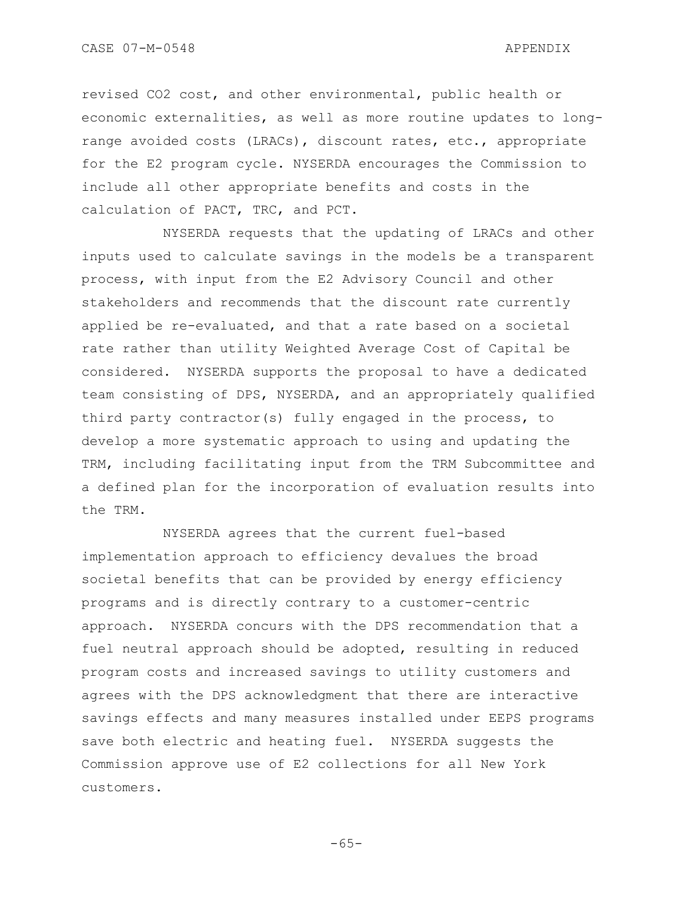revised CO2 cost, and other environmental, public health or economic externalities, as well as more routine updates to longrange avoided costs (LRACs), discount rates, etc., appropriate for the E2 program cycle. NYSERDA encourages the Commission to include all other appropriate benefits and costs in the calculation of PACT, TRC, and PCT.

NYSERDA requests that the updating of LRACs and other inputs used to calculate savings in the models be a transparent process, with input from the E2 Advisory Council and other stakeholders and recommends that the discount rate currently applied be re-evaluated, and that a rate based on a societal rate rather than utility Weighted Average Cost of Capital be considered. NYSERDA supports the proposal to have a dedicated team consisting of DPS, NYSERDA, and an appropriately qualified third party contractor(s) fully engaged in the process, to develop a more systematic approach to using and updating the TRM, including facilitating input from the TRM Subcommittee and a defined plan for the incorporation of evaluation results into the TRM.

NYSERDA agrees that the current fuel-based implementation approach to efficiency devalues the broad societal benefits that can be provided by energy efficiency programs and is directly contrary to a customer-centric approach. NYSERDA concurs with the DPS recommendation that a fuel neutral approach should be adopted, resulting in reduced program costs and increased savings to utility customers and agrees with the DPS acknowledgment that there are interactive savings effects and many measures installed under EEPS programs save both electric and heating fuel. NYSERDA suggests the Commission approve use of E2 collections for all New York customers.

-65-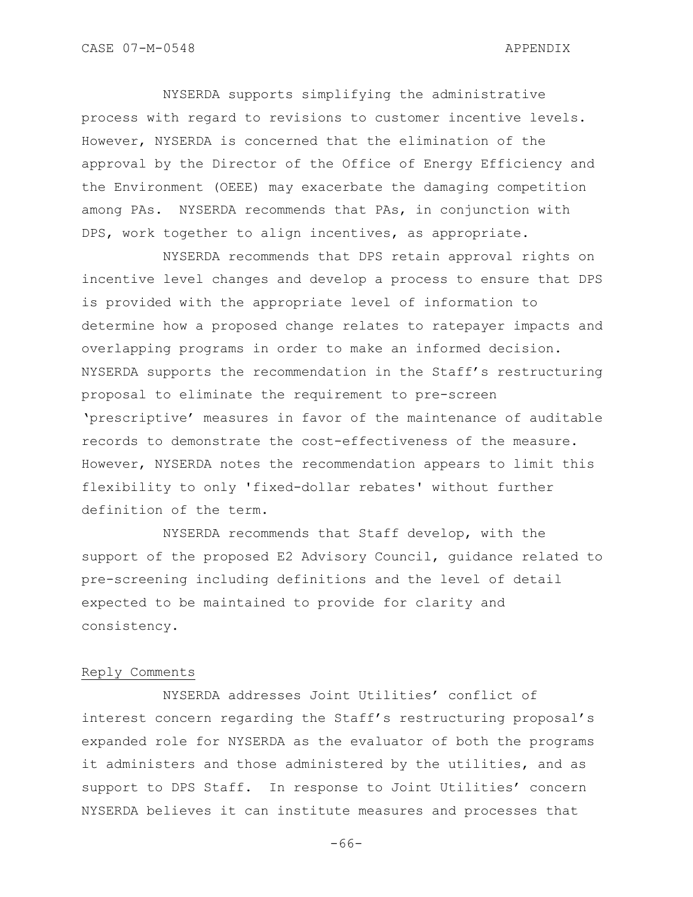NYSERDA supports simplifying the administrative process with regard to revisions to customer incentive levels. However, NYSERDA is concerned that the elimination of the approval by the Director of the Office of Energy Efficiency and the Environment (OEEE) may exacerbate the damaging competition among PAs. NYSERDA recommends that PAs, in conjunction with DPS, work together to align incentives, as appropriate.

NYSERDA recommends that DPS retain approval rights on incentive level changes and develop a process to ensure that DPS is provided with the appropriate level of information to determine how a proposed change relates to ratepayer impacts and overlapping programs in order to make an informed decision. NYSERDA supports the recommendation in the Staff"s restructuring proposal to eliminate the requirement to pre-screen "prescriptive" measures in favor of the maintenance of auditable records to demonstrate the cost-effectiveness of the measure. However, NYSERDA notes the recommendation appears to limit this flexibility to only 'fixed-dollar rebates' without further definition of the term.

NYSERDA recommends that Staff develop, with the support of the proposed E2 Advisory Council, guidance related to pre-screening including definitions and the level of detail expected to be maintained to provide for clarity and consistency.

# Reply Comments

NYSERDA addresses Joint Utilities' conflict of interest concern regarding the Staff's restructuring proposal's expanded role for NYSERDA as the evaluator of both the programs it administers and those administered by the utilities, and as support to DPS Staff. In response to Joint Utilities' concern NYSERDA believes it can institute measures and processes that

-66-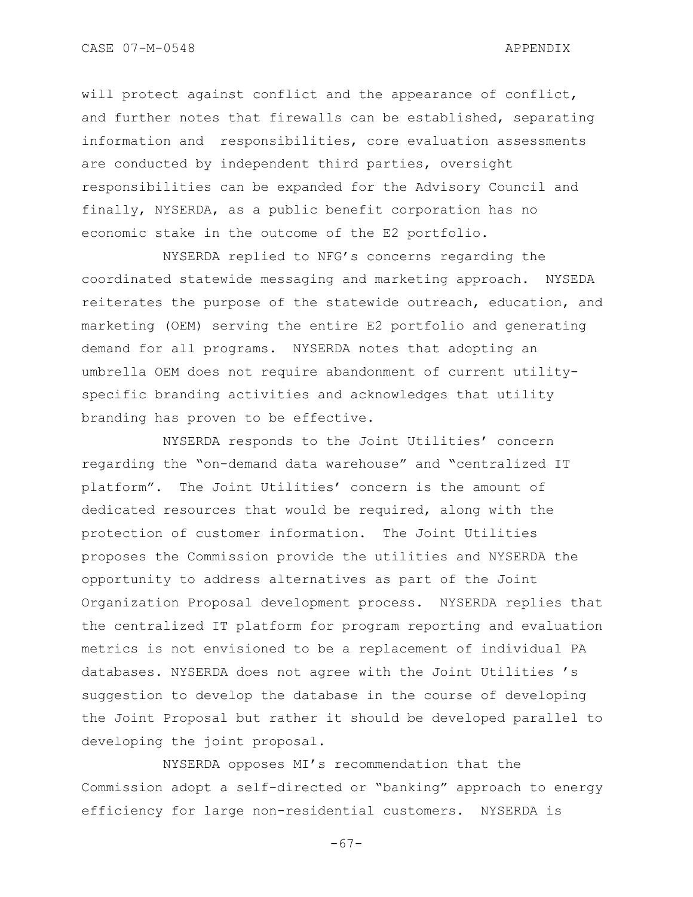will protect against conflict and the appearance of conflict, and further notes that firewalls can be established, separating information and responsibilities, core evaluation assessments are conducted by independent third parties, oversight responsibilities can be expanded for the Advisory Council and finally, NYSERDA, as a public benefit corporation has no economic stake in the outcome of the E2 portfolio.

NYSERDA replied to NFG"s concerns regarding the coordinated statewide messaging and marketing approach. NYSEDA reiterates the purpose of the statewide outreach, education, and marketing (OEM) serving the entire E2 portfolio and generating demand for all programs. NYSERDA notes that adopting an umbrella OEM does not require abandonment of current utilityspecific branding activities and acknowledges that utility branding has proven to be effective.

NYSERDA responds to the Joint Utilities' concern regarding the "on-demand data warehouse" and "centralized IT platform". The Joint Utilities" concern is the amount of dedicated resources that would be required, along with the protection of customer information. The Joint Utilities proposes the Commission provide the utilities and NYSERDA the opportunity to address alternatives as part of the Joint Organization Proposal development process. NYSERDA replies that the centralized IT platform for program reporting and evaluation metrics is not envisioned to be a replacement of individual PA databases. NYSERDA does not agree with the Joint Utilities "s suggestion to develop the database in the course of developing the Joint Proposal but rather it should be developed parallel to developing the joint proposal.

NYSERDA opposes MI"s recommendation that the Commission adopt a self-directed or "banking" approach to energy efficiency for large non-residential customers. NYSERDA is

-67-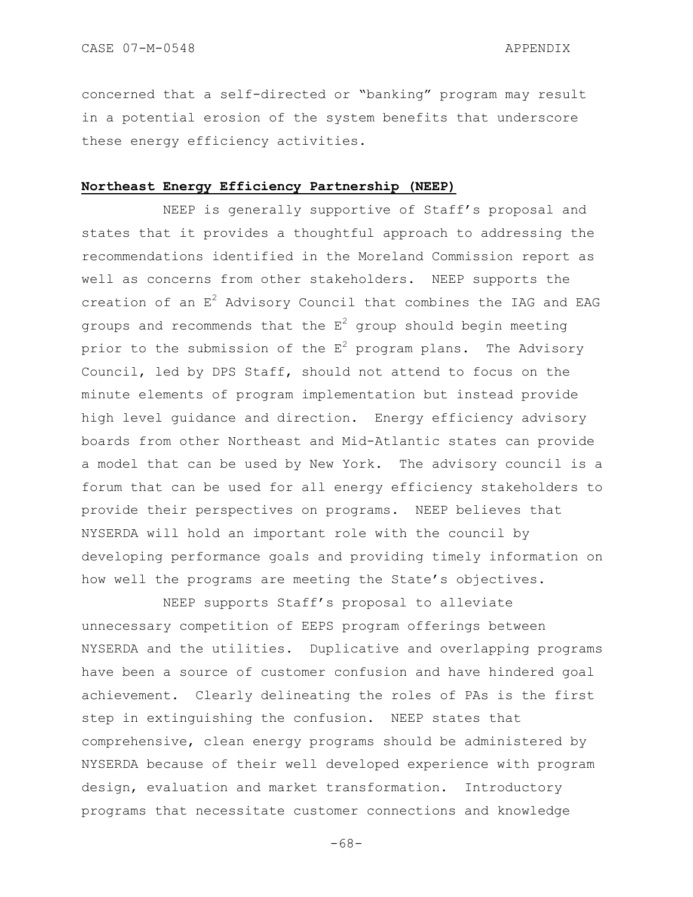concerned that a self-directed or "banking" program may result in a potential erosion of the system benefits that underscore these energy efficiency activities.

# **Northeast Energy Efficiency Partnership (NEEP)**

NEEP is generally supportive of Staff's proposal and states that it provides a thoughtful approach to addressing the recommendations identified in the Moreland Commission report as well as concerns from other stakeholders. NEEP supports the creation of an  $E^2$  Advisory Council that combines the IAG and EAG groups and recommends that the  $E^2$  group should begin meeting prior to the submission of the  $E^2$  program plans. The Advisory Council, led by DPS Staff, should not attend to focus on the minute elements of program implementation but instead provide high level guidance and direction. Energy efficiency advisory boards from other Northeast and Mid-Atlantic states can provide a model that can be used by New York. The advisory council is a forum that can be used for all energy efficiency stakeholders to provide their perspectives on programs. NEEP believes that NYSERDA will hold an important role with the council by developing performance goals and providing timely information on how well the programs are meeting the State's objectives.

NEEP supports Staff"s proposal to alleviate unnecessary competition of EEPS program offerings between NYSERDA and the utilities. Duplicative and overlapping programs have been a source of customer confusion and have hindered goal achievement. Clearly delineating the roles of PAs is the first step in extinguishing the confusion. NEEP states that comprehensive, clean energy programs should be administered by NYSERDA because of their well developed experience with program design, evaluation and market transformation. Introductory programs that necessitate customer connections and knowledge

-68-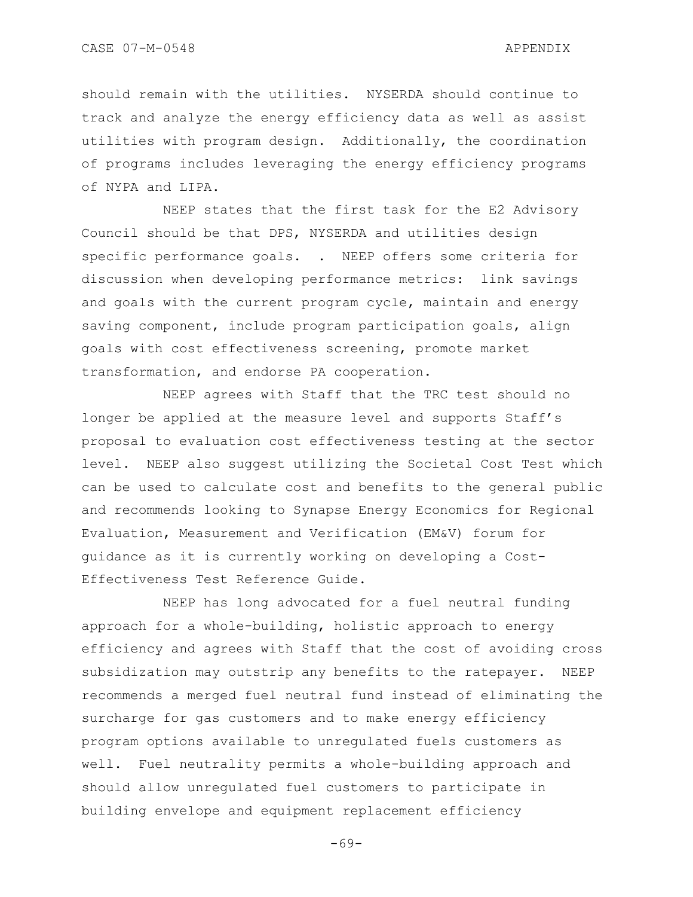should remain with the utilities. NYSERDA should continue to track and analyze the energy efficiency data as well as assist utilities with program design. Additionally, the coordination of programs includes leveraging the energy efficiency programs of NYPA and LIPA.

NEEP states that the first task for the E2 Advisory Council should be that DPS, NYSERDA and utilities design specific performance goals. . NEEP offers some criteria for discussion when developing performance metrics: link savings and goals with the current program cycle, maintain and energy saving component, include program participation goals, align goals with cost effectiveness screening, promote market transformation, and endorse PA cooperation.

NEEP agrees with Staff that the TRC test should no longer be applied at the measure level and supports Staff"s proposal to evaluation cost effectiveness testing at the sector level. NEEP also suggest utilizing the Societal Cost Test which can be used to calculate cost and benefits to the general public and recommends looking to Synapse Energy Economics for Regional Evaluation, Measurement and Verification (EM&V) forum for guidance as it is currently working on developing a Cost-Effectiveness Test Reference Guide.

NEEP has long advocated for a fuel neutral funding approach for a whole-building, holistic approach to energy efficiency and agrees with Staff that the cost of avoiding cross subsidization may outstrip any benefits to the ratepayer. NEEP recommends a merged fuel neutral fund instead of eliminating the surcharge for gas customers and to make energy efficiency program options available to unregulated fuels customers as well. Fuel neutrality permits a whole-building approach and should allow unregulated fuel customers to participate in building envelope and equipment replacement efficiency

-69-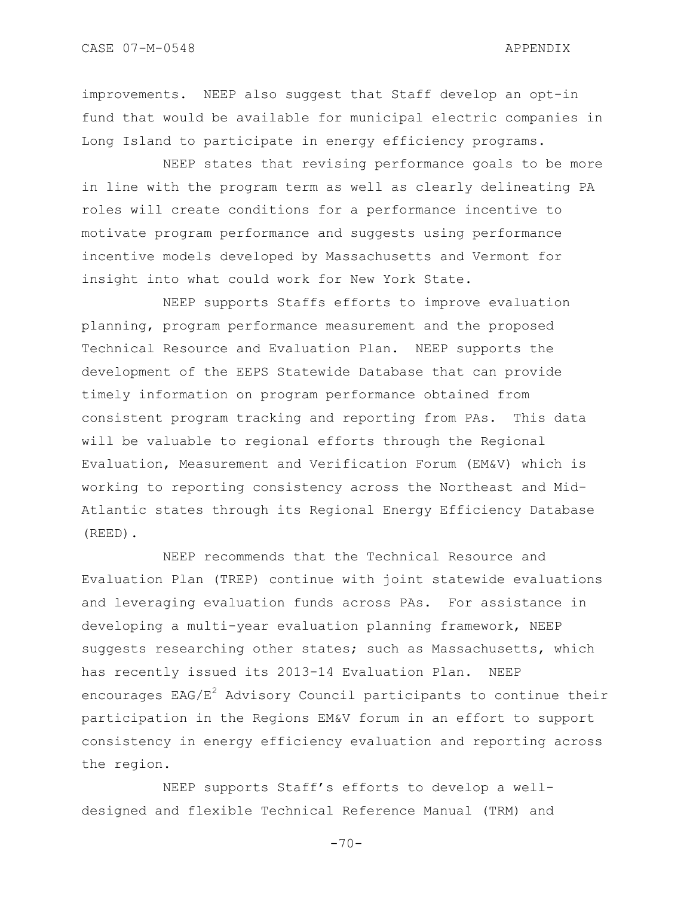improvements. NEEP also suggest that Staff develop an opt-in fund that would be available for municipal electric companies in Long Island to participate in energy efficiency programs.

NEEP states that revising performance goals to be more in line with the program term as well as clearly delineating PA roles will create conditions for a performance incentive to motivate program performance and suggests using performance incentive models developed by Massachusetts and Vermont for insight into what could work for New York State.

NEEP supports Staffs efforts to improve evaluation planning, program performance measurement and the proposed Technical Resource and Evaluation Plan. NEEP supports the development of the EEPS Statewide Database that can provide timely information on program performance obtained from consistent program tracking and reporting from PAs. This data will be valuable to regional efforts through the Regional Evaluation, Measurement and Verification Forum (EM&V) which is working to reporting consistency across the Northeast and Mid-Atlantic states through its Regional Energy Efficiency Database (REED).

NEEP recommends that the Technical Resource and Evaluation Plan (TREP) continue with joint statewide evaluations and leveraging evaluation funds across PAs. For assistance in developing a multi-year evaluation planning framework, NEEP suggests researching other states; such as Massachusetts, which has recently issued its 2013-14 Evaluation Plan. NEEP encourages  $EAG/E<sup>2</sup>$  Advisory Council participants to continue their participation in the Regions EM&V forum in an effort to support consistency in energy efficiency evaluation and reporting across the region.

NEEP supports Staff"s efforts to develop a welldesigned and flexible Technical Reference Manual (TRM) and

 $-70-$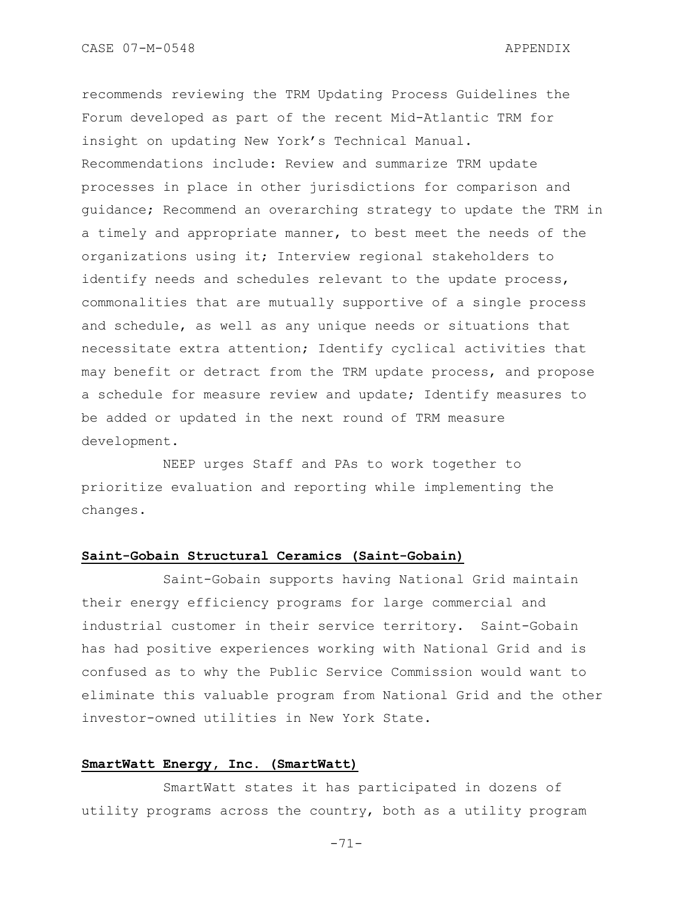recommends reviewing the TRM Updating Process Guidelines the Forum developed as part of the recent Mid-Atlantic TRM for insight on updating New York"s Technical Manual. Recommendations include: Review and summarize TRM update processes in place in other jurisdictions for comparison and guidance; Recommend an overarching strategy to update the TRM in a timely and appropriate manner, to best meet the needs of the organizations using it; Interview regional stakeholders to identify needs and schedules relevant to the update process, commonalities that are mutually supportive of a single process and schedule, as well as any unique needs or situations that necessitate extra attention; Identify cyclical activities that may benefit or detract from the TRM update process, and propose a schedule for measure review and update; Identify measures to be added or updated in the next round of TRM measure development.

NEEP urges Staff and PAs to work together to prioritize evaluation and reporting while implementing the changes.

### **Saint-Gobain Structural Ceramics (Saint-Gobain)**

Saint-Gobain supports having National Grid maintain their energy efficiency programs for large commercial and industrial customer in their service territory. Saint-Gobain has had positive experiences working with National Grid and is confused as to why the Public Service Commission would want to eliminate this valuable program from National Grid and the other investor-owned utilities in New York State.

# **SmartWatt Energy, Inc. (SmartWatt)**

SmartWatt states it has participated in dozens of utility programs across the country, both as a utility program

-71-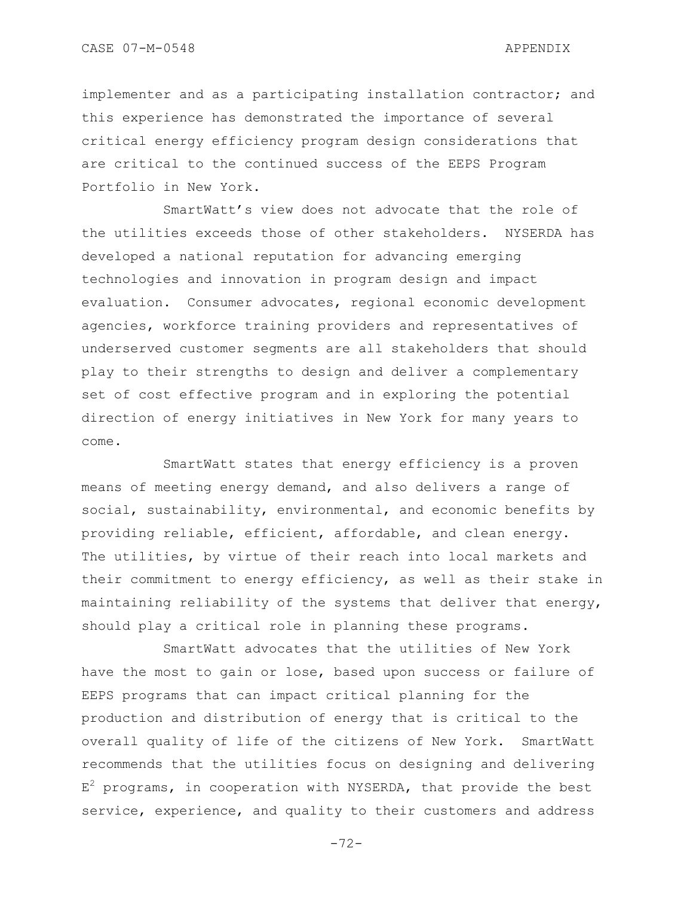implementer and as a participating installation contractor; and this experience has demonstrated the importance of several critical energy efficiency program design considerations that are critical to the continued success of the EEPS Program Portfolio in New York.

SmartWatt"s view does not advocate that the role of the utilities exceeds those of other stakeholders. NYSERDA has developed a national reputation for advancing emerging technologies and innovation in program design and impact evaluation. Consumer advocates, regional economic development agencies, workforce training providers and representatives of underserved customer segments are all stakeholders that should play to their strengths to design and deliver a complementary set of cost effective program and in exploring the potential direction of energy initiatives in New York for many years to come.

SmartWatt states that energy efficiency is a proven means of meeting energy demand, and also delivers a range of social, sustainability, environmental, and economic benefits by providing reliable, efficient, affordable, and clean energy. The utilities, by virtue of their reach into local markets and their commitment to energy efficiency, as well as their stake in maintaining reliability of the systems that deliver that energy, should play a critical role in planning these programs.

SmartWatt advocates that the utilities of New York have the most to gain or lose, based upon success or failure of EEPS programs that can impact critical planning for the production and distribution of energy that is critical to the overall quality of life of the citizens of New York. SmartWatt recommends that the utilities focus on designing and delivering  $E^2$  programs, in cooperation with NYSERDA, that provide the best service, experience, and quality to their customers and address

-72-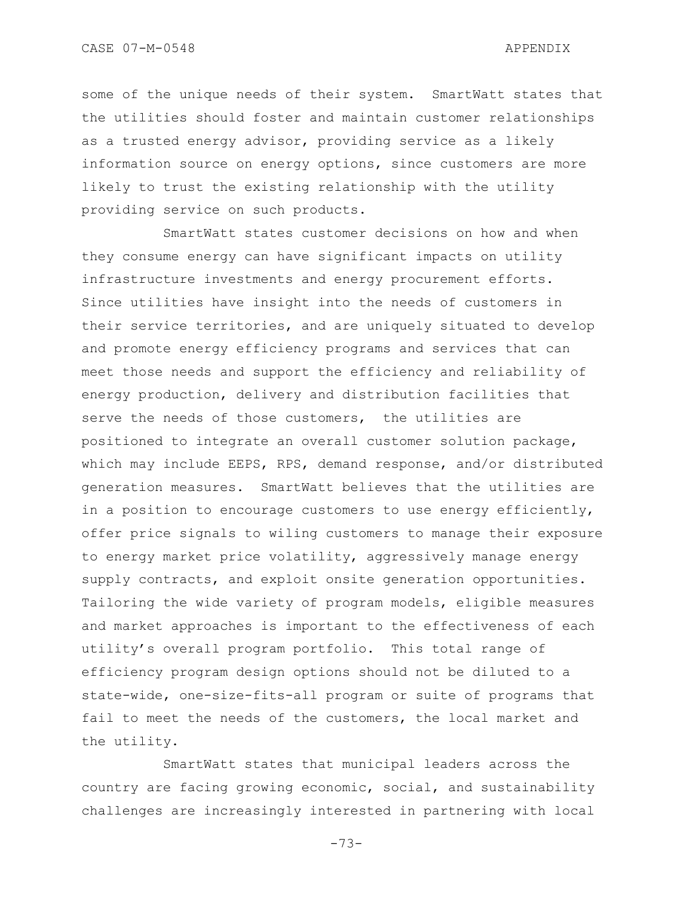some of the unique needs of their system. SmartWatt states that the utilities should foster and maintain customer relationships as a trusted energy advisor, providing service as a likely information source on energy options, since customers are more likely to trust the existing relationship with the utility providing service on such products.

SmartWatt states customer decisions on how and when they consume energy can have significant impacts on utility infrastructure investments and energy procurement efforts. Since utilities have insight into the needs of customers in their service territories, and are uniquely situated to develop and promote energy efficiency programs and services that can meet those needs and support the efficiency and reliability of energy production, delivery and distribution facilities that serve the needs of those customers, the utilities are positioned to integrate an overall customer solution package, which may include EEPS, RPS, demand response, and/or distributed generation measures. SmartWatt believes that the utilities are in a position to encourage customers to use energy efficiently, offer price signals to wiling customers to manage their exposure to energy market price volatility, aggressively manage energy supply contracts, and exploit onsite generation opportunities. Tailoring the wide variety of program models, eligible measures and market approaches is important to the effectiveness of each utility's overall program portfolio. This total range of efficiency program design options should not be diluted to a state-wide, one-size-fits-all program or suite of programs that fail to meet the needs of the customers, the local market and the utility.

SmartWatt states that municipal leaders across the country are facing growing economic, social, and sustainability challenges are increasingly interested in partnering with local

-73-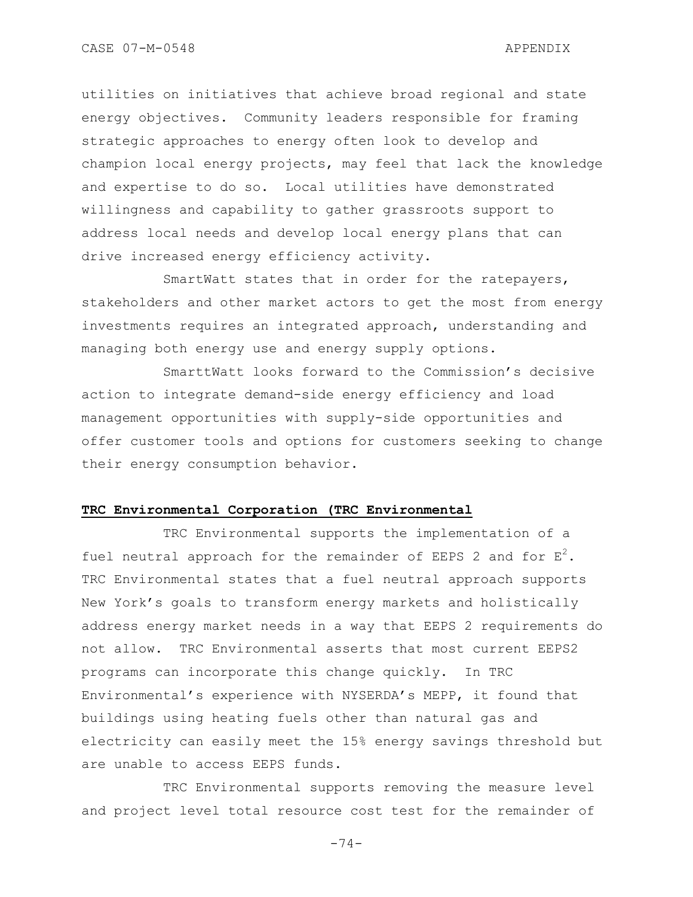CASE 07-M-0548 APPENDIX

utilities on initiatives that achieve broad regional and state energy objectives. Community leaders responsible for framing strategic approaches to energy often look to develop and champion local energy projects, may feel that lack the knowledge and expertise to do so. Local utilities have demonstrated willingness and capability to gather grassroots support to address local needs and develop local energy plans that can drive increased energy efficiency activity.

SmartWatt states that in order for the ratepayers, stakeholders and other market actors to get the most from energy investments requires an integrated approach, understanding and managing both energy use and energy supply options.

SmarttWatt looks forward to the Commission"s decisive action to integrate demand-side energy efficiency and load management opportunities with supply-side opportunities and offer customer tools and options for customers seeking to change their energy consumption behavior.

#### **TRC Environmental Corporation (TRC Environmental**

TRC Environmental supports the implementation of a fuel neutral approach for the remainder of EEPS 2 and for  $E^2$ . TRC Environmental states that a fuel neutral approach supports New York"s goals to transform energy markets and holistically address energy market needs in a way that EEPS 2 requirements do not allow. TRC Environmental asserts that most current EEPS2 programs can incorporate this change quickly. In TRC Environmental"s experience with NYSERDA"s MEPP, it found that buildings using heating fuels other than natural gas and electricity can easily meet the 15% energy savings threshold but are unable to access EEPS funds.

TRC Environmental supports removing the measure level and project level total resource cost test for the remainder of

-74-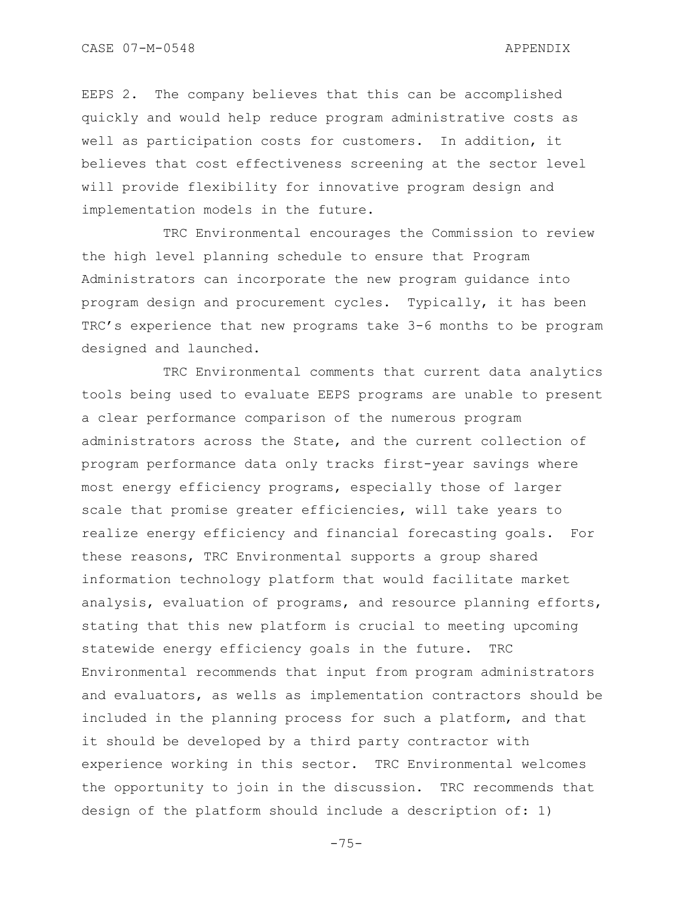EEPS 2. The company believes that this can be accomplished quickly and would help reduce program administrative costs as well as participation costs for customers. In addition, it believes that cost effectiveness screening at the sector level will provide flexibility for innovative program design and implementation models in the future.

TRC Environmental encourages the Commission to review the high level planning schedule to ensure that Program Administrators can incorporate the new program guidance into program design and procurement cycles. Typically, it has been TRC"s experience that new programs take 3-6 months to be program designed and launched.

TRC Environmental comments that current data analytics tools being used to evaluate EEPS programs are unable to present a clear performance comparison of the numerous program administrators across the State, and the current collection of program performance data only tracks first-year savings where most energy efficiency programs, especially those of larger scale that promise greater efficiencies, will take years to realize energy efficiency and financial forecasting goals. For these reasons, TRC Environmental supports a group shared information technology platform that would facilitate market analysis, evaluation of programs, and resource planning efforts, stating that this new platform is crucial to meeting upcoming statewide energy efficiency goals in the future. TRC Environmental recommends that input from program administrators and evaluators, as wells as implementation contractors should be included in the planning process for such a platform, and that it should be developed by a third party contractor with experience working in this sector. TRC Environmental welcomes the opportunity to join in the discussion. TRC recommends that design of the platform should include a description of: 1)

 $-75-$